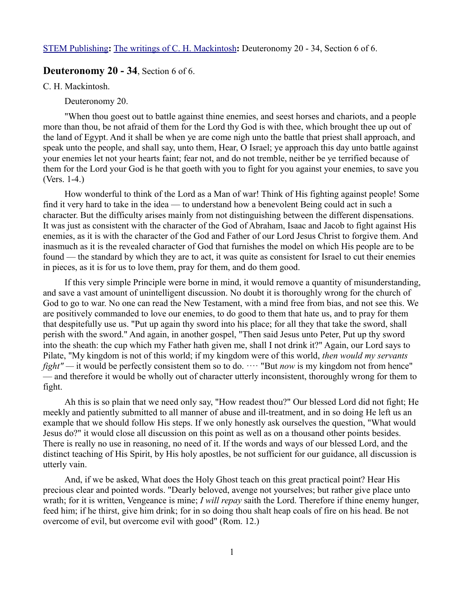# **Deuteronomy 20 - 34**, Section 6 of 6.

C. H. Mackintosh.

Deuteronomy 20.

"When thou goest out to battle against thine enemies, and seest horses and chariots, and a people more than thou, be not afraid of them for the Lord thy God is with thee, which brought thee up out of the land of Egypt. And it shall be when ye are come nigh unto the battle that priest shall approach, and speak unto the people, and shall say, unto them, Hear, O Israel; ye approach this day unto battle against your enemies let not your hearts faint; fear not, and do not tremble, neither be ye terrified because of them for the Lord your God is he that goeth with you to fight for you against your enemies, to save you (Vers. 1-4.)

How wonderful to think of the Lord as a Man of war! Think of His fighting against people! Some find it very hard to take in the idea — to understand how a benevolent Being could act in such a character. But the difficulty arises mainly from not distinguishing between the different dispensations. It was just as consistent with the character of the God of Abraham, Isaac and Jacob to fight against His enemies, as it is with the character of the God and Father of our Lord Jesus Christ to forgive them. And inasmuch as it is the revealed character of God that furnishes the model on which His people are to be found — the standard by which they are to act, it was quite as consistent for Israel to cut their enemies in pieces, as it is for us to love them, pray for them, and do them good.

If this very simple Principle were borne in mind, it would remove a quantity of misunderstanding, and save a vast amount of unintelligent discussion. No doubt it is thoroughly wrong for the church of God to go to war. No one can read the New Testament, with a mind free from bias, and not see this. We are positively commanded to love our enemies, to do good to them that hate us, and to pray for them that despitefully use us. "Put up again thy sword into his place; for all they that take the sword, shall perish with the sword." And again, in another gospel, "Then said Jesus unto Peter, Put up thy sword into the sheath: the cup which my Father hath given me, shall I not drink it?" Again, our Lord says to Pilate, "My kingdom is not of this world; if my kingdom were of this world, *then would my servants fight"* — it would be perfectly consistent them so to do.  $\cdots$  "But *now* is my kingdom not from hence" — and therefore it would be wholly out of character utterly inconsistent, thoroughly wrong for them to fight.

Ah this is so plain that we need only say, "How readest thou?" Our blessed Lord did not fight; He meekly and patiently submitted to all manner of abuse and ill-treatment, and in so doing He left us an example that we should follow His steps. If we only honestly ask ourselves the question, "What would Jesus do?" it would close all discussion on this point as well as on a thousand other points besides. There is really no use in reasoning, no need of it. If the words and ways of our blessed Lord, and the distinct teaching of His Spirit, by His holy apostles, be not sufficient for our guidance, all discussion is utterly vain.

And, if we be asked, What does the Holy Ghost teach on this great practical point? Hear His precious clear and pointed words. "Dearly beloved, avenge not yourselves; but rather give place unto wrath; for it is written, Vengeance is mine; *I will repay* saith the Lord. Therefore if thine enemy hunger, feed him; if he thirst, give him drink; for in so doing thou shalt heap coals of fire on his head. Be not overcome of evil, but overcome evil with good" (Rom. 12.)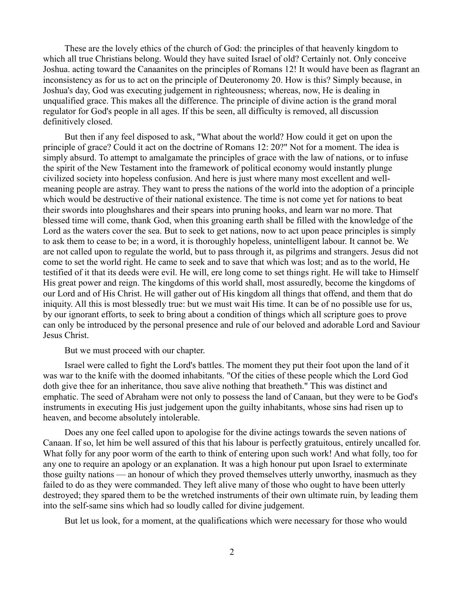These are the lovely ethics of the church of God: the principles of that heavenly kingdom to which all true Christians belong. Would they have suited Israel of old? Certainly not. Only conceive Joshua. acting toward the Canaanites on the principles of Romans 12! It would have been as flagrant an inconsistency as for us to act on the principle of Deuteronomy 20. How is this? Simply because, in Joshua's day, God was executing judgement in righteousness; whereas, now, He is dealing in unqualified grace. This makes all the difference. The principle of divine action is the grand moral regulator for God's people in all ages. If this be seen, all difficulty is removed, all discussion definitively closed.

But then if any feel disposed to ask, "What about the world? How could it get on upon the principle of grace? Could it act on the doctrine of Romans 12: 20?" Not for a moment. The idea is simply absurd. To attempt to amalgamate the principles of grace with the law of nations, or to infuse the spirit of the New Testament into the framework of political economy would instantly plunge civilized society into hopeless confusion. And here is just where many most excellent and wellmeaning people are astray. They want to press the nations of the world into the adoption of a principle which would be destructive of their national existence. The time is not come yet for nations to beat their swords into ploughshares and their spears into pruning hooks, and learn war no more. That blessed time will come, thank God, when this groaning earth shall be filled with the knowledge of the Lord as the waters cover the sea. But to seek to get nations, now to act upon peace principles is simply to ask them to cease to be; in a word, it is thoroughly hopeless, unintelligent labour. It cannot be. We are not called upon to regulate the world, but to pass through it, as pilgrims and strangers. Jesus did not come to set the world right. He came to seek and to save that which was lost; and as to the world, He testified of it that its deeds were evil. He will, ere long come to set things right. He will take to Himself His great power and reign. The kingdoms of this world shall, most assuredly, become the kingdoms of our Lord and of His Christ. He will gather out of His kingdom all things that offend, and them that do iniquity. All this is most blessedly true: but we must wait His time. It can be of no possible use for us, by our ignorant efforts, to seek to bring about a condition of things which all scripture goes to prove can only be introduced by the personal presence and rule of our beloved and adorable Lord and Saviour Jesus Christ.

# But we must proceed with our chapter.

Israel were called to fight the Lord's battles. The moment they put their foot upon the land of it was war to the knife with the doomed inhabitants. "Of the cities of these people which the Lord God doth give thee for an inheritance, thou save alive nothing that breatheth." This was distinct and emphatic. The seed of Abraham were not only to possess the land of Canaan, but they were to be God's instruments in executing His just judgement upon the guilty inhabitants, whose sins had risen up to heaven, and become absolutely intolerable.

Does any one feel called upon to apologise for the divine actings towards the seven nations of Canaan. If so, let him be well assured of this that his labour is perfectly gratuitous, entirely uncalled for. What folly for any poor worm of the earth to think of entering upon such work! And what folly, too for any one to require an apology or an explanation. It was a high honour put upon Israel to exterminate those guilty nations — an honour of which they proved themselves utterly unworthy, inasmuch as they failed to do as they were commanded. They left alive many of those who ought to have been utterly destroyed; they spared them to be the wretched instruments of their own ultimate ruin, by leading them into the self-same sins which had so loudly called for divine judgement.

But let us look, for a moment, at the qualifications which were necessary for those who would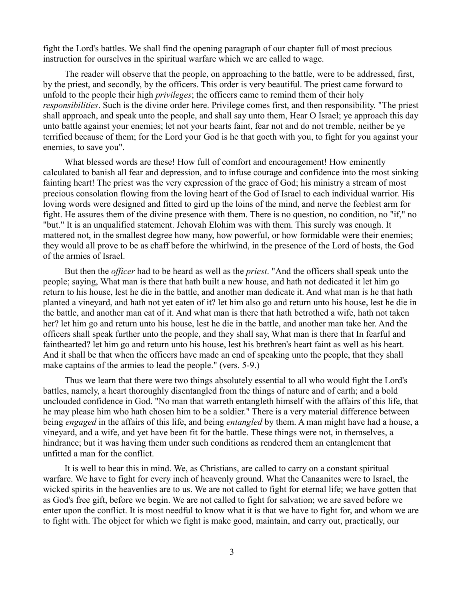fight the Lord's battles. We shall find the opening paragraph of our chapter full of most precious instruction for ourselves in the spiritual warfare which we are called to wage.

The reader will observe that the people, on approaching to the battle, were to be addressed, first, by the priest, and secondly, by the officers. This order is very beautiful. The priest came forward to unfold to the people their high *privileges*; the officers came to remind them of their holy *responsibilities*. Such is the divine order here. Privilege comes first, and then responsibility. "The priest shall approach, and speak unto the people, and shall say unto them, Hear O Israel; ye approach this day unto battle against your enemies; let not your hearts faint, fear not and do not tremble, neither be ye terrified because of them; for the Lord your God is he that goeth with you, to fight for you against your enemies, to save you".

What blessed words are these! How full of comfort and encouragement! How eminently calculated to banish all fear and depression, and to infuse courage and confidence into the most sinking fainting heart! The priest was the very expression of the grace of God; his ministry a stream of most precious consolation flowing from the loving heart of the God of Israel to each individual warrior. His loving words were designed and fitted to gird up the loins of the mind, and nerve the feeblest arm for fight. He assures them of the divine presence with them. There is no question, no condition, no "if," no "but." It is an unqualified statement. Jehovah Elohim was with them. This surely was enough. It mattered not, in the smallest degree how many, how powerful, or how formidable were their enemies; they would all prove to be as chaff before the whirlwind, in the presence of the Lord of hosts, the God of the armies of Israel.

But then the *officer* had to be heard as well as the *priest*. "And the officers shall speak unto the people; saying, What man is there that hath built a new house, and hath not dedicated it let him go return to his house, lest he die in the battle, and another man dedicate it. And what man is he that hath planted a vineyard, and hath not yet eaten of it? let him also go and return unto his house, lest he die in the battle, and another man eat of it. And what man is there that hath betrothed a wife, hath not taken her? let him go and return unto his house, lest he die in the battle, and another man take her. And the officers shall speak further unto the people, and they shall say, What man is there that In fearful and fainthearted? let him go and return unto his house, lest his brethren's heart faint as well as his heart. And it shall be that when the officers have made an end of speaking unto the people, that they shall make captains of the armies to lead the people." (vers. 5-9.)

Thus we learn that there were two things absolutely essential to all who would fight the Lord's battles, namely, a heart thoroughly disentangled from the things of nature and of earth; and a bold unclouded confidence in God. "No man that warreth entangleth himself with the affairs of this life, that he may please him who hath chosen him to be a soldier." There is a very material difference between being *engaged* in the affairs of this life, and being *entangled* by them. A man might have had a house, a vineyard, and a wife, and yet have been fit for the battle. These things were not, in themselves, a hindrance; but it was having them under such conditions as rendered them an entanglement that unfitted a man for the conflict.

It is well to bear this in mind. We, as Christians, are called to carry on a constant spiritual warfare. We have to fight for every inch of heavenly ground. What the Canaanites were to Israel, the wicked spirits in the heavenlies are to us. We are not called to fight for eternal life; we have gotten that as God's free gift, before we begin. We are not called to fight for salvation; we are saved before we enter upon the conflict. It is most needful to know what it is that we have to fight for, and whom we are to fight with. The object for which we fight is make good, maintain, and carry out, practically, our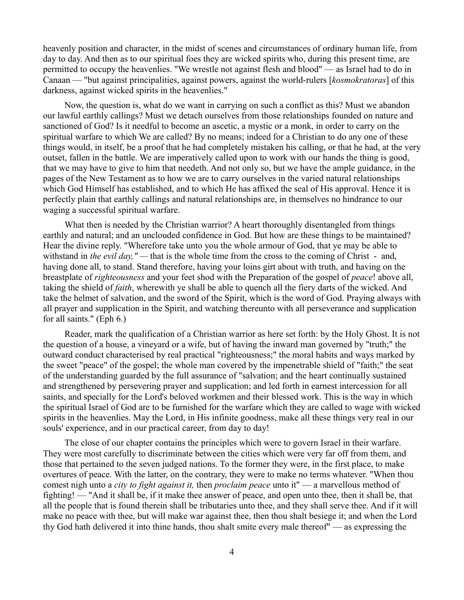heavenly position and character, in the midst of scenes and circumstances of ordinary human life, from day to day. And then as to our spiritual foes they are wicked spirits who, during this present time, are permitted to occupy the heavenlies. "We wrestle not against flesh and blood" — as Israel had to do in Canaan — "but against principalities, against powers, against the world-rulers [*kosmokratoras*] of this darkness, against wicked spirits in the heavenlies."

Now, the question is, what do we want in carrying on such a conflict as this? Must we abandon our lawful earthly callings? Must we detach ourselves from those relationships founded on nature and sanctioned of God? Is it needful to become an ascetic, a mystic or a monk, in order to carry on the spiritual warfare to which We are called? By no means; indeed for a Christian to do any one of these things would, in itself, be a proof that he had completely mistaken his calling, or that he had, at the very outset, fallen in the battle. We are imperatively called upon to work with our hands the thing is good, that we may have to give to him that needeth. And not only so, but we have the ample guidance, in the pages of the New Testament as to how we are to carry ourselves in the varied natural relationships which God Himself has established, and to which He has affixed the seal of His approval. Hence it is perfectly plain that earthly callings and natural relationships are, in themselves no hindrance to our waging a successful spiritual warfare.

What then is needed by the Christian warrior? A heart thoroughly disentangled from things earthly and natural; and an unclouded confidence in God. But how are these things to be maintained? Hear the divine reply. "Wherefore take unto you the whole armour of God, that ye may be able to withstand in *the evil day,"* — that is the whole time from the cross to the coming of Christ - and, having done all, to stand. Stand therefore, having your loins girt about with truth, and having on the breastplate of *righteousness* and your feet shod with the Preparation of the gospel of *peace*! above all, taking the shield of *faith*, wherewith ye shall be able to quench all the fiery darts of the wicked. And take the helmet of salvation, and the sword of the Spirit, which is the word of God. Praying always with all prayer and supplication in the Spirit, and watching thereunto with all perseverance and supplication for all saints." (Eph 6.)

Reader, mark the qualification of a Christian warrior as here set forth: by the Holy Ghost. It is not the question of a house, a vineyard or a wife, but of having the inward man governed by "truth;" the outward conduct characterised by real practical "righteousness;" the moral habits and ways marked by the sweet "peace" of the gospel; the whole man covered by the impenetrable shield of "faith;" the seat of the understanding guarded by the full assurance of "salvation; and the heart continually sustained and strengthened by persevering prayer and supplication; and led forth in earnest intercession for all saints, and specially for the Lord's beloved workmen and their blessed work. This is the way in which the spiritual Israel of God are to be furnished for the warfare which they are called to wage with wicked spirits in the heavenlies. May the Lord, in His infinite goodness, make all these things very real in our souls' experience, and in our practical career, from day to day!

The close of our chapter contains the principles which were to govern Israel in their warfare. They were most carefully to discriminate between the cities which were very far off from them, and those that pertained to the seven judged nations. To the former they were, in the first place, to make overtures of peace. With the latter, on the contrary, they were to make no terms whatever. "When thou comest nigh unto a *city to fight against it,* then *proclaim peace* unto it" — a marvellous method of fighting! — "And it shall be, if it make thee answer of peace, and open unto thee, then it shall be, that all the people that is found therein shall be tributaries unto thee, and they shall serve thee. And if it will make no peace with thee, but will make war against thee, then thou shalt besiege it; and when the Lord thy God hath delivered it into thine hands, thou shalt smite every male thereof" — as expressing the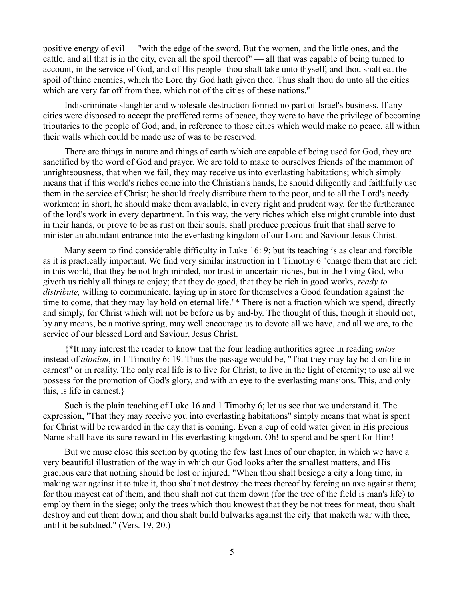positive energy of evil — "with the edge of the sword. But the women, and the little ones, and the cattle, and all that is in the city, even all the spoil thereof" — all that was capable of being turned to account, in the service of God, and of His people- thou shalt take unto thyself; and thou shalt eat the spoil of thine enemies, which the Lord thy God hath given thee. Thus shalt thou do unto all the cities which are very far off from thee, which not of the cities of these nations."

Indiscriminate slaughter and wholesale destruction formed no part of Israel's business. If any cities were disposed to accept the proffered terms of peace, they were to have the privilege of becoming tributaries to the people of God; and, in reference to those cities which would make no peace, all within their walls which could be made use of was to be reserved.

There are things in nature and things of earth which are capable of being used for God, they are sanctified by the word of God and prayer. We are told to make to ourselves friends of the mammon of unrighteousness, that when we fail, they may receive us into everlasting habitations; which simply means that if this world's riches come into the Christian's hands, he should diligently and faithfully use them in the service of Christ; he should freely distribute them to the poor, and to all the Lord's needy workmen; in short, he should make them available, in every right and prudent way, for the furtherance of the lord's work in every department. In this way, the very riches which else might crumble into dust in their hands, or prove to be as rust on their souls, shall produce precious fruit that shall serve to minister an abundant entrance into the everlasting kingdom of our Lord and Saviour Jesus Christ.

Many seem to find considerable difficulty in Luke 16: 9; but its teaching is as clear and forcible as it is practically important. We find very similar instruction in 1 Timothy 6 "charge them that are rich in this world, that they be not high-minded, nor trust in uncertain riches, but in the living God, who giveth us richly all things to enjoy; that they do good, that they be rich in good works, *ready to distribute,* willing to communicate, laying up in store for themselves a Good foundation against the time to come, that they may lay hold on eternal life."\* There is not a fraction which we spend, directly and simply, for Christ which will not be before us by and-by. The thought of this, though it should not, by any means, be a motive spring, may well encourage us to devote all we have, and all we are, to the service of our blessed Lord and Saviour, Jesus Christ.

{\*It may interest the reader to know that the four leading authorities agree in reading *ontos* instead of *aioniou*, in 1 Timothy 6: 19. Thus the passage would be, "That they may lay hold on life in earnest" or in reality. The only real life is to live for Christ; to live in the light of eternity; to use all we possess for the promotion of God's glory, and with an eye to the everlasting mansions. This, and only this, is life in earnest.}

Such is the plain teaching of Luke 16 and 1 Timothy 6; let us see that we understand it. The expression, "That they may receive you into everlasting habitations" simply means that what is spent for Christ will be rewarded in the day that is coming. Even a cup of cold water given in His precious Name shall have its sure reward in His everlasting kingdom. Oh! to spend and be spent for Him!

But we muse close this section by quoting the few last lines of our chapter, in which we have a very beautiful illustration of the way in which our God looks after the smallest matters, and His gracious care that nothing should be lost or injured. "When thou shalt besiege a city a long time, in making war against it to take it, thou shalt not destroy the trees thereof by forcing an axe against them; for thou mayest eat of them, and thou shalt not cut them down (for the tree of the field is man's life) to employ them in the siege; only the trees which thou knowest that they be not trees for meat, thou shalt destroy and cut them down; and thou shalt build bulwarks against the city that maketh war with thee, until it be subdued." (Vers. 19, 20.)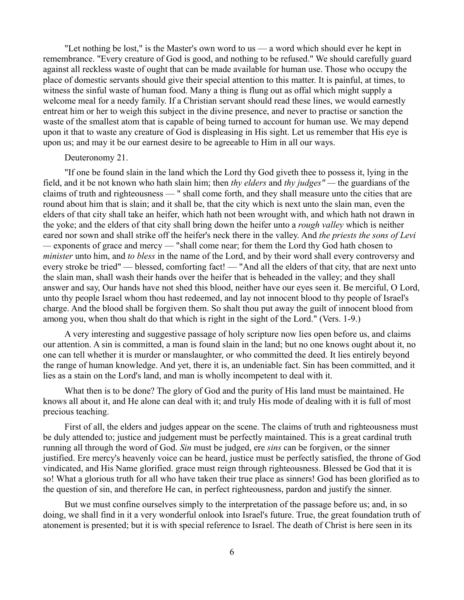"Let nothing be lost," is the Master's own word to us — a word which should ever he kept in remembrance. "Every creature of God is good, and nothing to be refused." We should carefully guard against all reckless waste of ought that can be made available for human use. Those who occupy the place of domestic servants should give their special attention to this matter. It is painful, at times, to witness the sinful waste of human food. Many a thing is flung out as offal which might supply a welcome meal for a needy family. If a Christian servant should read these lines, we would earnestly entreat him or her to weigh this subject in the divine presence, and never to practise or sanction the waste of the smallest atom that is capable of being turned to account for human use. We may depend upon it that to waste any creature of God is displeasing in His sight. Let us remember that His eye is upon us; and may it be our earnest desire to be agreeable to Him in all our ways.

# Deuteronomy 21.

"If one be found slain in the land which the Lord thy God giveth thee to possess it, lying in the field, and it be not known who hath slain him; then *thy elders* and *thy judges" —* the guardians of the claims of truth and righteousness — " shall come forth, and they shall measure unto the cities that are round about him that is slain; and it shall be, that the city which is next unto the slain man, even the elders of that city shall take an heifer, which hath not been wrought with, and which hath not drawn in the yoke; and the elders of that city shall bring down the heifer unto a *rough valley* which is neither eared nor sown and shall strike off the heifer's neck there in the valley. And *the priests the sons of Levi —* exponents of grace and mercy — "shall come near; for them the Lord thy God hath chosen to *minister* unto him, and *to bless* in the name of the Lord, and by their word shall every controversy and every stroke be tried" — blessed, comforting fact! — "And all the elders of that city, that are next unto the slain man, shall wash their hands over the heifer that is beheaded in the valley; and they shall answer and say, Our hands have not shed this blood, neither have our eyes seen it. Be merciful, O Lord, unto thy people Israel whom thou hast redeemed, and lay not innocent blood to thy people of Israel's charge. And the blood shall be forgiven them. So shalt thou put away the guilt of innocent blood from among you, when thou shalt do that which is right in the sight of the Lord." (Vers. 1-9.)

A very interesting and suggestive passage of holy scripture now lies open before us, and claims our attention. A sin is committed, a man is found slain in the land; but no one knows ought about it, no one can tell whether it is murder or manslaughter, or who committed the deed. It lies entirely beyond the range of human knowledge. And yet, there it is, an undeniable fact. Sin has been committed, and it lies as a stain on the Lord's land, and man is wholly incompetent to deal with it.

What then is to be done? The glory of God and the purity of His land must be maintained. He knows all about it, and He alone can deal with it; and truly His mode of dealing with it is full of most precious teaching.

First of all, the elders and judges appear on the scene. The claims of truth and righteousness must be duly attended to; justice and judgement must be perfectly maintained. This is a great cardinal truth running all through the word of God. *Sin* must be judged, ere *sins* can be forgiven, or the sinner justified. Ere mercy's heavenly voice can be heard, justice must be perfectly satisfied, the throne of God vindicated, and His Name glorified. grace must reign through righteousness. Blessed be God that it is so! What a glorious truth for all who have taken their true place as sinners! God has been glorified as to the question of sin, and therefore He can, in perfect righteousness, pardon and justify the sinner.

But we must confine ourselves simply to the interpretation of the passage before us; and, in so doing, we shall find in it a very wonderful onlook into Israel's future. True, the great foundation truth of atonement is presented; but it is with special reference to Israel. The death of Christ is here seen in its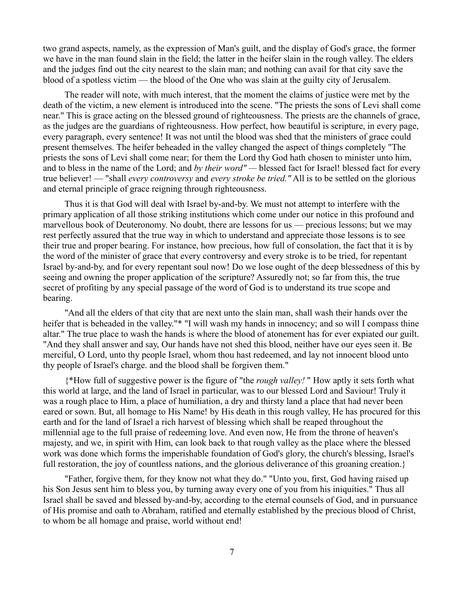two grand aspects, namely, as the expression of Man's guilt, and the display of God's grace, the former we have in the man found slain in the field; the latter in the heifer slain in the rough valley. The elders and the judges find out the city nearest to the slain man; and nothing can avail for that city save the blood of a spotless victim — the blood of the One who was slain at the guilty city of Jerusalem.

The reader will note, with much interest, that the moment the claims of justice were met by the death of the victim, a new element is introduced into the scene. "The priests the sons of Levi shall come near." This is grace acting on the blessed ground of righteousness. The priests are the channels of grace, as the judges are the guardians of righteousness. How perfect, how beautiful is scripture, in every page, every paragraph, every sentence! It was not until the blood was shed that the ministers of grace could present themselves. The heifer beheaded in the valley changed the aspect of things completely "The priests the sons of Levi shall come near; for them the Lord thy God hath chosen to minister unto him, and to bless in the name of the Lord; and *by their word" —* blessed fact for Israel! blessed fact for every true believer! — "shall *every controversy* and *every stroke be tried."* All is to be settled on the glorious and eternal principle of grace reigning through righteousness.

Thus it is that God will deal with Israel by-and-by. We must not attempt to interfere with the primary application of all those striking institutions which come under our notice in this profound and marvellous book of Deuteronomy. No doubt, there are lessons for us — precious lessons; but we may rest perfectly assured that the true way in which to understand and appreciate those lessons is to see their true and proper bearing. For instance, how precious, how full of consolation, the fact that it is by the word of the minister of grace that every controversy and every stroke is to be tried, for repentant Israel by-and-by, and for every repentant soul now! Do we lose ought of the deep blessedness of this by seeing and owning the proper application of the scripture? Assuredly not; so far from this, the true secret of profiting by any special passage of the word of God is to understand its true scope and bearing.

"And all the elders of that city that are next unto the slain man, shall wash their hands over the heifer that is beheaded in the valley."\* "I will wash my hands in innocency; and so will I compass thine altar." The true place to wash the hands is where the blood of atonement has for ever expiated our guilt. "And they shall answer and say, Our hands have not shed this blood, neither have our eyes seen it. Be merciful, O Lord, unto thy people Israel, whom thou hast redeemed, and lay not innocent blood unto thy people of Israel's charge. and the blood shall be forgiven them."

{\*How full of suggestive power is the figure of "the *rough valley!* " How aptly it sets forth what this world at large, and the land of Israel in particular, was to our blessed Lord and Saviour! Truly it was a rough place to Him, a place of humiliation, a dry and thirsty land a place that had never been eared or sown. But, all homage to His Name! by His death in this rough valley, He has procured for this earth and for the land of Israel a rich harvest of blessing which shall be reaped throughout the millennial age to the full praise of redeeming love. And even now, He from the throne of heaven's majesty, and we, in spirit with Him, can look back to that rough valley as the place where the blessed work was done which forms the imperishable foundation of God's glory, the church's blessing, Israel's full restoration, the joy of countless nations, and the glorious deliverance of this groaning creation.}

"Father, forgive them, for they know not what they do." "Unto you, first, God having raised up his Son Jesus sent him to bless you, by turning away every one of you from his iniquities." Thus all Israel shall be saved and blessed by-and-by, according to the eternal counsels of God, and in pursuance of His promise and oath to Abraham, ratified and eternally established by the precious blood of Christ, to whom be all homage and praise, world without end!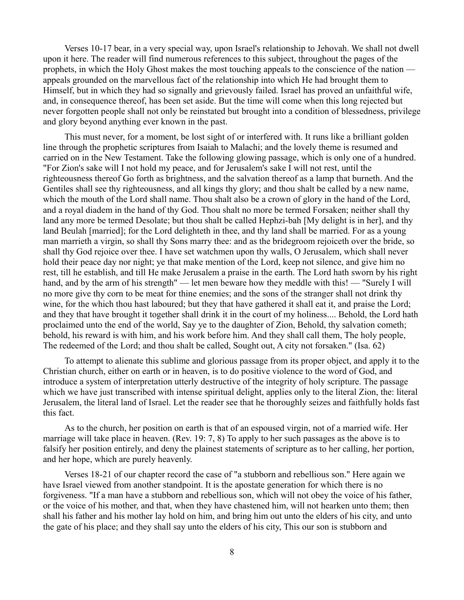Verses 10-17 bear, in a very special way, upon Israel's relationship to Jehovah. We shall not dwell upon it here. The reader will find numerous references to this subject, throughout the pages of the prophets, in which the Holy Ghost makes the most touching appeals to the conscience of the nation appeals grounded on the marvellous fact of the relationship into which He had brought them to Himself, but in which they had so signally and grievously failed. Israel has proved an unfaithful wife, and, in consequence thereof, has been set aside. But the time will come when this long rejected but never forgotten people shall not only be reinstated but brought into a condition of blessedness, privilege and glory beyond anything ever known in the past.

This must never, for a moment, be lost sight of or interfered with. It runs like a brilliant golden line through the prophetic scriptures from Isaiah to Malachi; and the lovely theme is resumed and carried on in the New Testament. Take the following glowing passage, which is only one of a hundred. "For Zion's sake will I not hold my peace, and for Jerusalem's sake I will not rest, until the righteousness thereof Go forth as brightness, and the salvation thereof as a lamp that burneth. And the Gentiles shall see thy righteousness, and all kings thy glory; and thou shalt be called by a new name, which the mouth of the Lord shall name. Thou shalt also be a crown of glory in the hand of the Lord, and a royal diadem in the hand of thy God. Thou shalt no more be termed Forsaken; neither shall thy land any more be termed Desolate; but thou shalt be called Hephzi-bah [My delight is in her], and thy land Beulah [married]; for the Lord delighteth in thee, and thy land shall be married. For as a young man marrieth a virgin, so shall thy Sons marry thee: and as the bridegroom rejoiceth over the bride, so shall thy God rejoice over thee. I have set watchmen upon thy walls, O Jerusalem, which shall never hold their peace day nor night; ye that make mention of the Lord, keep not silence, and give him no rest, till he establish, and till He make Jerusalem a praise in the earth. The Lord hath sworn by his right hand, and by the arm of his strength" — let men beware how they meddle with this! — "Surely I will no more give thy corn to be meat for thine enemies; and the sons of the stranger shall not drink thy wine, for the which thou hast laboured; but they that have gathered it shall eat it, and praise the Lord; and they that have brought it together shall drink it in the court of my holiness.... Behold, the Lord hath proclaimed unto the end of the world, Say ye to the daughter of Zion, Behold, thy salvation cometh; behold, his reward is with him, and his work before him. And they shall call them, The holy people, The redeemed of the Lord; and thou shalt be called, Sought out, A city not forsaken." (Isa. 62)

To attempt to alienate this sublime and glorious passage from its proper object, and apply it to the Christian church, either on earth or in heaven, is to do positive violence to the word of God, and introduce a system of interpretation utterly destructive of the integrity of holy scripture. The passage which we have just transcribed with intense spiritual delight, applies only to the literal Zion, the: literal Jerusalem, the literal land of Israel. Let the reader see that he thoroughly seizes and faithfully holds fast this fact.

As to the church, her position on earth is that of an espoused virgin, not of a married wife. Her marriage will take place in heaven. (Rev. 19: 7, 8) To apply to her such passages as the above is to falsify her position entirely, and deny the plainest statements of scripture as to her calling, her portion, and her hope, which are purely heavenly.

Verses 18-21 of our chapter record the case of "a stubborn and rebellious son." Here again we have Israel viewed from another standpoint. It is the apostate generation for which there is no forgiveness. "If a man have a stubborn and rebellious son, which will not obey the voice of his father, or the voice of his mother, and that, when they have chastened him, will not hearken unto them; then shall his father and his mother lay hold on him, and bring him out unto the elders of his city, and unto the gate of his place; and they shall say unto the elders of his city, This our son is stubborn and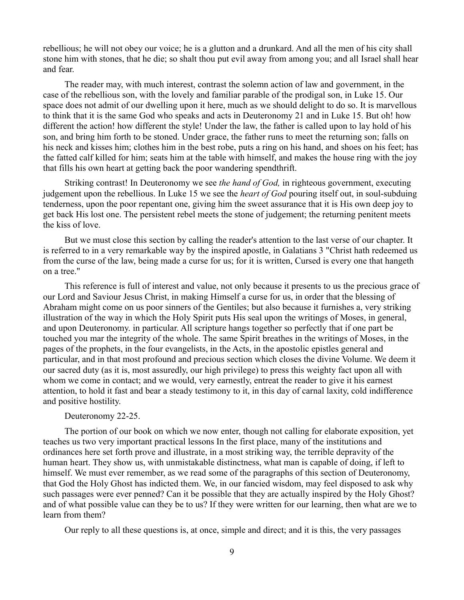rebellious; he will not obey our voice; he is a glutton and a drunkard. And all the men of his city shall stone him with stones, that he die; so shalt thou put evil away from among you; and all Israel shall hear and fear.

The reader may, with much interest, contrast the solemn action of law and government, in the case of the rebellious son, with the lovely and familiar parable of the prodigal son, in Luke 15. Our space does not admit of our dwelling upon it here, much as we should delight to do so. It is marvellous to think that it is the same God who speaks and acts in Deuteronomy 21 and in Luke 15. But oh! how different the action! how different the style! Under the law, the father is called upon to lay hold of his son, and bring him forth to be stoned. Under grace, the father runs to meet the returning son; falls on his neck and kisses him; clothes him in the best robe, puts a ring on his hand, and shoes on his feet; has the fatted calf killed for him; seats him at the table with himself, and makes the house ring with the joy that fills his own heart at getting back the poor wandering spendthrift.

Striking contrast! In Deuteronomy we see *the hand of God,* in righteous government, executing judgement upon the rebellious. In Luke 15 we see the *heart of God* pouring itself out, in soul-subduing tenderness, upon the poor repentant one, giving him the sweet assurance that it is His own deep joy to get back His lost one. The persistent rebel meets the stone of judgement; the returning penitent meets the kiss of love.

But we must close this section by calling the reader's attention to the last verse of our chapter. It is referred to in a very remarkable way by the inspired apostle, in Galatians 3 "Christ hath redeemed us from the curse of the law, being made a curse for us; for it is written, Cursed is every one that hangeth on a tree."

This reference is full of interest and value, not only because it presents to us the precious grace of our Lord and Saviour Jesus Christ, in making Himself a curse for us, in order that the blessing of Abraham might come on us poor sinners of the Gentiles; but also because it furnishes a, very striking illustration of the way in which the Holy Spirit puts His seal upon the writings of Moses, in general, and upon Deuteronomy. in particular. All scripture hangs together so perfectly that if one part be touched you mar the integrity of the whole. The same Spirit breathes in the writings of Moses, in the pages of the prophets, in the four evangelists, in the Acts, in the apostolic epistles general and particular, and in that most profound and precious section which closes the divine Volume. We deem it our sacred duty (as it is, most assuredly, our high privilege) to press this weighty fact upon all with whom we come in contact; and we would, very earnestly, entreat the reader to give it his earnest attention, to hold it fast and bear a steady testimony to it, in this day of carnal laxity, cold indifference and positive hostility.

# Deuteronomy 22-25.

The portion of our book on which we now enter, though not calling for elaborate exposition, yet teaches us two very important practical lessons In the first place, many of the institutions and ordinances here set forth prove and illustrate, in a most striking way, the terrible depravity of the human heart. They show us, with unmistakable distinctness, what man is capable of doing, if left to himself. We must ever remember, as we read some of the paragraphs of this section of Deuteronomy, that God the Holy Ghost has indicted them. We, in our fancied wisdom, may feel disposed to ask why such passages were ever penned? Can it be possible that they are actually inspired by the Holy Ghost? and of what possible value can they be to us? If they were written for our learning, then what are we to learn from them?

Our reply to all these questions is, at once, simple and direct; and it is this, the very passages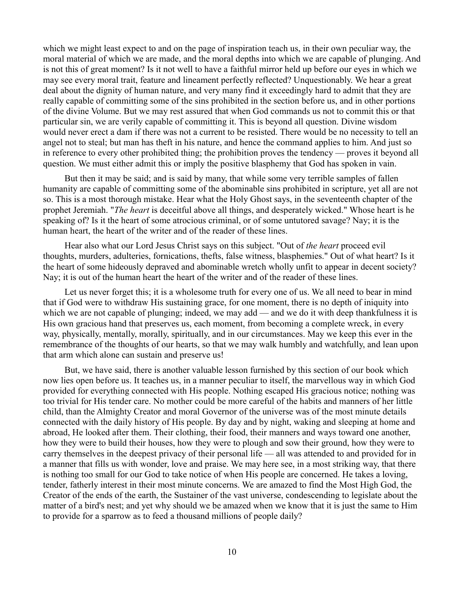which we might least expect to and on the page of inspiration teach us, in their own peculiar way, the moral material of which we are made, and the moral depths into which we are capable of plunging. And is not this of great moment? Is it not well to have a faithful mirror held up before our eyes in which we may see every moral trait, feature and lineament perfectly reflected? Unquestionably. We hear a great deal about the dignity of human nature, and very many find it exceedingly hard to admit that they are really capable of committing some of the sins prohibited in the section before us, and in other portions of the divine Volume. But we may rest assured that when God commands us not to commit this or that particular sin, we are verily capable of committing it. This is beyond all question. Divine wisdom would never erect a dam if there was not a current to be resisted. There would be no necessity to tell an angel not to steal; but man has theft in his nature, and hence the command applies to him. And just so in reference to every other prohibited thing; the prohibition proves the tendency — proves it beyond all question. We must either admit this or imply the positive blasphemy that God has spoken in vain.

But then it may be said; and is said by many, that while some very terrible samples of fallen humanity are capable of committing some of the abominable sins prohibited in scripture, yet all are not so. This is a most thorough mistake. Hear what the Holy Ghost says, in the seventeenth chapter of the prophet Jeremiah. "*The heart* is deceitful above all things, and desperately wicked." Whose heart is he speaking of? Is it the heart of some atrocious criminal, or of some untutored savage? Nay; it is the human heart, the heart of the writer and of the reader of these lines.

Hear also what our Lord Jesus Christ says on this subject. "Out of *the heart* proceed evil thoughts, murders, adulteries, fornications, thefts, false witness, blasphemies." Out of what heart? Is it the heart of some hideously depraved and abominable wretch wholly unfit to appear in decent society? Nay; it is out of the human heart the heart of the writer and of the reader of these lines.

Let us never forget this; it is a wholesome truth for every one of us. We all need to bear in mind that if God were to withdraw His sustaining grace, for one moment, there is no depth of iniquity into which we are not capable of plunging; indeed, we may add — and we do it with deep thankfulness it is His own gracious hand that preserves us, each moment, from becoming a complete wreck, in every way, physically, mentally, morally, spiritually, and in our circumstances. May we keep this ever in the remembrance of the thoughts of our hearts, so that we may walk humbly and watchfully, and lean upon that arm which alone can sustain and preserve us!

But, we have said, there is another valuable lesson furnished by this section of our book which now lies open before us. It teaches us, in a manner peculiar to itself, the marvellous way in which God provided for everything connected with His people. Nothing escaped His gracious notice; nothing was too trivial for His tender care. No mother could be more careful of the habits and manners of her little child, than the Almighty Creator and moral Governor of the universe was of the most minute details connected with the daily history of His people. By day and by night, waking and sleeping at home and abroad, He looked after them. Their clothing, their food, their manners and ways toward one another, how they were to build their houses, how they were to plough and sow their ground, how they were to carry themselves in the deepest privacy of their personal life — all was attended to and provided for in a manner that fills us with wonder, love and praise. We may here see, in a most striking way, that there is nothing too small for our God to take notice of when His people are concerned. He takes a loving, tender, fatherly interest in their most minute concerns. We are amazed to find the Most High God, the Creator of the ends of the earth, the Sustainer of the vast universe, condescending to legislate about the matter of a bird's nest; and yet why should we be amazed when we know that it is just the same to Him to provide for a sparrow as to feed a thousand millions of people daily?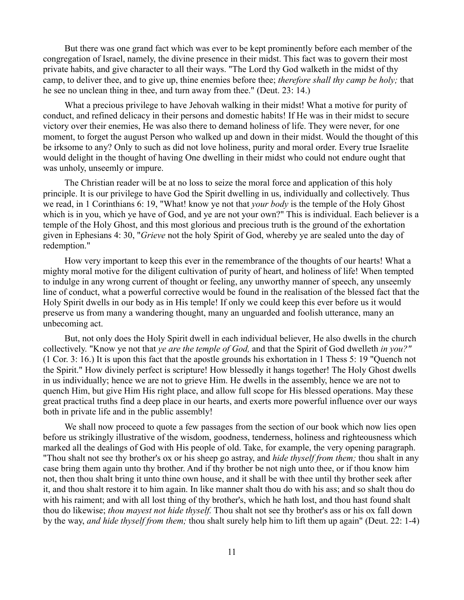But there was one grand fact which was ever to be kept prominently before each member of the congregation of Israel, namely, the divine presence in their midst. This fact was to govern their most private habits, and give character to all their ways. "The Lord thy God walketh in the midst of thy camp, to deliver thee, and to give up, thine enemies before thee; *therefore shall thy camp be holy;* that he see no unclean thing in thee, and turn away from thee." (Deut. 23: 14.)

What a precious privilege to have Jehovah walking in their midst! What a motive for purity of conduct, and refined delicacy in their persons and domestic habits! If He was in their midst to secure victory over their enemies, He was also there to demand holiness of life. They were never, for one moment, to forget the august Person who walked up and down in their midst. Would the thought of this be irksome to any? Only to such as did not love holiness, purity and moral order. Every true Israelite would delight in the thought of having One dwelling in their midst who could not endure ought that was unholy, unseemly or impure.

The Christian reader will be at no loss to seize the moral force and application of this holy principle. It is our privilege to have God the Spirit dwelling in us, individually and collectively. Thus we read, in 1 Corinthians 6: 19, "What! know ye not that *your body* is the temple of the Holy Ghost which is in you, which ye have of God, and ye are not your own?" This is individual. Each believer is a temple of the Holy Ghost, and this most glorious and precious truth is the ground of the exhortation given in Ephesians 4: 30, "*Grieve* not the holy Spirit of God, whereby ye are sealed unto the day of redemption."

How very important to keep this ever in the remembrance of the thoughts of our hearts! What a mighty moral motive for the diligent cultivation of purity of heart, and holiness of life! When tempted to indulge in any wrong current of thought or feeling, any unworthy manner of speech, any unseemly line of conduct, what a powerful corrective would be found in the realisation of the blessed fact that the Holy Spirit dwells in our body as in His temple! If only we could keep this ever before us it would preserve us from many a wandering thought, many an unguarded and foolish utterance, many an unbecoming act.

But, not only does the Holy Spirit dwell in each individual believer, He also dwells in the church collectively. "Know ye not that *ye are the temple of God,* and that the Spirit of God dwelleth *in you?"* (1 Cor. 3: 16.) It is upon this fact that the apostle grounds his exhortation in 1 Thess 5: 19 "Quench not the Spirit." How divinely perfect is scripture! How blessedly it hangs together! The Holy Ghost dwells in us individually; hence we are not to grieve Him. He dwells in the assembly, hence we are not to quench Him, but give Him His right place, and allow full scope for His blessed operations. May these great practical truths find a deep place in our hearts, and exerts more powerful influence over our ways both in private life and in the public assembly!

We shall now proceed to quote a few passages from the section of our book which now lies open before us strikingly illustrative of the wisdom, goodness, tenderness, holiness and righteousness which marked all the dealings of God with His people of old. Take, for example, the very opening paragraph. "Thou shalt not see thy brother's ox or his sheep go astray, and *hide thyself from them;* thou shalt in any case bring them again unto thy brother. And if thy brother be not nigh unto thee, or if thou know him not, then thou shalt bring it unto thine own house, and it shall be with thee until thy brother seek after it, and thou shalt restore it to him again. In like manner shalt thou do with his ass; and so shalt thou do with his raiment; and with all lost thing of thy brother's, which he hath lost, and thou hast found shalt thou do likewise; *thou mayest not hide thyself.* Thou shalt not see thy brother's ass or his ox fall down by the way, *and hide thyself from them;* thou shalt surely help him to lift them up again" (Deut. 22: 1-4)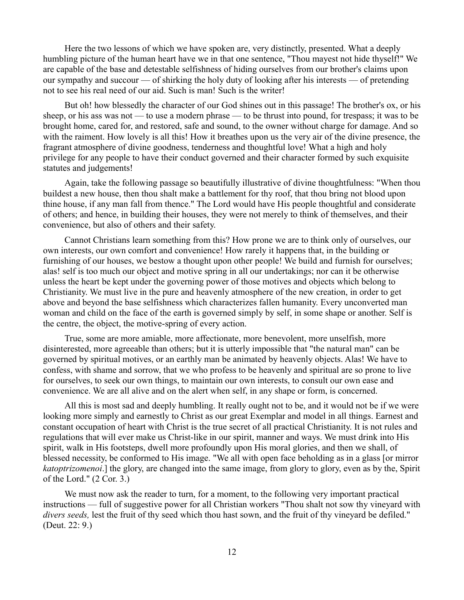Here the two lessons of which we have spoken are, very distinctly, presented. What a deeply humbling picture of the human heart have we in that one sentence, "Thou mayest not hide thyself!" We are capable of the base and detestable selfishness of hiding ourselves from our brother's claims upon our sympathy and succour — of shirking the holy duty of looking after his interests — of pretending not to see his real need of our aid. Such is man! Such is the writer!

But oh! how blessedly the character of our God shines out in this passage! The brother's ox, or his sheep, or his ass was not — to use a modern phrase — to be thrust into pound, for trespass; it was to be brought home, cared for, and restored, safe and sound, to the owner without charge for damage. And so with the raiment. How lovely is all this! How it breathes upon us the very air of the divine presence, the fragrant atmosphere of divine goodness, tenderness and thoughtful love! What a high and holy privilege for any people to have their conduct governed and their character formed by such exquisite statutes and judgements!

Again, take the following passage so beautifully illustrative of divine thoughtfulness: "When thou buildest a new house, then thou shalt make a battlement for thy roof, that thou bring not blood upon thine house, if any man fall from thence." The Lord would have His people thoughtful and considerate of others; and hence, in building their houses, they were not merely to think of themselves, and their convenience, but also of others and their safety.

Cannot Christians learn something from this? How prone we are to think only of ourselves, our own interests, our own comfort and convenience! How rarely it happens that, in the building or furnishing of our houses, we bestow a thought upon other people! We build and furnish for ourselves; alas! self is too much our object and motive spring in all our undertakings; nor can it be otherwise unless the heart be kept under the governing power of those motives and objects which belong to Christianity. We must live in the pure and heavenly atmosphere of the new creation, in order to get above and beyond the base selfishness which characterizes fallen humanity. Every unconverted man woman and child on the face of the earth is governed simply by self, in some shape or another. Self is the centre, the object, the motive-spring of every action.

True, some are more amiable, more affectionate, more benevolent, more unselfish, more disinterested, more agreeable than others; but it is utterly impossible that "the natural man" can be governed by spiritual motives, or an earthly man be animated by heavenly objects. Alas! We have to confess, with shame and sorrow, that we who profess to be heavenly and spiritual are so prone to live for ourselves, to seek our own things, to maintain our own interests, to consult our own ease and convenience. We are all alive and on the alert when self, in any shape or form, is concerned.

All this is most sad and deeply humbling. It really ought not to be, and it would not be if we were looking more simply and earnestly to Christ as our great Exemplar and model in all things. Earnest and constant occupation of heart with Christ is the true secret of all practical Christianity. It is not rules and regulations that will ever make us Christ-like in our spirit, manner and ways. We must drink into His spirit, walk in His footsteps, dwell more profoundly upon His moral glories, and then we shall, of blessed necessity, be conformed to His image. "We all with open face beholding as in a glass [or mirror *katoptrizomenoi*.] the glory, are changed into the same image, from glory to glory, even as by the, Spirit of the Lord." (2 Cor. 3.)

We must now ask the reader to turn, for a moment, to the following very important practical instructions — full of suggestive power for all Christian workers "Thou shalt not sow thy vineyard with *divers seeds,* lest the fruit of thy seed which thou hast sown, and the fruit of thy vineyard be defiled." (Deut. 22: 9.)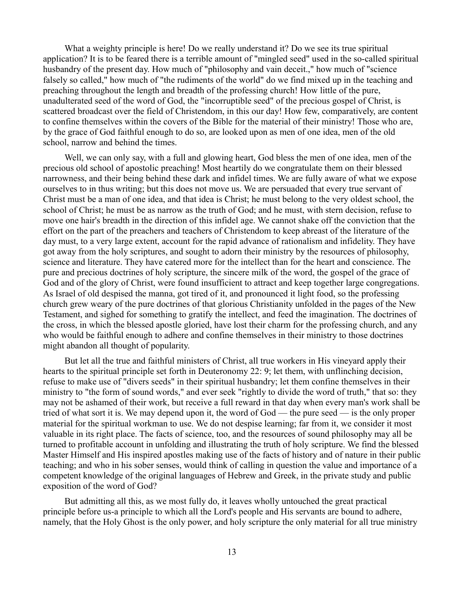What a weighty principle is here! Do we really understand it? Do we see its true spiritual application? It is to be feared there is a terrible amount of "mingled seed" used in the so-called spiritual husbandry of the present day. How much of "philosophy and vain deceit.," how much of "science" falsely so called," how much of "the rudiments of the world" do we find mixed up in the teaching and preaching throughout the length and breadth of the professing church! How little of the pure, unadulterated seed of the word of God, the "incorruptible seed" of the precious gospel of Christ, is scattered broadcast over the field of Christendom, in this our day! How few, comparatively, are content to confine themselves within the covers of the Bible for the material of their ministry! Those who are, by the grace of God faithful enough to do so, are looked upon as men of one idea, men of the old school, narrow and behind the times.

Well, we can only say, with a full and glowing heart, God bless the men of one idea, men of the precious old school of apostolic preaching! Most heartily do we congratulate them on their blessed narrowness, and their being behind these dark and infidel times. We are fully aware of what we expose ourselves to in thus writing; but this does not move us. We are persuaded that every true servant of Christ must be a man of one idea, and that idea is Christ; he must belong to the very oldest school, the school of Christ; he must be as narrow as the truth of God; and he must, with stern decision, refuse to move one hair's breadth in the direction of this infidel age. We cannot shake off the conviction that the effort on the part of the preachers and teachers of Christendom to keep abreast of the literature of the day must, to a very large extent, account for the rapid advance of rationalism and infidelity. They have got away from the holy scriptures, and sought to adorn their ministry by the resources of philosophy, science and literature. They have catered more for the intellect than for the heart and conscience. The pure and precious doctrines of holy scripture, the sincere milk of the word, the gospel of the grace of God and of the glory of Christ, were found insufficient to attract and keep together large congregations. As Israel of old despised the manna, got tired of it, and pronounced it light food, so the professing church grew weary of the pure doctrines of that glorious Christianity unfolded in the pages of the New Testament, and sighed for something to gratify the intellect, and feed the imagination. The doctrines of the cross, in which the blessed apostle gloried, have lost their charm for the professing church, and any who would be faithful enough to adhere and confine themselves in their ministry to those doctrines might abandon all thought of popularity.

But let all the true and faithful ministers of Christ, all true workers in His vineyard apply their hearts to the spiritual principle set forth in Deuteronomy 22: 9; let them, with unflinching decision, refuse to make use of "divers seeds" in their spiritual husbandry; let them confine themselves in their ministry to "the form of sound words," and ever seek "rightly to divide the word of truth," that so: they may not be ashamed of their work, but receive a full reward in that day when every man's work shall be tried of what sort it is. We may depend upon it, the word of God — the pure seed — is the only proper material for the spiritual workman to use. We do not despise learning; far from it, we consider it most valuable in its right place. The facts of science, too, and the resources of sound philosophy may all be turned to profitable account in unfolding and illustrating the truth of holy scripture. We find the blessed Master Himself and His inspired apostles making use of the facts of history and of nature in their public teaching; and who in his sober senses, would think of calling in question the value and importance of a competent knowledge of the original languages of Hebrew and Greek, in the private study and public exposition of the word of God?

But admitting all this, as we most fully do, it leaves wholly untouched the great practical principle before us-a principle to which all the Lord's people and His servants are bound to adhere, namely, that the Holy Ghost is the only power, and holy scripture the only material for all true ministry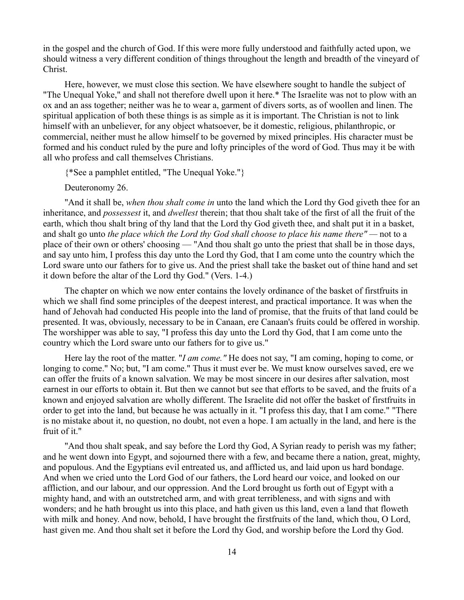in the gospel and the church of God. If this were more fully understood and faithfully acted upon, we should witness a very different condition of things throughout the length and breadth of the vineyard of Christ.

Here, however, we must close this section. We have elsewhere sought to handle the subject of "The Unequal Yoke," and shall not therefore dwell upon it here.\* The Israelite was not to plow with an ox and an ass together; neither was he to wear a, garment of divers sorts, as of woollen and linen. The spiritual application of both these things is as simple as it is important. The Christian is not to link himself with an unbeliever, for any object whatsoever, be it domestic, religious, philanthropic, or commercial, neither must he allow himself to be governed by mixed principles. His character must be formed and his conduct ruled by the pure and lofty principles of the word of God. Thus may it be with all who profess and call themselves Christians.

{\*See a pamphlet entitled, "The Unequal Yoke."}

Deuteronomy 26.

"And it shall be, *when thou shalt come in* unto the land which the Lord thy God giveth thee for an inheritance, and *possessest* it, and *dwellest* therein; that thou shalt take of the first of all the fruit of the earth, which thou shalt bring of thy land that the Lord thy God giveth thee, and shalt put it in a basket, and shalt go unto *the place which the Lord thy God shall choose to place his name there" —* not to a place of their own or others' choosing — "And thou shalt go unto the priest that shall be in those days, and say unto him, I profess this day unto the Lord thy God, that I am come unto the country which the Lord sware unto our fathers for to give us. And the priest shall take the basket out of thine hand and set it down before the altar of the Lord thy God." (Vers. 1-4.)

The chapter on which we now enter contains the lovely ordinance of the basket of firstfruits in which we shall find some principles of the deepest interest, and practical importance. It was when the hand of Jehovah had conducted His people into the land of promise, that the fruits of that land could be presented. It was, obviously, necessary to be in Canaan, ere Canaan's fruits could be offered in worship. The worshipper was able to say, "I profess this day unto the Lord thy God, that I am come unto the country which the Lord sware unto our fathers for to give us."

Here lay the root of the matter. "*I am come."* He does not say, "I am coming, hoping to come, or longing to come." No; but, "I am come." Thus it must ever be. We must know ourselves saved, ere we can offer the fruits of a known salvation. We may be most sincere in our desires after salvation, most earnest in our efforts to obtain it. But then we cannot but see that efforts to be saved, and the fruits of a known and enjoyed salvation are wholly different. The Israelite did not offer the basket of firstfruits in order to get into the land, but because he was actually in it. "I profess this day, that I am come." "There is no mistake about it, no question, no doubt, not even a hope. I am actually in the land, and here is the fruit of it."

"And thou shalt speak, and say before the Lord thy God, A Syrian ready to perish was my father; and he went down into Egypt, and sojourned there with a few, and became there a nation, great, mighty, and populous. And the Egyptians evil entreated us, and afflicted us, and laid upon us hard bondage. And when we cried unto the Lord God of our fathers, the Lord heard our voice, and looked on our affliction, and our labour, and our oppression. And the Lord brought us forth out of Egypt with a mighty hand, and with an outstretched arm, and with great terribleness, and with signs and with wonders; and he hath brought us into this place, and hath given us this land, even a land that floweth with milk and honey. And now, behold, I have brought the firstfruits of the land, which thou, O Lord, hast given me. And thou shalt set it before the Lord thy God, and worship before the Lord thy God.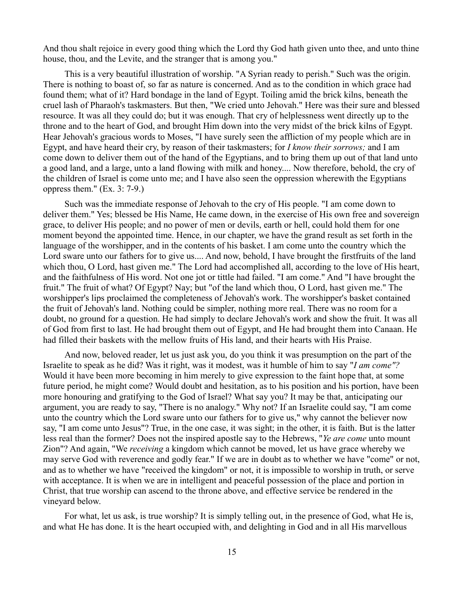And thou shalt rejoice in every good thing which the Lord thy God hath given unto thee, and unto thine house, thou, and the Levite, and the stranger that is among you."

This is a very beautiful illustration of worship. "A Syrian ready to perish." Such was the origin. There is nothing to boast of, so far as nature is concerned. And as to the condition in which grace had found them; what of it? Hard bondage in the land of Egypt. Toiling amid the brick kilns, beneath the cruel lash of Pharaoh's taskmasters. But then, "We cried unto Jehovah." Here was their sure and blessed resource. It was all they could do; but it was enough. That cry of helplessness went directly up to the throne and to the heart of God, and brought Him down into the very midst of the brick kilns of Egypt. Hear Jehovah's gracious words to Moses, "I have surely seen the affliction of my people which are in Egypt, and have heard their cry, by reason of their taskmasters; for *I know their sorrows;* and I am come down to deliver them out of the hand of the Egyptians, and to bring them up out of that land unto a good land, and a large, unto a land flowing with milk and honey.... Now therefore, behold, the cry of the children of Israel is come unto me; and I have also seen the oppression wherewith the Egyptians oppress them." (Ex. 3: 7-9.)

Such was the immediate response of Jehovah to the cry of His people. "I am come down to deliver them." Yes; blessed be His Name, He came down, in the exercise of His own free and sovereign grace, to deliver His people; and no power of men or devils, earth or hell, could hold them for one moment beyond the appointed time. Hence, in our chapter, we have the grand result as set forth in the language of the worshipper, and in the contents of his basket. I am come unto the country which the Lord sware unto our fathers for to give us.... And now, behold, I have brought the firstfruits of the land which thou, O Lord, hast given me." The Lord had accomplished all, according to the love of His heart, and the faithfulness of His word. Not one jot or tittle had failed. "I am come." And "I have brought the fruit." The fruit of what? Of Egypt? Nay; but "of the land which thou, O Lord, hast given me." The worshipper's lips proclaimed the completeness of Jehovah's work. The worshipper's basket contained the fruit of Jehovah's land. Nothing could be simpler, nothing more real. There was no room for a doubt, no ground for a question. He had simply to declare Jehovah's work and show the fruit. It was all of God from first to last. He had brought them out of Egypt, and He had brought them into Canaan. He had filled their baskets with the mellow fruits of His land, and their hearts with His Praise.

And now, beloved reader, let us just ask you, do you think it was presumption on the part of the Israelite to speak as he did? Was it right, was it modest, was it humble of him to say "*I am come"?* Would it have been more becoming in him merely to give expression to the faint hope that, at some future period, he might come? Would doubt and hesitation, as to his position and his portion, have been more honouring and gratifying to the God of Israel? What say you? It may be that, anticipating our argument, you are ready to say, "There is no analogy." Why not? If an Israelite could say, "I am come unto the country which the Lord sware unto our fathers for to give us," why cannot the believer now say, "I am come unto Jesus"? True, in the one case, it was sight; in the other, it is faith. But is the latter less real than the former? Does not the inspired apostle say to the Hebrews, "*Ye are come* unto mount Zion"? And again, "We *receiving* a kingdom which cannot be moved, let us have grace whereby we may serve God with reverence and godly fear." If we are in doubt as to whether we have "come" or not, and as to whether we have "received the kingdom" or not, it is impossible to worship in truth, or serve with acceptance. It is when we are in intelligent and peaceful possession of the place and portion in Christ, that true worship can ascend to the throne above, and effective service be rendered in the vineyard below.

For what, let us ask, is true worship? It is simply telling out, in the presence of God, what He is, and what He has done. It is the heart occupied with, and delighting in God and in all His marvellous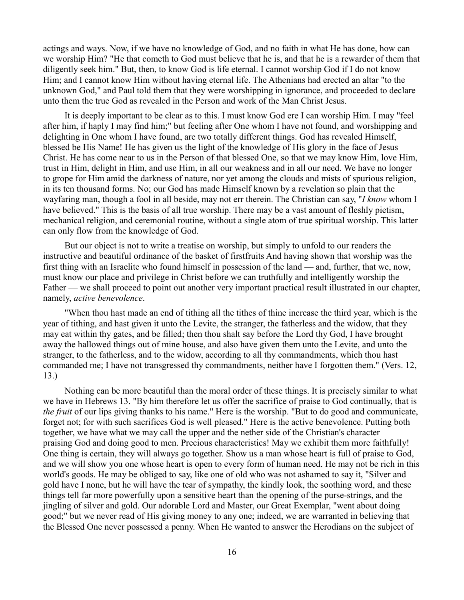actings and ways. Now, if we have no knowledge of God, and no faith in what He has done, how can we worship Him? "He that cometh to God must believe that he is, and that he is a rewarder of them that diligently seek him." But, then, to know God is life eternal. I cannot worship God if I do not know Him; and I cannot know Him without having eternal life. The Athenians had erected an altar "to the unknown God," and Paul told them that they were worshipping in ignorance, and proceeded to declare unto them the true God as revealed in the Person and work of the Man Christ Jesus.

It is deeply important to be clear as to this. I must know God ere I can worship Him. I may "feel after him, if haply I may find him;" but feeling after One whom I have not found, and worshipping and delighting in One whom I have found, are two totally different things. God has revealed Himself, blessed be His Name! He has given us the light of the knowledge of His glory in the face of Jesus Christ. He has come near to us in the Person of that blessed One, so that we may know Him, love Him, trust in Him, delight in Him, and use Him, in all our weakness and in all our need. We have no longer to grope for Him amid the darkness of nature, nor yet among the clouds and mists of spurious religion, in its ten thousand forms. No; our God has made Himself known by a revelation so plain that the wayfaring man, though a fool in all beside, may not err therein. The Christian can say, "*I know* whom I have believed." This is the basis of all true worship. There may be a vast amount of fleshly pietism, mechanical religion, and ceremonial routine, without a single atom of true spiritual worship. This latter can only flow from the knowledge of God.

But our object is not to write a treatise on worship, but simply to unfold to our readers the instructive and beautiful ordinance of the basket of firstfruits And having shown that worship was the first thing with an Israelite who found himself in possession of the land — and, further, that we, now, must know our place and privilege in Christ before we can truthfully and intelligently worship the Father — we shall proceed to point out another very important practical result illustrated in our chapter, namely, *active benevolence*.

"When thou hast made an end of tithing all the tithes of thine increase the third year, which is the year of tithing, and hast given it unto the Levite, the stranger, the fatherless and the widow, that they may eat within thy gates, and be filled; then thou shalt say before the Lord thy God, I have brought away the hallowed things out of mine house, and also have given them unto the Levite, and unto the stranger, to the fatherless, and to the widow, according to all thy commandments, which thou hast commanded me; I have not transgressed thy commandments, neither have I forgotten them." (Vers. 12, 13.)

Nothing can be more beautiful than the moral order of these things. It is precisely similar to what we have in Hebrews 13. "By him therefore let us offer the sacrifice of praise to God continually, that is *the fruit* of our lips giving thanks to his name." Here is the worship. "But to do good and communicate, forget not; for with such sacrifices God is well pleased." Here is the active benevolence. Putting both together, we have what we may call the upper and the nether side of the Christian's character praising God and doing good to men. Precious characteristics! May we exhibit them more faithfully! One thing is certain, they will always go together. Show us a man whose heart is full of praise to God, and we will show you one whose heart is open to every form of human need. He may not be rich in this world's goods. He may be obliged to say, like one of old who was not ashamed to say it, "Silver and gold have I none, but he will have the tear of sympathy, the kindly look, the soothing word, and these things tell far more powerfully upon a sensitive heart than the opening of the purse-strings, and the jingling of silver and gold. Our adorable Lord and Master, our Great Exemplar, "went about doing good;" but we never read of His giving money to any one; indeed, we are warranted in believing that the Blessed One never possessed a penny. When He wanted to answer the Herodians on the subject of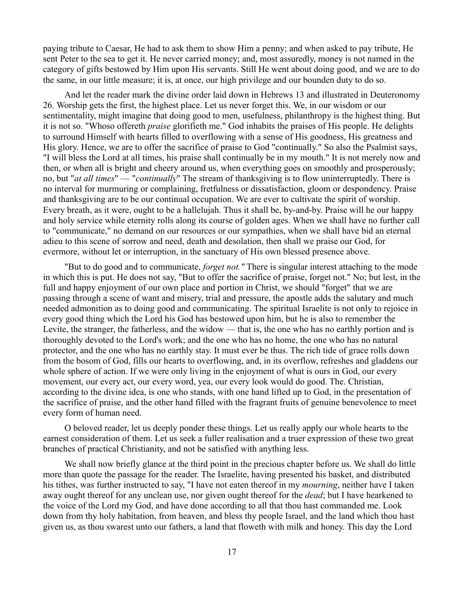paying tribute to Caesar, He had to ask them to show Him a penny; and when asked to pay tribute, He sent Peter to the sea to get it. He never carried money; and, most assuredly, money is not named in the category of gifts bestowed by Him upon His servants. Still He went about doing good, and we are to do the same, in our little measure; it is, at once, our high privilege and our bounden duty to do so.

And let the reader mark the divine order laid down in Hebrews 13 and illustrated in Deuteronomy 26. Worship gets the first, the highest place. Let us never forget this. We, in our wisdom or our sentimentality, might imagine that doing good to men, usefulness, philanthropy is the highest thing. But it is not so. "Whoso offereth *praise* glorifieth me." God inhabits the praises of His people. He delights to surround Himself with hearts filled to overflowing with a sense of His goodness, His greatness and His glory. Hence, we are to offer the sacrifice of praise to God "continually." So also the Psalmist says, "I will bless the Lord at all times, his praise shall continually be in my mouth." It is not merely now and then, or when all is bright and cheery around us, when everything goes on smoothly and prosperously; no, but "*at all times*" — "*continually*" The stream of thanksgiving is to flow uninterruptedly. There is no interval for murmuring or complaining, fretfulness or dissatisfaction, gloom or despondency. Praise and thanksgiving are to be our continual occupation. We are ever to cultivate the spirit of worship. Every breath, as it were, ought to be a hallelujah. Thus it shall be, by-and-by. Praise will he our happy and holy service while eternity rolls along its course of golden ages. When we shall have no further call to "communicate," no demand on our resources or our sympathies, when we shall have bid an eternal adieu to this scene of sorrow and need, death and desolation, then shall we praise our God, for evermore, without let or interruption, in the sanctuary of His own blessed presence above.

"But to do good and to communicate, *forget not."* There is singular interest attaching to the mode in which this is put. He does not say, "But to offer the sacrifice of praise, forget not." No; but lest, in the full and happy enjoyment of our own place and portion in Christ, we should "forget" that we are passing through a scene of want and misery, trial and pressure, the apostle adds the salutary and much needed admonition as to doing good and communicating. The spiritual Israelite is not only to rejoice in every good thing which the Lord his God has bestowed upon him, but he is also to remember the Levite, the stranger, the fatherless, and the widow — that is, the one who has no earthly portion and is thoroughly devoted to the Lord's work; and the one who has no home, the one who has no natural protector, and the one who has no earthly stay. It must ever be thus. The rich tide of grace rolls down from the bosom of God, fills our hearts to overflowing, and, in its overflow, refreshes and gladdens our whole sphere of action. If we were only living in the enjoyment of what is ours in God, our every movement, our every act, our every word, yea, our every look would do good. The. Christian, according to the divine idea, is one who stands, with one hand lifted up to God, in the presentation of the sacrifice of praise, and the other hand filled with the fragrant fruits of genuine benevolence to meet every form of human need.

O beloved reader, let us deeply ponder these things. Let us really apply our whole hearts to the earnest consideration of them. Let us seek a fuller realisation and a truer expression of these two great branches of practical Christianity, and not be satisfied with anything less.

We shall now briefly glance at the third point in the precious chapter before us. We shall do little more than quote the passage for the reader. The Israelite, having presented his basket, and distributed his tithes, was further instructed to say, "I have not eaten thereof in my *mourning*, neither have I taken away ought thereof for any unclean use, nor given ought thereof for the *dead*; but I have hearkened to the voice of the Lord my God, and have done according to all that thou hast commanded me. Look down from thy holy habitation, from heaven, and bless thy people Israel, and the land which thou hast given us, as thou swarest unto our fathers, a land that floweth with milk and honey. This day the Lord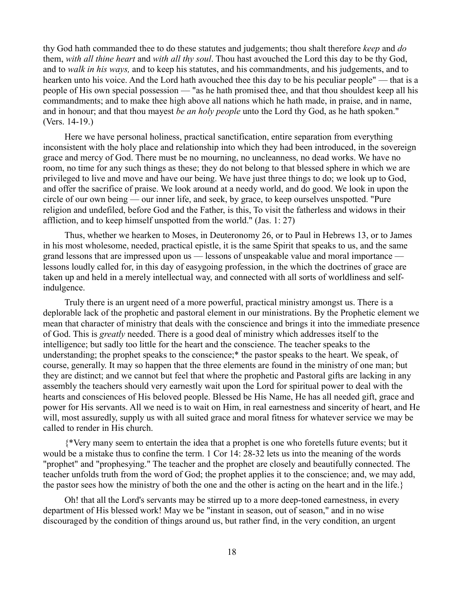thy God hath commanded thee to do these statutes and judgements; thou shalt therefore *keep* and *do* them, *with all thine heart* and *with all thy soul*. Thou hast avouched the Lord this day to be thy God, and to *walk in his ways,* and to keep his statutes, and his commandments, and his judgements, and to hearken unto his voice. And the Lord hath avouched thee this day to be his peculiar people" — that is a people of His own special possession — "as he hath promised thee, and that thou shouldest keep all his commandments; and to make thee high above all nations which he hath made, in praise, and in name, and in honour; and that thou mayest *be an holy people* unto the Lord thy God, as he hath spoken." (Vers. 14-19.)

Here we have personal holiness, practical sanctification, entire separation from everything inconsistent with the holy place and relationship into which they had been introduced, in the sovereign grace and mercy of God. There must be no mourning, no uncleanness, no dead works. We have no room, no time for any such things as these; they do not belong to that blessed sphere in which we are privileged to live and move and have our being. We have just three things to do; we look up to God, and offer the sacrifice of praise. We look around at a needy world, and do good. We look in upon the circle of our own being — our inner life, and seek, by grace, to keep ourselves unspotted. "Pure religion and undefiled, before God and the Father, is this, To visit the fatherless and widows in their affliction, and to keep himself unspotted from the world." (Jas. 1: 27)

Thus, whether we hearken to Moses, in Deuteronomy 26, or to Paul in Hebrews 13, or to James in his most wholesome, needed, practical epistle, it is the same Spirit that speaks to us, and the same grand lessons that are impressed upon us — lessons of unspeakable value and moral importance lessons loudly called for, in this day of easygoing profession, in the which the doctrines of grace are taken up and held in a merely intellectual way, and connected with all sorts of worldliness and selfindulgence.

Truly there is an urgent need of a more powerful, practical ministry amongst us. There is a deplorable lack of the prophetic and pastoral element in our ministrations. By the Prophetic element we mean that character of ministry that deals with the conscience and brings it into the immediate presence of God. This is *greatly* needed. There is a good deal of ministry which addresses itself to the intelligence; but sadly too little for the heart and the conscience. The teacher speaks to the understanding; the prophet speaks to the conscience;\* the pastor speaks to the heart. We speak, of course, generally. It may so happen that the three elements are found in the ministry of one man; but they are distinct; and we cannot but feel that where the prophetic and Pastoral gifts are lacking in any assembly the teachers should very earnestly wait upon the Lord for spiritual power to deal with the hearts and consciences of His beloved people. Blessed be His Name, He has all needed gift, grace and power for His servants. All we need is to wait on Him, in real earnestness and sincerity of heart, and He will, most assuredly, supply us with all suited grace and moral fitness for whatever service we may be called to render in His church.

{\*Very many seem to entertain the idea that a prophet is one who foretells future events; but it would be a mistake thus to confine the term. 1 Cor 14: 28-32 lets us into the meaning of the words "prophet" and "prophesying." The teacher and the prophet are closely and beautifully connected. The teacher unfolds truth from the word of God; the prophet applies it to the conscience; and, we may add, the pastor sees how the ministry of both the one and the other is acting on the heart and in the life.}

Oh! that all the Lord's servants may be stirred up to a more deep-toned earnestness, in every department of His blessed work! May we be "instant in season, out of season," and in no wise discouraged by the condition of things around us, but rather find, in the very condition, an urgent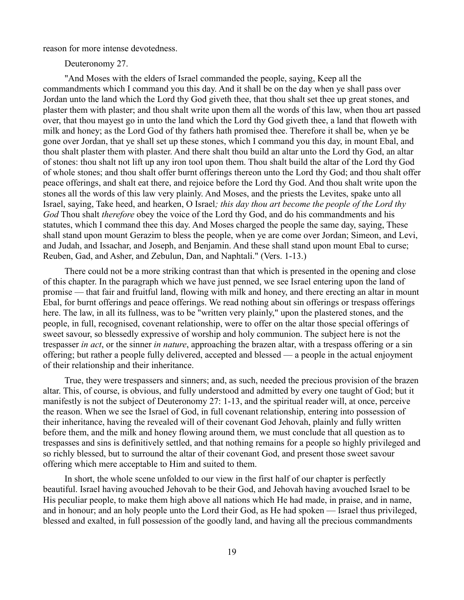reason for more intense devotedness.

Deuteronomy 27.

"And Moses with the elders of Israel commanded the people, saying, Keep all the commandments which I command you this day. And it shall be on the day when ye shall pass over Jordan unto the land which the Lord thy God giveth thee, that thou shalt set thee up great stones, and plaster them with plaster; and thou shalt write upon them all the words of this law, when thou art passed over, that thou mayest go in unto the land which the Lord thy God giveth thee, a land that floweth with milk and honey; as the Lord God of thy fathers hath promised thee. Therefore it shall be, when ye be gone over Jordan, that ye shall set up these stones, which I command you this day, in mount Ebal, and thou shalt plaster them with plaster. And there shalt thou build an altar unto the Lord thy God, an altar of stones: thou shalt not lift up any iron tool upon them. Thou shalt build the altar of the Lord thy God of whole stones; and thou shalt offer burnt offerings thereon unto the Lord thy God; and thou shalt offer peace offerings, and shalt eat there, and rejoice before the Lord thy God. And thou shalt write upon the stones all the words of this law very plainly. And Moses, and the priests the Levites, spake unto all Israel, saying, Take heed, and hearken, O Israel*; this day thou art become the people of the Lord thy God* Thou shalt *therefore* obey the voice of the Lord thy God, and do his commandments and his statutes, which I command thee this day. And Moses charged the people the same day, saying, These shall stand upon mount Gerazim to bless the people, when ye are come over Jordan; Simeon, and Levi, and Judah, and Issachar, and Joseph, and Benjamin. And these shall stand upon mount Ebal to curse; Reuben, Gad, and Asher, and Zebulun, Dan, and Naphtali." (Vers. 1-13.)

There could not be a more striking contrast than that which is presented in the opening and close of this chapter. In the paragraph which we have just penned, we see Israel entering upon the land of promise — that fair and fruitful land, flowing with milk and honey, and there erecting an altar in mount Ebal, for burnt offerings and peace offerings. We read nothing about sin offerings or trespass offerings here. The law, in all its fullness, was to be "written very plainly," upon the plastered stones, and the people, in full, recognised, covenant relationship, were to offer on the altar those special offerings of sweet savour, so blessedly expressive of worship and holy communion. The subject here is not the trespasser *in act*, or the sinner *in nature*, approaching the brazen altar, with a trespass offering or a sin offering; but rather a people fully delivered, accepted and blessed — a people in the actual enjoyment of their relationship and their inheritance.

True, they were trespassers and sinners; and, as such, needed the precious provision of the brazen altar. This, of course, is obvious, and fully understood and admitted by every one taught of God; but it manifestly is not the subject of Deuteronomy 27: 1-13, and the spiritual reader will, at once, perceive the reason. When we see the Israel of God, in full covenant relationship, entering into possession of their inheritance, having the revealed will of their covenant God Jehovah, plainly and fully written before them, and the milk and honey flowing around them, we must conclude that all question as to trespasses and sins is definitively settled, and that nothing remains for a people so highly privileged and so richly blessed, but to surround the altar of their covenant God, and present those sweet savour offering which mere acceptable to Him and suited to them.

In short, the whole scene unfolded to our view in the first half of our chapter is perfectly beautiful. Israel having avouched Jehovah to be their God, and Jehovah having avouched Israel to be His peculiar people, to make them high above all nations which He had made, in praise, and in name, and in honour; and an holy people unto the Lord their God, as He had spoken — Israel thus privileged, blessed and exalted, in full possession of the goodly land, and having all the precious commandments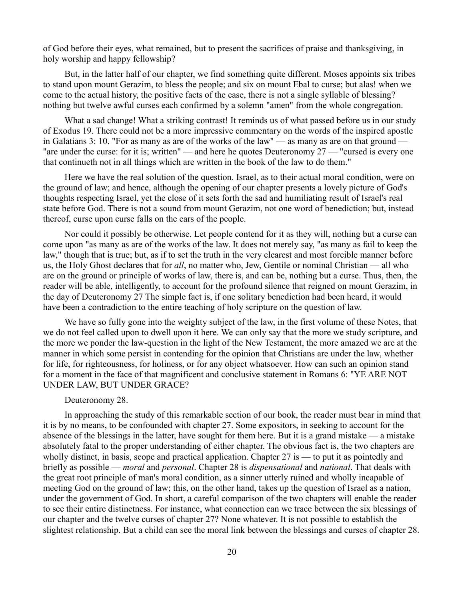of God before their eyes, what remained, but to present the sacrifices of praise and thanksgiving, in holy worship and happy fellowship?

But, in the latter half of our chapter, we find something quite different. Moses appoints six tribes to stand upon mount Gerazim, to bless the people; and six on mount Ebal to curse; but alas! when we come to the actual history, the positive facts of the case, there is not a single syllable of blessing? nothing but twelve awful curses each confirmed by a solemn "amen" from the whole congregation.

What a sad change! What a striking contrast! It reminds us of what passed before us in our study of Exodus 19. There could not be a more impressive commentary on the words of the inspired apostle in Galatians 3: 10. "For as many as are of the works of the law" — as many as are on that ground — "are under the curse: for it is; written" — and here he quotes Deuteronomy 27 — "cursed is every one that continueth not in all things which are written in the book of the law to do them."

Here we have the real solution of the question. Israel, as to their actual moral condition, were on the ground of law; and hence, although the opening of our chapter presents a lovely picture of God's thoughts respecting Israel, yet the close of it sets forth the sad and humiliating result of Israel's real state before God. There is not a sound from mount Gerazim, not one word of benediction; but, instead thereof, curse upon curse falls on the ears of the people.

Nor could it possibly be otherwise. Let people contend for it as they will, nothing but a curse can come upon "as many as are of the works of the law. It does not merely say, "as many as fail to keep the law," though that is true; but, as if to set the truth in the very clearest and most forcible manner before us, the Holy Ghost declares that for *all*, no matter who, Jew, Gentile or nominal Christian — all who are on the ground or principle of works of law, there is, and can be, nothing but a curse. Thus, then, the reader will be able, intelligently, to account for the profound silence that reigned on mount Gerazim, in the day of Deuteronomy 27 The simple fact is, if one solitary benediction had been heard, it would have been a contradiction to the entire teaching of holy scripture on the question of law.

We have so fully gone into the weighty subject of the law, in the first volume of these Notes, that we do not feel called upon to dwell upon it here. We can only say that the more we study scripture, and the more we ponder the law-question in the light of the New Testament, the more amazed we are at the manner in which some persist in contending for the opinion that Christians are under the law, whether for life, for righteousness, for holiness, or for any object whatsoever. How can such an opinion stand for a moment in the face of that magnificent and conclusive statement in Romans 6: "YE ARE NOT UNDER LAW, BUT UNDER GRACE?

# Deuteronomy 28.

In approaching the study of this remarkable section of our book, the reader must bear in mind that it is by no means, to be confounded with chapter 27. Some expositors, in seeking to account for the absence of the blessings in the latter, have sought for them here. But it is a grand mistake — a mistake absolutely fatal to the proper understanding of either chapter. The obvious fact is, the two chapters are wholly distinct, in basis, scope and practical application. Chapter 27 is — to put it as pointedly and briefly as possible — *moral* and *personal*. Chapter 28 is *dispensational* and *national*. That deals with the great root principle of man's moral condition, as a sinner utterly ruined and wholly incapable of meeting God on the ground of law; this, on the other hand, takes up the question of Israel as a nation, under the government of God. In short, a careful comparison of the two chapters will enable the reader to see their entire distinctness. For instance, what connection can we trace between the six blessings of our chapter and the twelve curses of chapter 27? None whatever. It is not possible to establish the slightest relationship. But a child can see the moral link between the blessings and curses of chapter 28.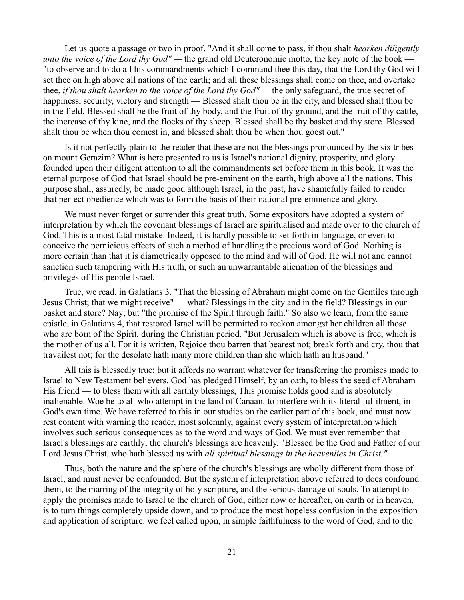Let us quote a passage or two in proof. "And it shall come to pass, if thou shalt *hearken diligently unto the voice of the Lord thy God" —* the grand old Deuteronomic motto, the key note of the book — "to observe and to do all his commandments which I command thee this day, that the Lord thy God will set thee on high above all nations of the earth; and all these blessings shall come on thee, and overtake thee, *if thou shalt hearken to the voice of the Lord thy God" —* the only safeguard, the true secret of happiness, security, victory and strength — Blessed shalt thou be in the city, and blessed shalt thou be in the field. Blessed shall be the fruit of thy body, and the fruit of thy ground, and the fruit of thy cattle, the increase of thy kine, and the flocks of thy sheep. Blessed shall be thy basket and thy store. Blessed shalt thou be when thou comest in, and blessed shalt thou be when thou goest out."

Is it not perfectly plain to the reader that these are not the blessings pronounced by the six tribes on mount Gerazim? What is here presented to us is Israel's national dignity, prosperity, and glory founded upon their diligent attention to all the commandments set before them in this book. It was the eternal purpose of God that Israel should be pre-eminent on the earth, high above all the nations. This purpose shall, assuredly, be made good although Israel, in the past, have shamefully failed to render that perfect obedience which was to form the basis of their national pre-eminence and glory.

We must never forget or surrender this great truth. Some expositors have adopted a system of interpretation by which the covenant blessings of Israel are spiritualised and made over to the church of God. This is a most fatal mistake. Indeed, it is hardly possible to set forth in language, or even to conceive the pernicious effects of such a method of handling the precious word of God. Nothing is more certain than that it is diametrically opposed to the mind and will of God. He will not and cannot sanction such tampering with His truth, or such an unwarrantable alienation of the blessings and privileges of His people Israel.

True, we read, in Galatians 3. "That the blessing of Abraham might come on the Gentiles through Jesus Christ; that we might receive" — what? Blessings in the city and in the field? Blessings in our basket and store? Nay; but "the promise of the Spirit through faith." So also we learn, from the same epistle, in Galatians 4, that restored Israel will be permitted to reckon amongst her children all those who are born of the Spirit, during the Christian period. "But Jerusalem which is above is free, which is the mother of us all. For it is written, Rejoice thou barren that bearest not; break forth and cry, thou that travailest not; for the desolate hath many more children than she which hath an husband."

All this is blessedly true; but it affords no warrant whatever for transferring the promises made to Israel to New Testament believers. God has pledged Himself, by an oath, to bless the seed of Abraham His friend — to bless them with all earthly blessings, This promise holds good and is absolutely inalienable. Woe be to all who attempt in the land of Canaan. to interfere with its literal fulfilment, in God's own time. We have referred to this in our studies on the earlier part of this book, and must now rest content with warning the reader, most solemnly, against every system of interpretation which involves such serious consequences as to the word and ways of God. We must ever remember that Israel's blessings are earthly; the church's blessings are heavenly. "Blessed be the God and Father of our Lord Jesus Christ, who hath blessed us with *all spiritual blessings in the heavenlies in Christ."*

Thus, both the nature and the sphere of the church's blessings are wholly different from those of Israel, and must never be confounded. But the system of interpretation above referred to does confound them, to the marring of the integrity of holy scripture, and the serious damage of souls. To attempt to apply the promises made to Israel to the church of God, either now or hereafter, on earth or in heaven, is to turn things completely upside down, and to produce the most hopeless confusion in the exposition and application of scripture. we feel called upon, in simple faithfulness to the word of God, and to the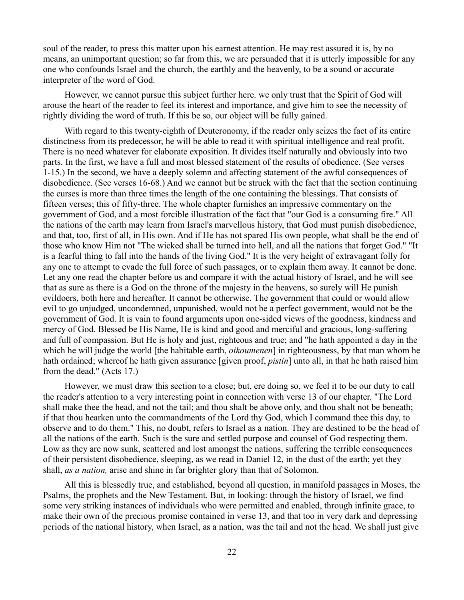soul of the reader, to press this matter upon his earnest attention. He may rest assured it is, by no means, an unimportant question; so far from this, we are persuaded that it is utterly impossible for any one who confounds Israel and the church, the earthly and the heavenly, to be a sound or accurate interpreter of the word of God.

However, we cannot pursue this subject further here. we only trust that the Spirit of God will arouse the heart of the reader to feel its interest and importance, and give him to see the necessity of rightly dividing the word of truth. If this be so, our object will be fully gained.

With regard to this twenty-eighth of Deuteronomy, if the reader only seizes the fact of its entire distinctness from its predecessor, he will be able to read it with spiritual intelligence and real profit. There is no need whatever for elaborate exposition. It divides itself naturally and obviously into two parts. In the first, we have a full and most blessed statement of the results of obedience. (See verses 1-15.) In the second, we have a deeply solemn and affecting statement of the awful consequences of disobedience. (See verses 16-68.) And we cannot but be struck with the fact that the section continuing the curses is more than three times the length of the one containing the blessings. That consists of fifteen verses; this of fifty-three. The whole chapter furnishes an impressive commentary on the government of God, and a most forcible illustration of the fact that "our God is a consuming fire." All the nations of the earth may learn from Israel's marvellous history, that God must punish disobedience, and that, too, first of all, in His own. And if He has not spared His own people, what shall be the end of those who know Him not "The wicked shall be turned into hell, and all the nations that forget God." "It is a fearful thing to fall into the hands of the living God." It is the very height of extravagant folly for any one to attempt to evade the full force of such passages, or to explain them away. It cannot be done. Let any one read the chapter before us and compare it with the actual history of Israel, and he will see that as sure as there is a God on the throne of the majesty in the heavens, so surely will He punish evildoers, both here and hereafter. It cannot be otherwise. The government that could or would allow evil to go unjudged, uncondemned, unpunished, would not be a perfect government, would not be the government of God. It is vain to found arguments upon one-sided views of the goodness, kindness and mercy of God. Blessed be His Name, He is kind and good and merciful and gracious, long-suffering and full of compassion. But He is holy and just, righteous and true; and "he hath appointed a day in the which he will judge the world [the habitable earth, *oikoumenen*] in righteousness, by that man whom he hath ordained; whereof he hath given assurance [given proof, *pistin*] unto all, in that he hath raised him from the dead." (Acts 17.)

However, we must draw this section to a close; but, ere doing so, we feel it to be our duty to call the reader's attention to a very interesting point in connection with verse 13 of our chapter. "The Lord shall make thee the head, and not the tail; and thou shalt be above only, and thou shalt not be beneath; if that thou hearken unto the commandments of the Lord thy God, which I command thee this day, to observe and to do them." This, no doubt, refers to Israel as a nation. They are destined to be the head of all the nations of the earth. Such is the sure and settled purpose and counsel of God respecting them. Low as they are now sunk, scattered and lost amongst the nations, suffering the terrible consequences of their persistent disobedience, sleeping, as we read in Daniel 12, in the dust of the earth; yet they shall, *as a nation,* arise and shine in far brighter glory than that of Solomon.

All this is blessedly true, and established, beyond all question, in manifold passages in Moses, the Psalms, the prophets and the New Testament. But, in looking: through the history of Israel, we find some very striking instances of individuals who were permitted and enabled, through infinite grace, to make their own of the precious promise contained in verse 13, and that too in very dark and depressing periods of the national history, when Israel, as a nation, was the tail and not the head. We shall just give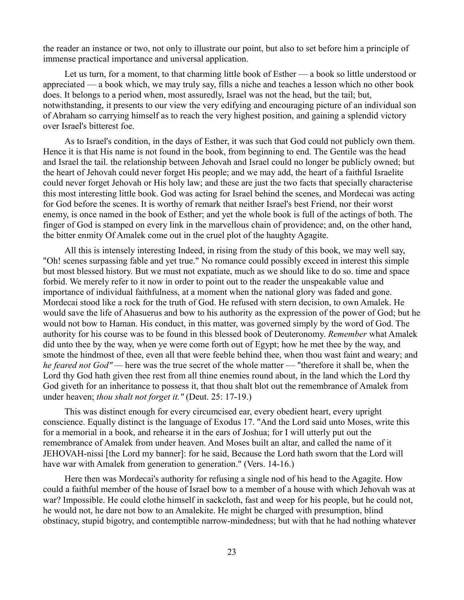the reader an instance or two, not only to illustrate our point, but also to set before him a principle of immense practical importance and universal application.

Let us turn, for a moment, to that charming little book of Esther — a book so little understood or appreciated — a book which, we may truly say, fills a niche and teaches a lesson which no other book does. It belongs to a period when, most assuredly, Israel was not the head, but the tail; but, notwithstanding, it presents to our view the very edifying and encouraging picture of an individual son of Abraham so carrying himself as to reach the very highest position, and gaining a splendid victory over Israel's bitterest foe.

As to Israel's condition, in the days of Esther, it was such that God could not publicly own them. Hence it is that His name is not found in the book, from beginning to end. The Gentile was the head and Israel the tail. the relationship between Jehovah and Israel could no longer be publicly owned; but the heart of Jehovah could never forget His people; and we may add, the heart of a faithful Israelite could never forget Jehovah or His holy law; and these are just the two facts that specially characterise this most interesting little book. God was acting for Israel behind the scenes, and Mordecai was acting for God before the scenes. It is worthy of remark that neither Israel's best Friend, nor their worst enemy, is once named in the book of Esther; and yet the whole book is full of the actings of both. The finger of God is stamped on every link in the marvellous chain of providence; and, on the other hand, the bitter enmity Of Amalek come out in the cruel plot of the haughty Agagite.

All this is intensely interesting Indeed, in rising from the study of this book, we may well say, "Oh! scenes surpassing fable and yet true." No romance could possibly exceed in interest this simple but most blessed history. But we must not expatiate, much as we should like to do so. time and space forbid. We merely refer to it now in order to point out to the reader the unspeakable value and importance of individual faithfulness, at a moment when the national glory was faded and gone. Mordecai stood like a rock for the truth of God. He refused with stern decision, to own Amalek. He would save the life of Ahasuerus and bow to his authority as the expression of the power of God; but he would not bow to Haman. His conduct, in this matter, was governed simply by the word of God. The authority for his course was to be found in this blessed book of Deuteronomy. *Remember* what Amalek did unto thee by the way, when ye were come forth out of Egypt; how he met thee by the way, and smote the hindmost of thee, even all that were feeble behind thee, when thou wast faint and weary; and *he feared not God" —* here was the true secret of the whole matter — "therefore it shall be, when the Lord thy God hath given thee rest from all thine enemies round about, in the land which the Lord thy God giveth for an inheritance to possess it, that thou shalt blot out the remembrance of Amalek from under heaven; *thou shalt not forget it."* (Deut. 25: 17-19.)

This was distinct enough for every circumcised ear, every obedient heart, every upright conscience. Equally distinct is the language of Exodus 17. "And the Lord said unto Moses, write this for a memorial in a book, and rehearse it in the ears of Joshua; for I will utterly put out the remembrance of Amalek from under heaven. And Moses built an altar, and called the name of it JEHOVAH-nissi [the Lord my banner]: for he said, Because the Lord hath sworn that the Lord will have war with Amalek from generation to generation." (Vers. 14-16.)

Here then was Mordecai's authority for refusing a single nod of his head to the Agagite. How could a faithful member of the house of Israel bow to a member of a house with which Jehovah was at war? Impossible. He could clothe himself in sackcloth, fast and weep for his people, but he could not, he would not, he dare not bow to an Amalekite. He might be charged with presumption, blind obstinacy, stupid bigotry, and contemptible narrow-mindedness; but with that he had nothing whatever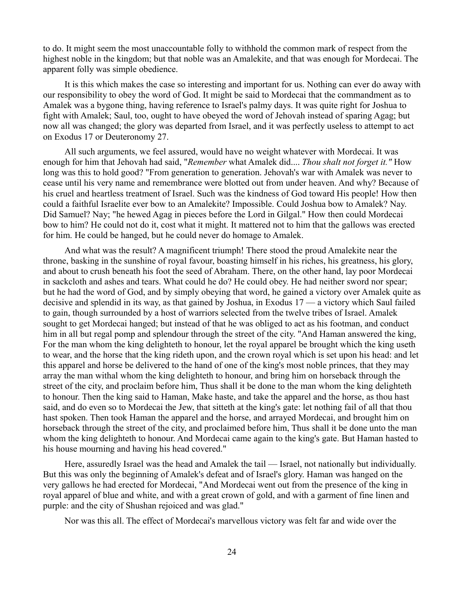to do. It might seem the most unaccountable folly to withhold the common mark of respect from the highest noble in the kingdom; but that noble was an Amalekite, and that was enough for Mordecai. The apparent folly was simple obedience.

It is this which makes the case so interesting and important for us. Nothing can ever do away with our responsibility to obey the word of God. It might be said to Mordecai that the commandment as to Amalek was a bygone thing, having reference to Israel's palmy days. It was quite right for Joshua to fight with Amalek; Saul, too, ought to have obeyed the word of Jehovah instead of sparing Agag; but now all was changed; the glory was departed from Israel, and it was perfectly useless to attempt to act on Exodus 17 or Deuteronomy 27.

All such arguments, we feel assured, would have no weight whatever with Mordecai. It was enough for him that Jehovah had said, "*Remember* what Amalek did.... *Thou shalt not forget it."* How long was this to hold good? "From generation to generation. Jehovah's war with Amalek was never to cease until his very name and remembrance were blotted out from under heaven. And why? Because of his cruel and heartless treatment of Israel. Such was the kindness of God toward His people! How then could a faithful Israelite ever bow to an Amalekite? Impossible. Could Joshua bow to Amalek? Nay. Did Samuel? Nay; "he hewed Agag in pieces before the Lord in Gilgal." How then could Mordecai bow to him? He could not do it, cost what it might. It mattered not to him that the gallows was erected for him. He could be hanged, but he could never do homage to Amalek.

And what was the result? A magnificent triumph! There stood the proud Amalekite near the throne, basking in the sunshine of royal favour, boasting himself in his riches, his greatness, his glory, and about to crush beneath his foot the seed of Abraham. There, on the other hand, lay poor Mordecai in sackcloth and ashes and tears. What could he do? He could obey. He had neither sword nor spear; but he had the word of God, and by simply obeying that word, he gained a victory over Amalek quite as decisive and splendid in its way, as that gained by Joshua, in Exodus 17 — a victory which Saul failed to gain, though surrounded by a host of warriors selected from the twelve tribes of Israel. Amalek sought to get Mordecai hanged; but instead of that he was obliged to act as his footman, and conduct him in all but regal pomp and splendour through the street of the city. "And Haman answered the king, For the man whom the king delighteth to honour, let the royal apparel be brought which the king useth to wear, and the horse that the king rideth upon, and the crown royal which is set upon his head: and let this apparel and horse be delivered to the hand of one of the king's most noble princes, that they may array the man withal whom the king delighteth to honour, and bring him on horseback through the street of the city, and proclaim before him, Thus shall it be done to the man whom the king delighteth to honour. Then the king said to Haman, Make haste, and take the apparel and the horse, as thou hast said, and do even so to Mordecai the Jew, that sitteth at the king's gate: let nothing fail of all that thou hast spoken. Then took Haman the apparel and the horse, and arrayed Mordecai, and brought him on horseback through the street of the city, and proclaimed before him, Thus shall it be done unto the man whom the king delighteth to honour. And Mordecai came again to the king's gate. But Haman hasted to his house mourning and having his head covered."

Here, assuredly Israel was the head and Amalek the tail — Israel, not nationally but individually. But this was only the beginning of Amalek's defeat and of Israel's glory. Haman was hanged on the very gallows he had erected for Mordecai, "And Mordecai went out from the presence of the king in royal apparel of blue and white, and with a great crown of gold, and with a garment of fine linen and purple: and the city of Shushan rejoiced and was glad."

Nor was this all. The effect of Mordecai's marvellous victory was felt far and wide over the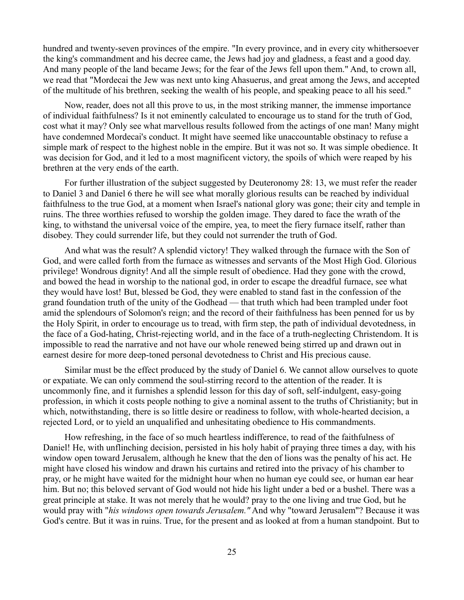hundred and twenty-seven provinces of the empire. "In every province, and in every city whithersoever the king's commandment and his decree came, the Jews had joy and gladness, a feast and a good day. And many people of the land became Jews; for the fear of the Jews fell upon them." And, to crown all, we read that "Mordecai the Jew was next unto king Ahasuerus, and great among the Jews, and accepted of the multitude of his brethren, seeking the wealth of his people, and speaking peace to all his seed."

Now, reader, does not all this prove to us, in the most striking manner, the immense importance of individual faithfulness? Is it not eminently calculated to encourage us to stand for the truth of God, cost what it may? Only see what marvellous results followed from the actings of one man! Many might have condemned Mordecai's conduct. It might have seemed like unaccountable obstinacy to refuse a simple mark of respect to the highest noble in the empire. But it was not so. It was simple obedience. It was decision for God, and it led to a most magnificent victory, the spoils of which were reaped by his brethren at the very ends of the earth.

For further illustration of the subject suggested by Deuteronomy 28: 13, we must refer the reader to Daniel 3 and Daniel 6 there he will see what morally glorious results can be reached by individual faithfulness to the true God, at a moment when Israel's national glory was gone; their city and temple in ruins. The three worthies refused to worship the golden image. They dared to face the wrath of the king, to withstand the universal voice of the empire, yea, to meet the fiery furnace itself, rather than disobey. They could surrender life, but they could not surrender the truth of God.

And what was the result? A splendid victory! They walked through the furnace with the Son of God, and were called forth from the furnace as witnesses and servants of the Most High God. Glorious privilege! Wondrous dignity! And all the simple result of obedience. Had they gone with the crowd, and bowed the head in worship to the national god, in order to escape the dreadful furnace, see what they would have lost! But, blessed be God, they were enabled to stand fast in the confession of the grand foundation truth of the unity of the Godhead — that truth which had been trampled under foot amid the splendours of Solomon's reign; and the record of their faithfulness has been penned for us by the Holy Spirit, in order to encourage us to tread, with firm step, the path of individual devotedness, in the face of a God-hating, Christ-rejecting world, and in the face of a truth-neglecting Christendom. It is impossible to read the narrative and not have our whole renewed being stirred up and drawn out in earnest desire for more deep-toned personal devotedness to Christ and His precious cause.

Similar must be the effect produced by the study of Daniel 6. We cannot allow ourselves to quote or expatiate. We can only commend the soul-stirring record to the attention of the reader. It is uncommonly fine, and it furnishes a splendid lesson for this day of soft, self-indulgent, easy-going profession, in which it costs people nothing to give a nominal assent to the truths of Christianity; but in which, notwithstanding, there is so little desire or readiness to follow, with whole-hearted decision, a rejected Lord, or to yield an unqualified and unhesitating obedience to His commandments.

How refreshing, in the face of so much heartless indifference, to read of the faithfulness of Daniel! He, with unflinching decision, persisted in his holy habit of praying three times a day, with his window open toward Jerusalem, although he knew that the den of lions was the penalty of his act. He might have closed his window and drawn his curtains and retired into the privacy of his chamber to pray, or he might have waited for the midnight hour when no human eye could see, or human ear hear him. But no; this beloved servant of God would not hide his light under a bed or a bushel. There was a great principle at stake. It was not merely that he would? pray to the one living and true God, but he would pray with "*his windows open towards Jerusalem."* And why "toward Jerusalem"? Because it was God's centre. But it was in ruins. True, for the present and as looked at from a human standpoint. But to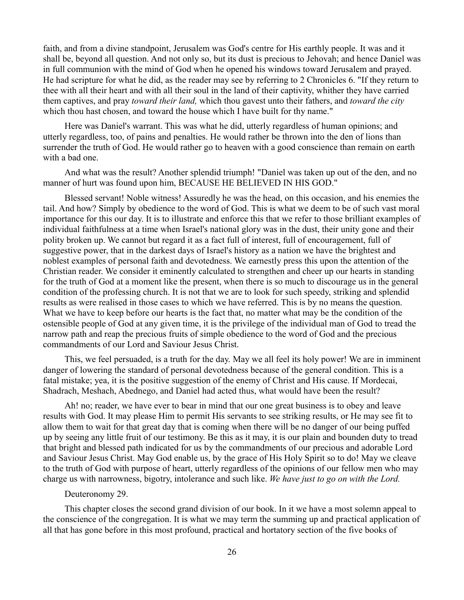faith, and from a divine standpoint, Jerusalem was God's centre for His earthly people. It was and it shall be, beyond all question. And not only so, but its dust is precious to Jehovah; and hence Daniel was in full communion with the mind of God when he opened his windows toward Jerusalem and prayed. He had scripture for what he did, as the reader may see by referring to 2 Chronicles 6. "If they return to thee with all their heart and with all their soul in the land of their captivity, whither they have carried them captives, and pray *toward their land,* which thou gavest unto their fathers, and *toward the city* which thou hast chosen, and toward the house which I have built for thy name."

Here was Daniel's warrant. This was what he did, utterly regardless of human opinions; and utterly regardless, too, of pains and penalties. He would rather be thrown into the den of lions than surrender the truth of God. He would rather go to heaven with a good conscience than remain on earth with a bad one.

And what was the result? Another splendid triumph! "Daniel was taken up out of the den, and no manner of hurt was found upon him, BECAUSE HE BELIEVED IN HIS GOD."

Blessed servant! Noble witness! Assuredly he was the head, on this occasion, and his enemies the tail. And how? Simply by obedience to the word of God. This is what we deem to be of such vast moral importance for this our day. It is to illustrate and enforce this that we refer to those brilliant examples of individual faithfulness at a time when Israel's national glory was in the dust, their unity gone and their polity broken up. We cannot but regard it as a fact full of interest, full of encouragement, full of suggestive power, that in the darkest days of Israel's history as a nation we have the brightest and noblest examples of personal faith and devotedness. We earnestly press this upon the attention of the Christian reader. We consider it eminently calculated to strengthen and cheer up our hearts in standing for the truth of God at a moment like the present, when there is so much to discourage us in the general condition of the professing church. It is not that we are to look for such speedy, striking and splendid results as were realised in those cases to which we have referred. This is by no means the question. What we have to keep before our hearts is the fact that, no matter what may be the condition of the ostensible people of God at any given time, it is the privilege of the individual man of God to tread the narrow path and reap the precious fruits of simple obedience to the word of God and the precious commandments of our Lord and Saviour Jesus Christ.

This, we feel persuaded, is a truth for the day. May we all feel its holy power! We are in imminent danger of lowering the standard of personal devotedness because of the general condition. This is a fatal mistake; yea, it is the positive suggestion of the enemy of Christ and His cause. If Mordecai, Shadrach, Meshach, Abednego, and Daniel had acted thus, what would have been the result?

Ah! no; reader, we have ever to bear in mind that our one great business is to obey and leave results with God. It may please Him to permit His servants to see striking results, or He may see fit to allow them to wait for that great day that is coming when there will be no danger of our being puffed up by seeing any little fruit of our testimony. Be this as it may, it is our plain and bounden duty to tread that bright and blessed path indicated for us by the commandments of our precious and adorable Lord and Saviour Jesus Christ. May God enable us, by the grace of His Holy Spirit so to do! May we cleave to the truth of God with purpose of heart, utterly regardless of the opinions of our fellow men who may charge us with narrowness, bigotry, intolerance and such like. *We have just to go on with the Lord.*

#### Deuteronomy 29.

This chapter closes the second grand division of our book. In it we have a most solemn appeal to the conscience of the congregation. It is what we may term the summing up and practical application of all that has gone before in this most profound, practical and hortatory section of the five books of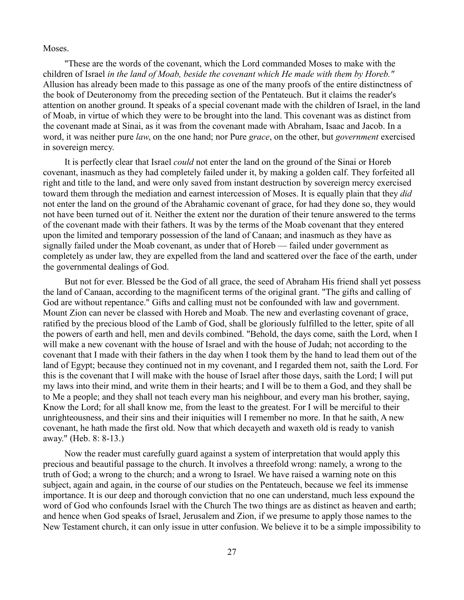Moses.

"These are the words of the covenant, which the Lord commanded Moses to make with the children of Israel *in the land of Moab, beside the covenant which He made with them by Horeb."* Allusion has already been made to this passage as one of the many proofs of the entire distinctness of the book of Deuteronomy from the preceding section of the Pentateuch. But it claims the reader's attention on another ground. It speaks of a special covenant made with the children of Israel, in the land of Moab, in virtue of which they were to be brought into the land. This covenant was as distinct from the covenant made at Sinai, as it was from the covenant made with Abraham, Isaac and Jacob. In a word, it was neither pure *law*, on the one hand; nor Pure *grace*, on the other, but *government* exercised in sovereign mercy.

It is perfectly clear that Israel *could* not enter the land on the ground of the Sinai or Horeb covenant, inasmuch as they had completely failed under it, by making a golden calf. They forfeited all right and title to the land, and were only saved from instant destruction by sovereign mercy exercised toward them through the mediation and earnest intercession of Moses. It is equally plain that they *did* not enter the land on the ground of the Abrahamic covenant of grace, for had they done so, they would not have been turned out of it. Neither the extent nor the duration of their tenure answered to the terms of the covenant made with their fathers. It was by the terms of the Moab covenant that they entered upon the limited and temporary possession of the land of Canaan; and inasmuch as they have as signally failed under the Moab covenant, as under that of Horeb — failed under government as completely as under law, they are expelled from the land and scattered over the face of the earth, under the governmental dealings of God.

But not for ever. Blessed be the God of all grace, the seed of Abraham His friend shall yet possess the land of Canaan, according to the magnificent terms of the original grant. "The gifts and calling of God are without repentance." Gifts and calling must not be confounded with law and government. Mount Zion can never be classed with Horeb and Moab. The new and everlasting covenant of grace, ratified by the precious blood of the Lamb of God, shall be gloriously fulfilled to the letter, spite of all the powers of earth and hell, men and devils combined. "Behold, the days come, saith the Lord, when I will make a new covenant with the house of Israel and with the house of Judah; not according to the covenant that I made with their fathers in the day when I took them by the hand to lead them out of the land of Egypt; because they continued not in my covenant, and I regarded them not, saith the Lord. For this is the covenant that I will make with the house of Israel after those days, saith the Lord; I will put my laws into their mind, and write them in their hearts; and I will be to them a God, and they shall be to Me a people; and they shall not teach every man his neighbour, and every man his brother, saying, Know the Lord; for all shall know me, from the least to the greatest. For I will be merciful to their unrighteousness, and their sins and their iniquities will I remember no more. In that he saith, A new covenant, he hath made the first old. Now that which decayeth and waxeth old is ready to vanish away." (Heb. 8: 8-13.)

Now the reader must carefully guard against a system of interpretation that would apply this precious and beautiful passage to the church. It involves a threefold wrong: namely, a wrong to the truth of God; a wrong to the church; and a wrong to Israel. We have raised a warning note on this subject, again and again, in the course of our studies on the Pentateuch, because we feel its immense importance. It is our deep and thorough conviction that no one can understand, much less expound the word of God who confounds Israel with the Church The two things are as distinct as heaven and earth; and hence when God speaks of Israel, Jerusalem and Zion, if we presume to apply those names to the New Testament church, it can only issue in utter confusion. We believe it to be a simple impossibility to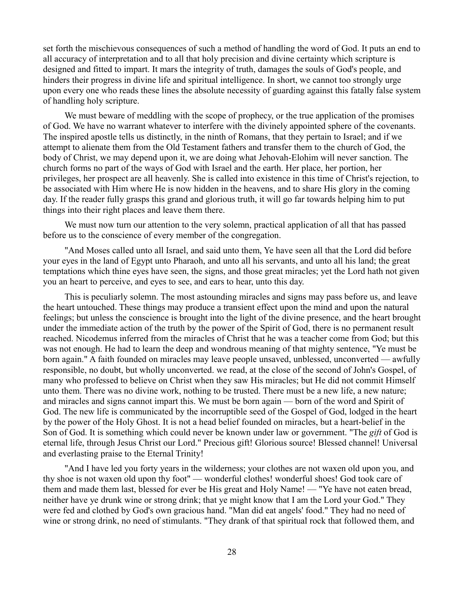set forth the mischievous consequences of such a method of handling the word of God. It puts an end to all accuracy of interpretation and to all that holy precision and divine certainty which scripture is designed and fitted to impart. It mars the integrity of truth, damages the souls of God's people, and hinders their progress in divine life and spiritual intelligence. In short, we cannot too strongly urge upon every one who reads these lines the absolute necessity of guarding against this fatally false system of handling holy scripture.

We must beware of meddling with the scope of prophecy, or the true application of the promises of God. We have no warrant whatever to interfere with the divinely appointed sphere of the covenants. The inspired apostle tells us distinctly, in the ninth of Romans, that they pertain to Israel; and if we attempt to alienate them from the Old Testament fathers and transfer them to the church of God, the body of Christ, we may depend upon it, we are doing what Jehovah-Elohim will never sanction. The church forms no part of the ways of God with Israel and the earth. Her place, her portion, her privileges, her prospect are all heavenly. She is called into existence in this time of Christ's rejection, to be associated with Him where He is now hidden in the heavens, and to share His glory in the coming day. If the reader fully grasps this grand and glorious truth, it will go far towards helping him to put things into their right places and leave them there.

We must now turn our attention to the very solemn, practical application of all that has passed before us to the conscience of every member of the congregation.

"And Moses called unto all Israel, and said unto them, Ye have seen all that the Lord did before your eyes in the land of Egypt unto Pharaoh, and unto all his servants, and unto all his land; the great temptations which thine eyes have seen, the signs, and those great miracles; yet the Lord hath not given you an heart to perceive, and eyes to see, and ears to hear, unto this day.

This is peculiarly solemn. The most astounding miracles and signs may pass before us, and leave the heart untouched. These things may produce a transient effect upon the mind and upon the natural feelings; but unless the conscience is brought into the light of the divine presence, and the heart brought under the immediate action of the truth by the power of the Spirit of God, there is no permanent result reached. Nicodemus inferred from the miracles of Christ that he was a teacher come from God; but this was not enough. He had to learn the deep and wondrous meaning of that mighty sentence, "Ye must be born again." A faith founded on miracles may leave people unsaved, unblessed, unconverted — awfully responsible, no doubt, but wholly unconverted. we read, at the close of the second of John's Gospel, of many who professed to believe on Christ when they saw His miracles; but He did not commit Himself unto them. There was no divine work, nothing to be trusted. There must be a new life, a new nature; and miracles and signs cannot impart this. We must be born again — born of the word and Spirit of God. The new life is communicated by the incorruptible seed of the Gospel of God, lodged in the heart by the power of the Holy Ghost. It is not a head belief founded on miracles, but a heart-belief in the Son of God. It is something which could never be known under law or government. "The *gift* of God is eternal life, through Jesus Christ our Lord." Precious gift! Glorious source! Blessed channel! Universal and everlasting praise to the Eternal Trinity!

"And I have led you forty years in the wilderness; your clothes are not waxen old upon you, and thy shoe is not waxen old upon thy foot" — wonderful clothes! wonderful shoes! God took care of them and made them last, blessed for ever be His great and Holy Name! — "Ye have not eaten bread, neither have ye drunk wine or strong drink; that ye might know that I am the Lord your God." They were fed and clothed by God's own gracious hand. "Man did eat angels' food." They had no need of wine or strong drink, no need of stimulants. "They drank of that spiritual rock that followed them, and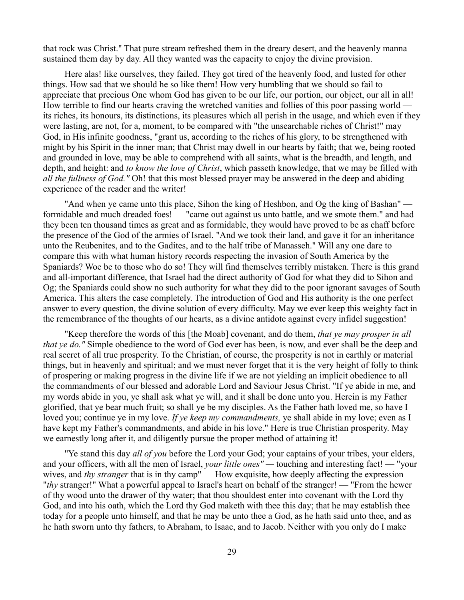that rock was Christ." That pure stream refreshed them in the dreary desert, and the heavenly manna sustained them day by day. All they wanted was the capacity to enjoy the divine provision.

Here alas! like ourselves, they failed. They got tired of the heavenly food, and lusted for other things. How sad that we should he so like them! How very humbling that we should so fail to appreciate that precious One whom God has given to be our life, our portion, our object, our all in all! How terrible to find our hearts craving the wretched vanities and follies of this poor passing world its riches, its honours, its distinctions, its pleasures which all perish in the usage, and which even if they were lasting, are not, for a, moment, to be compared with "the unsearchable riches of Christ!" may God, in His infinite goodness, "grant us, according to the riches of his glory, to be strengthened with might by his Spirit in the inner man; that Christ may dwell in our hearts by faith; that we, being rooted and grounded in love, may be able to comprehend with all saints, what is the breadth, and length, and depth, and height: and *to know the love of Christ*, which passeth knowledge, that we may be filled with *all the fullness of God."* Oh! that this most blessed prayer may be answered in the deep and abiding experience of the reader and the writer!

"And when ye came unto this place, Sihon the king of Heshbon, and Og the king of Bashan" formidable and much dreaded foes! — "came out against us unto battle, and we smote them." and had they been ten thousand times as great and as formidable, they would have proved to be as chaff before the presence of the God of the armies of Israel. "And we took their land, and gave it for an inheritance unto the Reubenites, and to the Gadites, and to the half tribe of Manasseh." Will any one dare to compare this with what human history records respecting the invasion of South America by the Spaniards? Woe be to those who do so! They will find themselves terribly mistaken. There is this grand and all-important difference, that Israel had the direct authority of God for what they did to Sihon and Og; the Spaniards could show no such authority for what they did to the poor ignorant savages of South America. This alters the case completely. The introduction of God and His authority is the one perfect answer to every question, the divine solution of every difficulty. May we ever keep this weighty fact in the remembrance of the thoughts of our hearts, as a divine antidote against every infidel suggestion!

"Keep therefore the words of this [the Moab] covenant, and do them, *that ye may prosper in all that ye do."* Simple obedience to the word of God ever has been, is now, and ever shall be the deep and real secret of all true prosperity. To the Christian, of course, the prosperity is not in earthly or material things, but in heavenly and spiritual; and we must never forget that it is the very height of folly to think of prospering or making progress in the divine life if we are not yielding an implicit obedience to all the commandments of our blessed and adorable Lord and Saviour Jesus Christ. "If ye abide in me, and my words abide in you, ye shall ask what ye will, and it shall be done unto you. Herein is my Father glorified, that ye bear much fruit; so shall ye be my disciples. As the Father hath loved me, so have I loved you; continue ye in my love. *If ye keep my commandments,* ye shall abide in my love; even as I have kept my Father's commandments, and abide in his love." Here is true Christian prosperity. May we earnestly long after it, and diligently pursue the proper method of attaining it!

"Ye stand this day *all of you* before the Lord your God; your captains of your tribes, your elders, and your officers, with all the men of Israel, *your little ones" —* touching and interesting fact! — "your wives, and *thy stranger* that is in thy camp" — How exquisite, how deeply affecting the expression "*thy* stranger!" What a powerful appeal to Israel's heart on behalf of the stranger! — "From the hewer of thy wood unto the drawer of thy water; that thou shouldest enter into covenant with the Lord thy God, and into his oath, which the Lord thy God maketh with thee this day; that he may establish thee today for a people unto himself, and that he may be unto thee a God, as he hath said unto thee, and as he hath sworn unto thy fathers, to Abraham, to Isaac, and to Jacob. Neither with you only do I make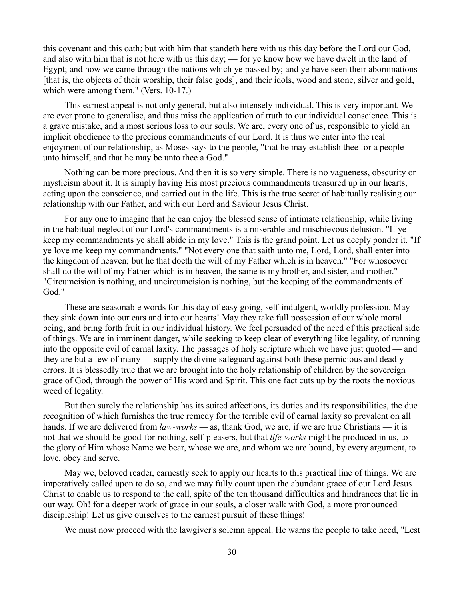this covenant and this oath; but with him that standeth here with us this day before the Lord our God, and also with him that is not here with us this day; — for ye know how we have dwelt in the land of Egypt; and how we came through the nations which ye passed by; and ye have seen their abominations [that is, the objects of their worship, their false gods], and their idols, wood and stone, silver and gold, which were among them." (Vers. 10-17.)

This earnest appeal is not only general, but also intensely individual. This is very important. We are ever prone to generalise, and thus miss the application of truth to our individual conscience. This is a grave mistake, and a most serious loss to our souls. We are, every one of us, responsible to yield an implicit obedience to the precious commandments of our Lord. It is thus we enter into the real enjoyment of our relationship, as Moses says to the people, "that he may establish thee for a people unto himself, and that he may be unto thee a God."

Nothing can be more precious. And then it is so very simple. There is no vagueness, obscurity or mysticism about it. It is simply having His most precious commandments treasured up in our hearts, acting upon the conscience, and carried out in the life. This is the true secret of habitually realising our relationship with our Father, and with our Lord and Saviour Jesus Christ.

For any one to imagine that he can enjoy the blessed sense of intimate relationship, while living in the habitual neglect of our Lord's commandments is a miserable and mischievous delusion. "If ye keep my commandments ye shall abide in my love." This is the grand point. Let us deeply ponder it. "If ye love me keep my commandments." "Not every one that saith unto me, Lord, Lord, shall enter into the kingdom of heaven; but he that doeth the will of my Father which is in heaven." "For whosoever shall do the will of my Father which is in heaven, the same is my brother, and sister, and mother." "Circumcision is nothing, and uncircumcision is nothing, but the keeping of the commandments of God."

These are seasonable words for this day of easy going, self-indulgent, worldly profession. May they sink down into our ears and into our hearts! May they take full possession of our whole moral being, and bring forth fruit in our individual history. We feel persuaded of the need of this practical side of things. We are in imminent danger, while seeking to keep clear of everything like legality, of running into the opposite evil of carnal laxity. The passages of holy scripture which we have just quoted — and they are but a few of many — supply the divine safeguard against both these pernicious and deadly errors. It is blessedly true that we are brought into the holy relationship of children by the sovereign grace of God, through the power of His word and Spirit. This one fact cuts up by the roots the noxious weed of legality.

But then surely the relationship has its suited affections, its duties and its responsibilities, the due recognition of which furnishes the true remedy for the terrible evil of carnal laxity so prevalent on all hands. If we are delivered from *law-works —* as, thank God, we are, if we are true Christians — it is not that we should be good-for-nothing, self-pleasers, but that *life-works* might be produced in us, to the glory of Him whose Name we bear, whose we are, and whom we are bound, by every argument, to love, obey and serve.

May we, beloved reader, earnestly seek to apply our hearts to this practical line of things. We are imperatively called upon to do so, and we may fully count upon the abundant grace of our Lord Jesus Christ to enable us to respond to the call, spite of the ten thousand difficulties and hindrances that lie in our way. Oh! for a deeper work of grace in our souls, a closer walk with God, a more pronounced discipleship! Let us give ourselves to the earnest pursuit of these things!

We must now proceed with the lawgiver's solemn appeal. He warns the people to take heed, "Lest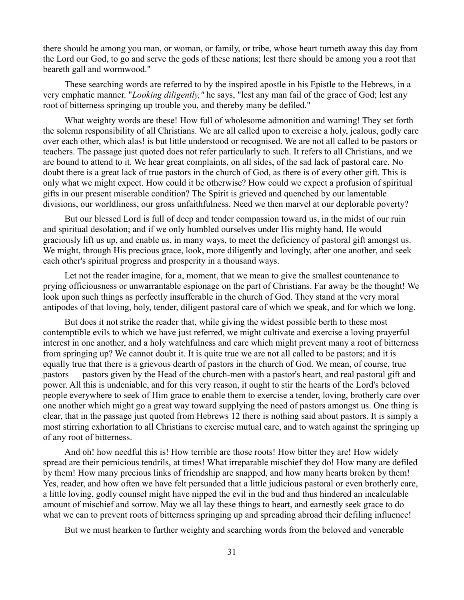there should be among you man, or woman, or family, or tribe, whose heart turneth away this day from the Lord our God, to go and serve the gods of these nations; lest there should be among you a root that beareth gall and wormwood."

These searching words are referred to by the inspired apostle in his Epistle to the Hebrews, in a very emphatic manner. "*Looking diligently,"* he says, "lest any man fail of the grace of God; lest any root of bitterness springing up trouble you, and thereby many be defiled."

What weighty words are these! How full of wholesome admonition and warning! They set forth the solemn responsibility of all Christians. We are all called upon to exercise a holy, jealous, godly care over each other, which alas! is but little understood or recognised. We are not all called to be pastors or teachers. The passage just quoted does not refer particularly to such. It refers to all Christians, and we are bound to attend to it. We hear great complaints, on all sides, of the sad lack of pastoral care. No doubt there is a great lack of true pastors in the church of God, as there is of every other gift. This is only what we might expect. How could it be otherwise? How could we expect a profusion of spiritual gifts in our present miserable condition? The Spirit is grieved and quenched by our lamentable divisions, our worldliness, our gross unfaithfulness. Need we then marvel at our deplorable poverty?

But our blessed Lord is full of deep and tender compassion toward us, in the midst of our ruin and spiritual desolation; and if we only humbled ourselves under His mighty hand, He would graciously lift us up, and enable us, in many ways, to meet the deficiency of pastoral gift amongst us. We might, through His precious grace, look, more diligently and lovingly, after one another, and seek each other's spiritual progress and prosperity in a thousand ways.

Let not the reader imagine, for a, moment, that we mean to give the smallest countenance to prying officiousness or unwarrantable espionage on the part of Christians. Far away be the thought! We look upon such things as perfectly insufferable in the church of God. They stand at the very moral antipodes of that loving, holy, tender, diligent pastoral care of which we speak, and for which we long.

But does it not strike the reader that, while giving the widest possible berth to these most contemptible evils to which we have just referred, we might cultivate and exercise a loving prayerful interest in one another, and a holy watchfulness and care which might prevent many a root of bitterness from springing up? We cannot doubt it. It is quite true we are not all called to be pastors; and it is equally true that there is a grievous dearth of pastors in the church of God. We mean, of course, true pastors — pastors given by the Head of the church-men with a pastor's heart, and real pastoral gift and power. All this is undeniable, and for this very reason, it ought to stir the hearts of the Lord's beloved people everywhere to seek of Him grace to enable them to exercise a tender, loving, brotherly care over one another which might go a great way toward supplying the need of pastors amongst us. One thing is clear, that in the passage just quoted from Hebrews 12 there is nothing said about pastors. It is simply a most stirring exhortation to all Christians to exercise mutual care, and to watch against the springing up of any root of bitterness.

And oh! how needful this is! How terrible are those roots! How bitter they are! How widely spread are their pernicious tendrils, at times! What irreparable mischief they do! How many are defiled by them! How many precious links of friendship are snapped, and how many hearts broken by them! Yes, reader, and how often we have felt persuaded that a little judicious pastoral or even brotherly care, a little loving, godly counsel might have nipped the evil in the bud and thus hindered an incalculable amount of mischief and sorrow. May we all lay these things to heart, and earnestly seek grace to do what we can to prevent roots of bitterness springing up and spreading abroad their defiling influence!

But we must hearken to further weighty and searching words from the beloved and venerable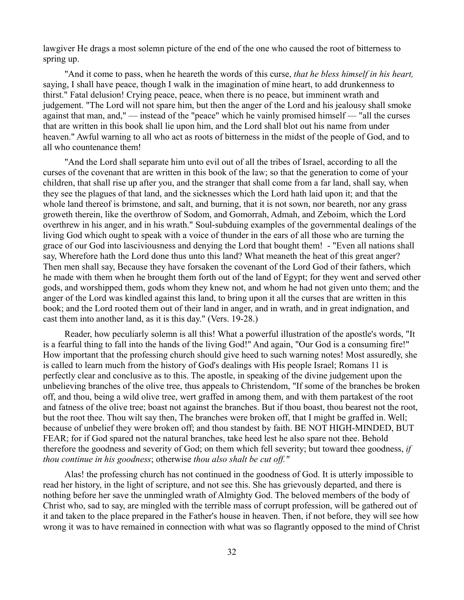lawgiver He drags a most solemn picture of the end of the one who caused the root of bitterness to spring up.

"And it come to pass, when he heareth the words of this curse, *that he bless himself in his heart,* saying, I shall have peace, though I walk in the imagination of mine heart, to add drunkenness to thirst." Fatal delusion! Crying peace, peace, when there is no peace, but imminent wrath and judgement. "The Lord will not spare him, but then the anger of the Lord and his jealousy shall smoke against that man, and," — instead of the "peace" which he vainly promised himself — "all the curses that are written in this book shall lie upon him, and the Lord shall blot out his name from under heaven." Awful warning to all who act as roots of bitterness in the midst of the people of God, and to all who countenance them!

"And the Lord shall separate him unto evil out of all the tribes of Israel, according to all the curses of the covenant that are written in this book of the law; so that the generation to come of your children, that shall rise up after you, and the stranger that shall come from a far land, shall say, when they see the plagues of that land, and the sicknesses which the Lord hath laid upon it; and that the whole land thereof is brimstone, and salt, and burning, that it is not sown, nor beareth, nor any grass groweth therein, like the overthrow of Sodom, and Gomorrah, Admah, and Zeboim, which the Lord overthrew in his anger, and in his wrath." Soul-subduing examples of the governmental dealings of the living God which ought to speak with a voice of thunder in the ears of all those who are turning the grace of our God into lasciviousness and denying the Lord that bought them! - "Even all nations shall say, Wherefore hath the Lord done thus unto this land? What meaneth the heat of this great anger? Then men shall say, Because they have forsaken the covenant of the Lord God of their fathers, which he made with them when he brought them forth out of the land of Egypt; for they went and served other gods, and worshipped them, gods whom they knew not, and whom he had not given unto them; and the anger of the Lord was kindled against this land, to bring upon it all the curses that are written in this book; and the Lord rooted them out of their land in anger, and in wrath, and in great indignation, and cast them into another land, as it is this day." (Vers. 19-28.)

Reader, how peculiarly solemn is all this! What a powerful illustration of the apostle's words, "It is a fearful thing to fall into the hands of the living God!" And again, "Our God is a consuming fire!" How important that the professing church should give heed to such warning notes! Most assuredly, she is called to learn much from the history of God's dealings with His people Israel; Romans 11 is perfectly clear and conclusive as to this. The apostle, in speaking of the divine judgement upon the unbelieving branches of the olive tree, thus appeals to Christendom, "If some of the branches be broken off, and thou, being a wild olive tree, wert graffed in among them, and with them partakest of the root and fatness of the olive tree; boast not against the branches. But if thou boast, thou bearest not the root, but the root thee. Thou wilt say then, The branches were broken off, that I might be graffed in. Well; because of unbelief they were broken off; and thou standest by faith. BE NOT HIGH-MINDED, BUT FEAR; for if God spared not the natural branches, take heed lest he also spare not thee. Behold therefore the goodness and severity of God; on them which fell severity; but toward thee goodness, *if thou continue in his goodness*; otherwise *thou also shalt be cut off."*

Alas! the professing church has not continued in the goodness of God. It is utterly impossible to read her history, in the light of scripture, and not see this. She has grievously departed, and there is nothing before her save the unmingled wrath of Almighty God. The beloved members of the body of Christ who, sad to say, are mingled with the terrible mass of corrupt profession, will be gathered out of it and taken to the place prepared in the Father's house in heaven. Then, if not before, they will see how wrong it was to have remained in connection with what was so flagrantly opposed to the mind of Christ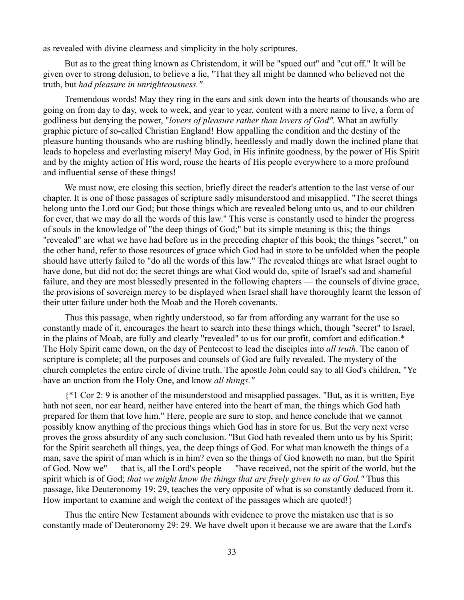as revealed with divine clearness and simplicity in the holy scriptures.

But as to the great thing known as Christendom, it will be "spued out" and "cut off." It will be given over to strong delusion, to believe a lie, "That they all might be damned who believed not the truth, but *had pleasure in unrighteousness."*

Tremendous words! May they ring in the ears and sink down into the hearts of thousands who are going on from day to day, week to week, and year to year, content with a mere name to live, a form of godliness but denying the power, "*lovers of pleasure rather than lovers of God".* What an awfully graphic picture of so-called Christian England! How appalling the condition and the destiny of the pleasure hunting thousands who are rushing blindly, heedlessly and madly down the inclined plane that leads to hopeless and everlasting misery! May God, in His infinite goodness, by the power of His Spirit and by the mighty action of His word, rouse the hearts of His people everywhere to a more profound and influential sense of these things!

We must now, ere closing this section, briefly direct the reader's attention to the last verse of our chapter. It is one of those passages of scripture sadly misunderstood and misapplied. "The secret things belong unto the Lord our God; but those things which are revealed belong unto us, and to our children for ever, that we may do all the words of this law." This verse is constantly used to hinder the progress of souls in the knowledge of "the deep things of God;" but its simple meaning is this; the things "revealed" are what we have had before us in the preceding chapter of this book; the things "secret," on the other hand, refer to those resources of grace which God had in store to be unfolded when the people should have utterly failed to "do all the words of this law." The revealed things are what Israel ought to have done, but did not do; the secret things are what God would do, spite of Israel's sad and shameful failure, and they are most blessedly presented in the following chapters — the counsels of divine grace, the provisions of sovereign mercy to be displayed when Israel shall have thoroughly learnt the lesson of their utter failure under both the Moab and the Horeb covenants.

Thus this passage, when rightly understood, so far from affording any warrant for the use so constantly made of it, encourages the heart to search into these things which, though "secret" to Israel, in the plains of Moab, are fully and clearly "revealed" to us for our profit, comfort and edification.\* The Holy Spirit came down, on the day of Pentecost to lead the disciples into *all truth*. The canon of scripture is complete; all the purposes and counsels of God are fully revealed. The mystery of the church completes the entire circle of divine truth. The apostle John could say to all God's children, "Ye have an unction from the Holy One, and know *all things."*

{\*1 Cor 2: 9 is another of the misunderstood and misapplied passages. "But, as it is written, Eye hath not seen, nor ear heard, neither have entered into the heart of man, the things which God hath prepared for them that love him." Here, people are sure to stop, and hence conclude that we cannot possibly know anything of the precious things which God has in store for us. But the very next verse proves the gross absurdity of any such conclusion. "But God hath revealed them unto us by his Spirit; for the Spirit searcheth all things, yea, the deep things of God. For what man knoweth the things of a man, save the spirit of man which is in him? even so the things of God knoweth no man, but the Spirit of God. Now we" — that is, all the Lord's people — "have received, not the spirit of the world, but the spirit which is of God; *that we might know the things that are freely given to us of God."* Thus this passage, like Deuteronomy 19: 29, teaches the very opposite of what is so constantly deduced from it. How important to examine and weigh the context of the passages which are quoted!}

Thus the entire New Testament abounds with evidence to prove the mistaken use that is so constantly made of Deuteronomy 29: 29. We have dwelt upon it because we are aware that the Lord's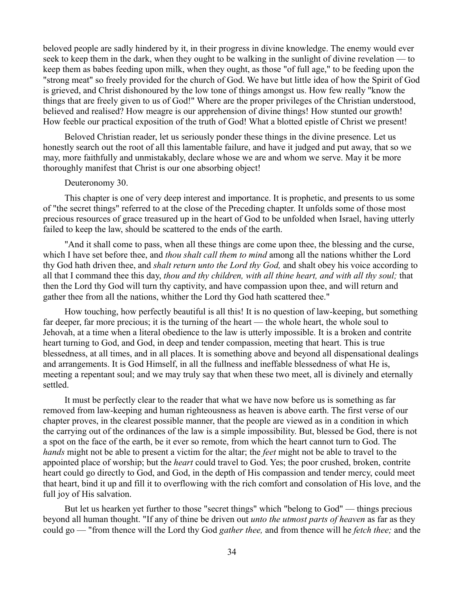beloved people are sadly hindered by it, in their progress in divine knowledge. The enemy would ever seek to keep them in the dark, when they ought to be walking in the sunlight of divine revelation — to keep them as babes feeding upon milk, when they ought, as those "of full age," to be feeding upon the "strong meat" so freely provided for the church of God. We have but little idea of how the Spirit of God is grieved, and Christ dishonoured by the low tone of things amongst us. How few really "know the things that are freely given to us of God!" Where are the proper privileges of the Christian understood, believed and realised? How meagre is our apprehension of divine things! How stunted our growth! How feeble our practical exposition of the truth of God! What a blotted epistle of Christ we present!

Beloved Christian reader, let us seriously ponder these things in the divine presence. Let us honestly search out the root of all this lamentable failure, and have it judged and put away, that so we may, more faithfully and unmistakably, declare whose we are and whom we serve. May it be more thoroughly manifest that Christ is our one absorbing object!

# Deuteronomy 30.

This chapter is one of very deep interest and importance. It is prophetic, and presents to us some of "the secret things" referred to at the close of the Preceding chapter. It unfolds some of those most precious resources of grace treasured up in the heart of God to be unfolded when Israel, having utterly failed to keep the law, should be scattered to the ends of the earth.

"And it shall come to pass, when all these things are come upon thee, the blessing and the curse, which I have set before thee, and *thou shalt call them to mind* among all the nations whither the Lord thy God hath driven thee, and *shalt return unto the Lord thy God,* and shalt obey his voice according to all that I command thee this day, *thou and thy children, with all thine heart, and with all thy soul;* that then the Lord thy God will turn thy captivity, and have compassion upon thee, and will return and gather thee from all the nations, whither the Lord thy God hath scattered thee."

How touching, how perfectly beautiful is all this! It is no question of law-keeping, but something far deeper, far more precious; it is the turning of the heart — the whole heart, the whole soul to Jehovah, at a time when a literal obedience to the law is utterly impossible. It is a broken and contrite heart turning to God, and God, in deep and tender compassion, meeting that heart. This is true blessedness, at all times, and in all places. It is something above and beyond all dispensational dealings and arrangements. It is God Himself, in all the fullness and ineffable blessedness of what He is, meeting a repentant soul; and we may truly say that when these two meet, all is divinely and eternally settled.

It must be perfectly clear to the reader that what we have now before us is something as far removed from law-keeping and human righteousness as heaven is above earth. The first verse of our chapter proves, in the clearest possible manner, that the people are viewed as in a condition in which the carrying out of the ordinances of the law is a simple impossibility. But, blessed be God, there is not a spot on the face of the earth, be it ever so remote, from which the heart cannot turn to God. The *hands* might not be able to present a victim for the altar; the *feet* might not be able to travel to the appointed place of worship; but the *heart* could travel to God. Yes; the poor crushed, broken, contrite heart could go directly to God, and God, in the depth of His compassion and tender mercy, could meet that heart, bind it up and fill it to overflowing with the rich comfort and consolation of His love, and the full joy of His salvation.

But let us hearken yet further to those "secret things" which "belong to God" — things precious beyond all human thought. "If any of thine be driven out *unto the utmost parts of heaven* as far as they could go — "from thence will the Lord thy God *gather thee,* and from thence will he *fetch thee;* and the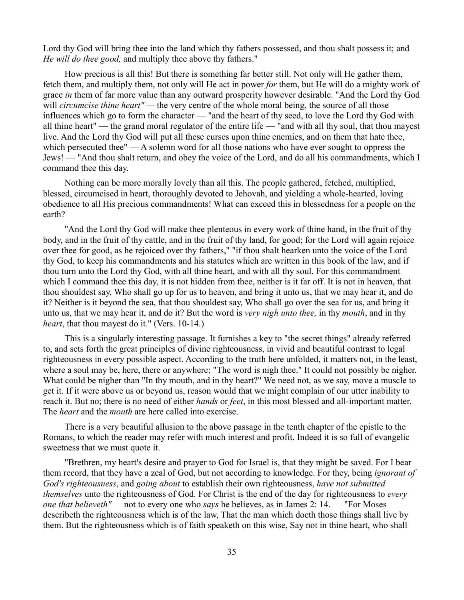Lord thy God will bring thee into the land which thy fathers possessed, and thou shalt possess it; and *He will do thee good,* and multiply thee above thy fathers."

How precious is all this! But there is something far better still. Not only will He gather them, fetch them, and multiply them, not only will He act in power *for* them, but He will do a mighty work of grace *in* them of far more value than any outward prosperity however desirable. "And the Lord thy God will *circumcise thine heart*"— the very centre of the whole moral being, the source of all those influences which go to form the character — "and the heart of thy seed, to love the Lord thy God with all thine heart" — the grand moral regulator of the entire life — "and with all thy soul, that thou mayest live. And the Lord thy God will put all these curses upon thine enemies, and on them that hate thee, which persecuted thee" — A solemn word for all those nations who have ever sought to oppress the Jews! — "And thou shalt return, and obey the voice of the Lord, and do all his commandments, which I command thee this day.

Nothing can be more morally lovely than all this. The people gathered, fetched, multiplied, blessed, circumcised in heart, thoroughly devoted to Jehovah, and yielding a whole-hearted, loving obedience to all His precious commandments! What can exceed this in blessedness for a people on the earth?

"And the Lord thy God will make thee plenteous in every work of thine hand, in the fruit of thy body, and in the fruit of thy cattle, and in the fruit of thy land, for good; for the Lord will again rejoice over thee for good, as he rejoiced over thy fathers," "if thou shalt hearken unto the voice of the Lord thy God, to keep his commandments and his statutes which are written in this book of the law, and if thou turn unto the Lord thy God, with all thine heart, and with all thy soul. For this commandment which I command thee this day, it is not hidden from thee, neither is it far off. It is not in heaven, that thou shouldest say, Who shall go up for us to heaven, and bring it unto us, that we may hear it, and do it? Neither is it beyond the sea, that thou shouldest say, Who shall go over the sea for us, and bring it unto us, that we may hear it, and do it? But the word is *very nigh unto thee,* in thy *mouth*, and in thy *heart*, that thou mayest do it." (Vers. 10-14.)

This is a singularly interesting passage. It furnishes a key to "the secret things" already referred to, and sets forth the great principles of divine righteousness, in vivid and beautiful contrast to legal righteousness in every possible aspect. According to the truth here unfolded, it matters not, in the least, where a soul may be, here, there or anywhere; "The word is nigh thee." It could not possibly be nigher. What could be nigher than "In thy mouth, and in thy heart?" We need not, as we say, move a muscle to get it. If it were above us or beyond us, reason would that we might complain of our utter inability to reach it. But no; there is no need of either *hands* or *feet*, in this most blessed and all-important matter. The *heart* and the *mouth* are here called into exercise.

There is a very beautiful allusion to the above passage in the tenth chapter of the epistle to the Romans, to which the reader may refer with much interest and profit. Indeed it is so full of evangelic sweetness that we must quote it.

"Brethren, my heart's desire and prayer to God for Israel is, that they might be saved. For I bear them record, that they have a zeal of God, but not according to knowledge. For they, being *ignorant of God's righteousness*, and *going about* to establish their own righteousness, *have not submitted themselves* unto the righteousness of God. For Christ is the end of the day for righteousness to *every one that believeth" —* not to every one who *says* he believes, as in James 2: 14. — "For Moses describeth the righteousness which is of the law, That the man which doeth those things shall live by them. But the righteousness which is of faith speaketh on this wise, Say not in thine heart, who shall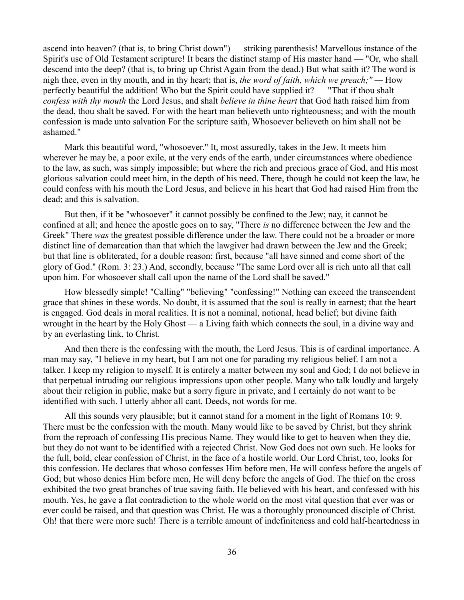ascend into heaven? (that is, to bring Christ down") — striking parenthesis! Marvellous instance of the Spirit's use of Old Testament scripture! It bears the distinct stamp of His master hand — "Or, who shall descend into the deep? (that is, to bring up Christ Again from the dead.) But what saith it? The word is nigh thee, even in thy mouth, and in thy heart; that is, *the word of faith, which we preach;" —* How perfectly beautiful the addition! Who but the Spirit could have supplied it? — "That if thou shalt *confess with thy mouth* the Lord Jesus, and shalt *believe in thine heart* that God hath raised him from the dead, thou shalt be saved. For with the heart man believeth unto righteousness; and with the mouth confession is made unto salvation For the scripture saith, Whosoever believeth on him shall not be ashamed."

Mark this beautiful word, "whosoever." It, most assuredly, takes in the Jew. It meets him wherever he may be, a poor exile, at the very ends of the earth, under circumstances where obedience to the law, as such, was simply impossible; but where the rich and precious grace of God, and His most glorious salvation could meet him, in the depth of his need. There, though he could not keep the law, he could confess with his mouth the Lord Jesus, and believe in his heart that God had raised Him from the dead; and this is salvation.

But then, if it be "whosoever" it cannot possibly be confined to the Jew; nay, it cannot be confined at all; and hence the apostle goes on to say, "There *is* no difference between the Jew and the Greek" There *was* the greatest possible difference under the law. There could not be a broader or more distinct line of demarcation than that which the lawgiver had drawn between the Jew and the Greek; but that line is obliterated, for a double reason: first, because "all have sinned and come short of the glory of God." (Rom. 3: 23.) And, secondly, because "The same Lord over all is rich unto all that call upon him. For whosoever shall call upon the name of the Lord shall be saved."

How blessedly simple! "Calling" "believing" "confessing!" Nothing can exceed the transcendent grace that shines in these words. No doubt, it is assumed that the soul is really in earnest; that the heart is engaged. God deals in moral realities. It is not a nominal, notional, head belief; but divine faith wrought in the heart by the Holy Ghost — a Living faith which connects the soul, in a divine way and by an everlasting link, to Christ.

And then there is the confessing with the mouth, the Lord Jesus. This is of cardinal importance. A man may say, "I believe in my heart, but I am not one for parading my religious belief. I am not a talker. I keep my religion to myself. It is entirely a matter between my soul and God; I do not believe in that perpetual intruding our religious impressions upon other people. Many who talk loudly and largely about their religion in public, make but a sorry figure in private, and I certainly do not want to be identified with such. I utterly abhor all cant. Deeds, not words for me.

All this sounds very plausible; but it cannot stand for a moment in the light of Romans 10: 9. There must be the confession with the mouth. Many would like to be saved by Christ, but they shrink from the reproach of confessing His precious Name. They would like to get to heaven when they die, but they do not want to be identified with a rejected Christ. Now God does not own such. He looks for the full, bold, clear confession of Christ, in the face of a hostile world. Our Lord Christ, too, looks for this confession. He declares that whoso confesses Him before men, He will confess before the angels of God; but whoso denies Him before men, He will deny before the angels of God. The thief on the cross exhibited the two great branches of true saving faith. He believed with his heart, and confessed with his mouth. Yes, he gave a flat contradiction to the whole world on the most vital question that ever was or ever could be raised, and that question was Christ. He was a thoroughly pronounced disciple of Christ. Oh! that there were more such! There is a terrible amount of indefiniteness and cold half-heartedness in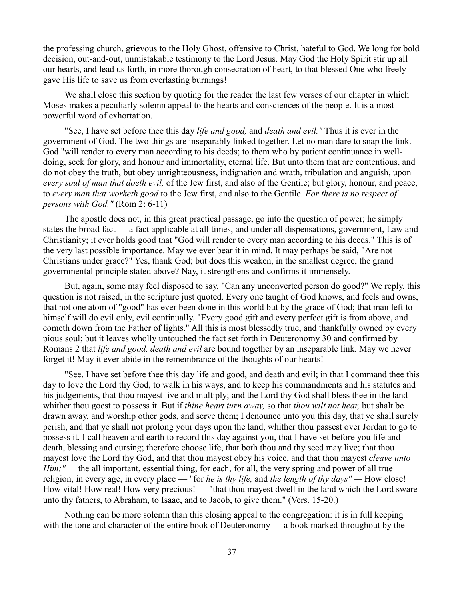the professing church, grievous to the Holy Ghost, offensive to Christ, hateful to God. We long for bold decision, out-and-out, unmistakable testimony to the Lord Jesus. May God the Holy Spirit stir up all our hearts, and lead us forth, in more thorough consecration of heart, to that blessed One who freely gave His life to save us from everlasting burnings!

We shall close this section by quoting for the reader the last few verses of our chapter in which Moses makes a peculiarly solemn appeal to the hearts and consciences of the people. It is a most powerful word of exhortation.

"See, I have set before thee this day *life and good,* and *death and evil."* Thus it is ever in the government of God. The two things are inseparably linked together. Let no man dare to snap the link. God "will render to every man according to his deeds; to them who by patient continuance in welldoing, seek for glory, and honour and immortality, eternal life. But unto them that are contentious, and do not obey the truth, but obey unrighteousness, indignation and wrath, tribulation and anguish, upon *every soul of man that doeth evil,* of the Jew first, and also of the Gentile; but glory, honour, and peace, to *every man that worketh good* to the Jew first, and also to the Gentile. *For there is no respect of persons with God."* (Rom 2: 6-11)

The apostle does not, in this great practical passage, go into the question of power; he simply states the broad fact — a fact applicable at all times, and under all dispensations, government, Law and Christianity; it ever holds good that "God will render to every man according to his deeds." This is of the very last possible importance. May we ever bear it in mind. It may perhaps be said, "Are not Christians under grace?" Yes, thank God; but does this weaken, in the smallest degree, the grand governmental principle stated above? Nay, it strengthens and confirms it immensely.

But, again, some may feel disposed to say, "Can any unconverted person do good?" We reply, this question is not raised, in the scripture just quoted. Every one taught of God knows, and feels and owns, that not one atom of "good" has ever been done in this world but by the grace of God; that man left to himself will do evil only, evil continually. "Every good gift and every perfect gift is from above, and cometh down from the Father of lights." All this is most blessedly true, and thankfully owned by every pious soul; but it leaves wholly untouched the fact set forth in Deuteronomy 30 and confirmed by Romans 2 that *life and good, death and evil* are bound together by an inseparable link. May we never forget it! May it ever abide in the remembrance of the thoughts of our hearts!

"See, I have set before thee this day life and good, and death and evil; in that I command thee this day to love the Lord thy God, to walk in his ways, and to keep his commandments and his statutes and his judgements, that thou mayest live and multiply; and the Lord thy God shall bless thee in the land whither thou goest to possess it. But if *thine heart turn away,* so that *thou wilt not hear,* but shalt be drawn away, and worship other gods, and serve them; I denounce unto you this day, that ye shall surely perish, and that ye shall not prolong your days upon the land, whither thou passest over Jordan to go to possess it. I call heaven and earth to record this day against you, that I have set before you life and death, blessing and cursing; therefore choose life, that both thou and thy seed may live; that thou mayest love the Lord thy God, and that thou mayest obey his voice, and that thou mayest *cleave unto Him;"* — the all important, essential thing, for each, for all, the very spring and power of all true religion, in every age, in every place — "for *he is thy life,* and *the length of thy days" —* How close! How vital! How real! How very precious! — "that thou mayest dwell in the land which the Lord sware unto thy fathers, to Abraham, to Isaac, and to Jacob, to give them." (Vers. 15-20.)

Nothing can be more solemn than this closing appeal to the congregation: it is in full keeping with the tone and character of the entire book of Deuteronomy — a book marked throughout by the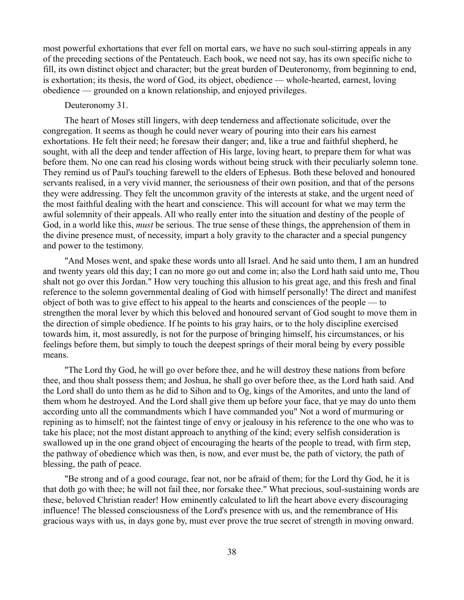most powerful exhortations that ever fell on mortal ears, we have no such soul-stirring appeals in any of the preceding sections of the Pentateuch. Each book, we need not say, has its own specific niche to fill, its own distinct object and character; but the great burden of Deuteronomy, from beginning to end, is exhortation; its thesis, the word of God, its object, obedience — whole-hearted, earnest, loving obedience — grounded on a known relationship, and enjoyed privileges.

# Deuteronomy 31.

The heart of Moses still lingers, with deep tenderness and affectionate solicitude, over the congregation. It seems as though he could never weary of pouring into their ears his earnest exhortations. He felt their need; he foresaw their danger; and, like a true and faithful shepherd, he sought, with all the deep and tender affection of His large, loving heart, to prepare them for what was before them. No one can read his closing words without being struck with their peculiarly solemn tone. They remind us of Paul's touching farewell to the elders of Ephesus. Both these beloved and honoured servants realised, in a very vivid manner, the seriousness of their own position, and that of the persons they were addressing. They felt the uncommon gravity of the interests at stake, and the urgent need of the most faithful dealing with the heart and conscience. This will account for what we may term the awful solemnity of their appeals. All who really enter into the situation and destiny of the people of God, in a world like this, *must* be serious. The true sense of these things, the apprehension of them in the divine presence must, of necessity, impart a holy gravity to the character and a special pungency and power to the testimony.

"And Moses went, and spake these words unto all Israel. And he said unto them, I am an hundred and twenty years old this day; I can no more go out and come in; also the Lord hath said unto me, Thou shalt not go over this Jordan." How very touching this allusion to his great age, and this fresh and final reference to the solemn governmental dealing of God with himself personally! The direct and manifest object of both was to give effect to his appeal to the hearts and consciences of the people — to strengthen the moral lever by which this beloved and honoured servant of God sought to move them in the direction of simple obedience. If he points to his gray hairs, or to the holy discipline exercised towards him, it, most assuredly, is not for the purpose of bringing himself, his circumstances, or his feelings before them, but simply to touch the deepest springs of their moral being by every possible means.

"The Lord thy God, he will go over before thee, and he will destroy these nations from before thee, and thou shalt possess them; and Joshua, he shall go over before thee, as the Lord hath said. And the Lord shall do unto them as he did to Sihon and to Og, kings of the Amorites, and unto the land of them whom he destroyed. And the Lord shall give them up before your face, that ye may do unto them according unto all the commandments which I have commanded you" Not a word of murmuring or repining as to himself; not the faintest tinge of envy or jealousy in his reference to the one who was to take his place; not the most distant approach to anything of the kind; every selfish consideration is swallowed up in the one grand object of encouraging the hearts of the people to tread, with firm step, the pathway of obedience which was then, is now, and ever must be, the path of victory, the path of blessing, the path of peace.

"Be strong and of a good courage, fear not, nor be afraid of them; for the Lord thy God, he it is that doth go with thee; he will not fail thee, nor forsake thee." What precious, soul-sustaining words are these, beloved Christian reader! How eminently calculated to lift the heart above every discouraging influence! The blessed consciousness of the Lord's presence with us, and the remembrance of His gracious ways with us, in days gone by, must ever prove the true secret of strength in moving onward.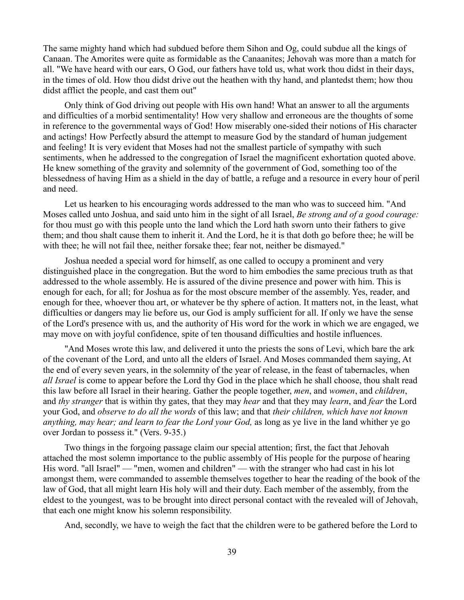The same mighty hand which had subdued before them Sihon and Og, could subdue all the kings of Canaan. The Amorites were quite as formidable as the Canaanites; Jehovah was more than a match for all. "We have heard with our ears, O God, our fathers have told us, what work thou didst in their days, in the times of old. How thou didst drive out the heathen with thy hand, and plantedst them; how thou didst afflict the people, and cast them out"

Only think of God driving out people with His own hand! What an answer to all the arguments and difficulties of a morbid sentimentality! How very shallow and erroneous are the thoughts of some in reference to the governmental ways of God! How miserably one-sided their notions of His character and actings! How Perfectly absurd the attempt to measure God by the standard of human judgement and feeling! It is very evident that Moses had not the smallest particle of sympathy with such sentiments, when he addressed to the congregation of Israel the magnificent exhortation quoted above. He knew something of the gravity and solemnity of the government of God, something too of the blessedness of having Him as a shield in the day of battle, a refuge and a resource in every hour of peril and need.

Let us hearken to his encouraging words addressed to the man who was to succeed him. "And Moses called unto Joshua, and said unto him in the sight of all Israel, *Be strong and of a good courage:* for thou must go with this people unto the land which the Lord hath sworn unto their fathers to give them; and thou shalt cause them to inherit it. And the Lord, he it is that doth go before thee; he will be with thee; he will not fail thee, neither forsake thee; fear not, neither be dismayed."

Joshua needed a special word for himself, as one called to occupy a prominent and very distinguished place in the congregation. But the word to him embodies the same precious truth as that addressed to the whole assembly. He is assured of the divine presence and power with him. This is enough for each, for all; for Joshua as for the most obscure member of the assembly. Yes, reader, and enough for thee, whoever thou art, or whatever be thy sphere of action. It matters not, in the least, what difficulties or dangers may lie before us, our God is amply sufficient for all. If only we have the sense of the Lord's presence with us, and the authority of His word for the work in which we are engaged, we may move on with joyful confidence, spite of ten thousand difficulties and hostile influences.

"And Moses wrote this law, and delivered it unto the priests the sons of Levi, which bare the ark of the covenant of the Lord, and unto all the elders of Israel. And Moses commanded them saying, At the end of every seven years, in the solemnity of the year of release, in the feast of tabernacles, when *all Israel* is come to appear before the Lord thy God in the place which he shall choose, thou shalt read this law before all Israel in their hearing. Gather the people together, *men*, and *women*, and *children*, and *thy stranger* that is within thy gates, that they may *hear* and that they may *learn*, and *fear* the Lord your God, and *observe to do all the words* of this law; and that *their children, which have not known anything, may hear; and learn to fear the Lord your God,* as long as ye live in the land whither ye go over Jordan to possess it." (Vers. 9-35.)

Two things in the forgoing passage claim our special attention; first, the fact that Jehovah attached the most solemn importance to the public assembly of His people for the purpose of hearing His word. "all Israel" — "men, women and children" — with the stranger who had cast in his lot amongst them, were commanded to assemble themselves together to hear the reading of the book of the law of God, that all might learn His holy will and their duty. Each member of the assembly, from the eldest to the youngest, was to be brought into direct personal contact with the revealed will of Jehovah, that each one might know his solemn responsibility.

And, secondly, we have to weigh the fact that the children were to be gathered before the Lord to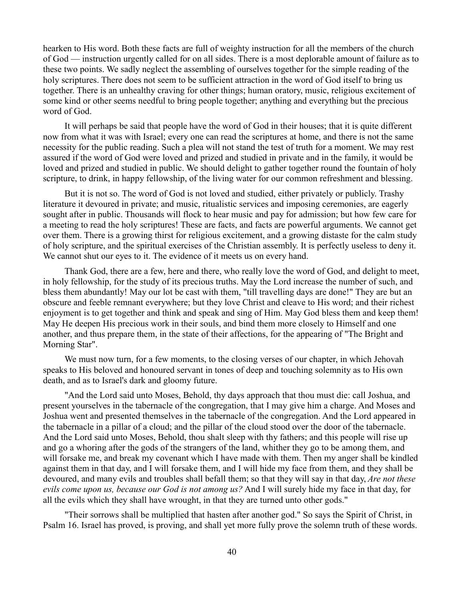hearken to His word. Both these facts are full of weighty instruction for all the members of the church of God — instruction urgently called for on all sides. There is a most deplorable amount of failure as to these two points. We sadly neglect the assembling of ourselves together for the simple reading of the holy scriptures. There does not seem to be sufficient attraction in the word of God itself to bring us together. There is an unhealthy craving for other things; human oratory, music, religious excitement of some kind or other seems needful to bring people together; anything and everything but the precious word of God.

It will perhaps be said that people have the word of God in their houses; that it is quite different now from what it was with Israel; every one can read the scriptures at home, and there is not the same necessity for the public reading. Such a plea will not stand the test of truth for a moment. We may rest assured if the word of God were loved and prized and studied in private and in the family, it would be loved and prized and studied in public. We should delight to gather together round the fountain of holy scripture, to drink, in happy fellowship, of the living water for our common refreshment and blessing.

But it is not so. The word of God is not loved and studied, either privately or publicly. Trashy literature it devoured in private; and music, ritualistic services and imposing ceremonies, are eagerly sought after in public. Thousands will flock to hear music and pay for admission; but how few care for a meeting to read the holy scriptures! These are facts, and facts are powerful arguments. We cannot get over them. There is a growing thirst for religious excitement, and a growing distaste for the calm study of holy scripture, and the spiritual exercises of the Christian assembly. It is perfectly useless to deny it. We cannot shut our eyes to it. The evidence of it meets us on every hand.

Thank God, there are a few, here and there, who really love the word of God, and delight to meet, in holy fellowship, for the study of its precious truths. May the Lord increase the number of such, and bless them abundantly! May our lot be cast with them, "till travelling days are done!" They are but an obscure and feeble remnant everywhere; but they love Christ and cleave to His word; and their richest enjoyment is to get together and think and speak and sing of Him. May God bless them and keep them! May He deepen His precious work in their souls, and bind them more closely to Himself and one another, and thus prepare them, in the state of their affections, for the appearing of "The Bright and Morning Star".

We must now turn, for a few moments, to the closing verses of our chapter, in which Jehovah speaks to His beloved and honoured servant in tones of deep and touching solemnity as to His own death, and as to Israel's dark and gloomy future.

"And the Lord said unto Moses, Behold, thy days approach that thou must die: call Joshua, and present yourselves in the tabernacle of the congregation, that I may give him a charge. And Moses and Joshua went and presented themselves in the tabernacle of the congregation. And the Lord appeared in the tabernacle in a pillar of a cloud; and the pillar of the cloud stood over the door of the tabernacle. And the Lord said unto Moses, Behold, thou shalt sleep with thy fathers; and this people will rise up and go a whoring after the gods of the strangers of the land, whither they go to be among them, and will forsake me, and break my covenant which I have made with them. Then my anger shall be kindled against them in that day, and I will forsake them, and I will hide my face from them, and they shall be devoured, and many evils and troubles shall befall them; so that they will say in that day, *Are not these evils come upon us, because our God is not among us?* And I will surely hide my face in that day, for all the evils which they shall have wrought, in that they are turned unto other gods."

"Their sorrows shall be multiplied that hasten after another god." So says the Spirit of Christ, in Psalm 16. Israel has proved, is proving, and shall yet more fully prove the solemn truth of these words.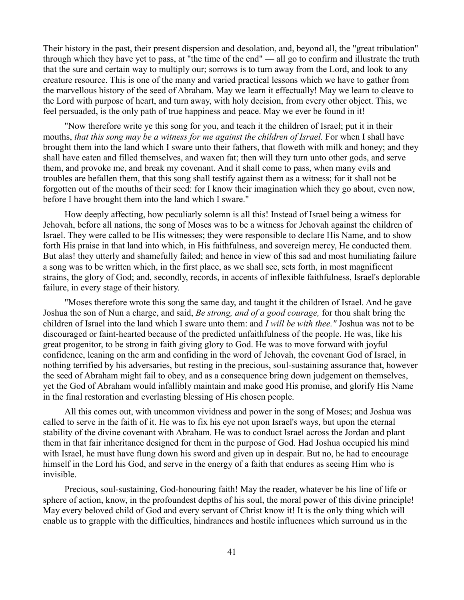Their history in the past, their present dispersion and desolation, and, beyond all, the "great tribulation" through which they have yet to pass, at "the time of the end" — all go to confirm and illustrate the truth that the sure and certain way to multiply our; sorrows is to turn away from the Lord, and look to any creature resource. This is one of the many and varied practical lessons which we have to gather from the marvellous history of the seed of Abraham. May we learn it effectually! May we learn to cleave to the Lord with purpose of heart, and turn away, with holy decision, from every other object. This, we feel persuaded, is the only path of true happiness and peace. May we ever be found in it!

"Now therefore write ye this song for you, and teach it the children of Israel; put it in their mouths, *that this song may be a witness for me against the children of Israel.* For when I shall have brought them into the land which I sware unto their fathers, that floweth with milk and honey; and they shall have eaten and filled themselves, and waxen fat; then will they turn unto other gods, and serve them, and provoke me, and break my covenant. And it shall come to pass, when many evils and troubles are befallen them, that this song shall testify against them as a witness; for it shall not be forgotten out of the mouths of their seed: for I know their imagination which they go about, even now, before I have brought them into the land which I sware."

How deeply affecting, how peculiarly solemn is all this! Instead of Israel being a witness for Jehovah, before all nations, the song of Moses was to be a witness for Jehovah against the children of Israel. They were called to be His witnesses; they were responsible to declare His Name, and to show forth His praise in that land into which, in His faithfulness, and sovereign mercy, He conducted them. But alas! they utterly and shamefully failed; and hence in view of this sad and most humiliating failure a song was to be written which, in the first place, as we shall see, sets forth, in most magnificent strains, the glory of God; and, secondly, records, in accents of inflexible faithfulness, Israel's deplorable failure, in every stage of their history.

"Moses therefore wrote this song the same day, and taught it the children of Israel. And he gave Joshua the son of Nun a charge, and said, *Be strong, and of a good courage,* for thou shalt bring the children of Israel into the land which I sware unto them: and *I will be with thee."* Joshua was not to be discouraged or faint-hearted because of the predicted unfaithfulness of the people. He was, like his great progenitor, to be strong in faith giving glory to God. He was to move forward with joyful confidence, leaning on the arm and confiding in the word of Jehovah, the covenant God of Israel, in nothing terrified by his adversaries, but resting in the precious, soul-sustaining assurance that, however the seed of Abraham might fail to obey, and as a consequence bring down judgement on themselves, yet the God of Abraham would infallibly maintain and make good His promise, and glorify His Name in the final restoration and everlasting blessing of His chosen people.

All this comes out, with uncommon vividness and power in the song of Moses; and Joshua was called to serve in the faith of it. He was to fix his eye not upon Israel's ways, but upon the eternal stability of the divine covenant with Abraham. He was to conduct Israel across the Jordan and plant them in that fair inheritance designed for them in the purpose of God. Had Joshua occupied his mind with Israel, he must have flung down his sword and given up in despair. But no, he had to encourage himself in the Lord his God, and serve in the energy of a faith that endures as seeing Him who is invisible.

Precious, soul-sustaining, God-honouring faith! May the reader, whatever be his line of life or sphere of action, know, in the profoundest depths of his soul, the moral power of this divine principle! May every beloved child of God and every servant of Christ know it! It is the only thing which will enable us to grapple with the difficulties, hindrances and hostile influences which surround us in the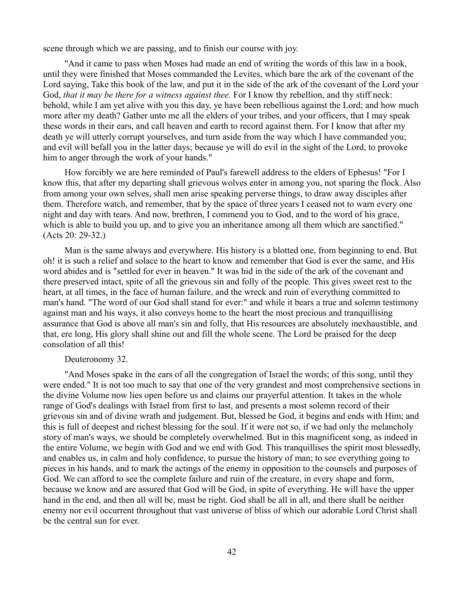scene through which we are passing, and to finish our course with joy.

"And it came to pass when Moses had made an end of writing the words of this law in a book, until they were finished that Moses commanded the Levites, which bare the ark of the covenant of the Lord saying, Take this book of the law, and put it in the side of the ark of the covenant of the Lord your God, *that it may be there for a witness against thee.* For I know thy rebellion, and thy stiff neck: behold, while I am yet alive with you this day, ye have been rebellious against the Lord; and how much more after my death? Gather unto me all the elders of your tribes, and your officers, that I may speak these words in their ears, and call heaven and earth to record against them. For I know that after my death ye will utterly corrupt yourselves, and turn aside from the way which I have commanded you; and evil will befall you in the latter days; because ye will do evil in the sight of the Lord, to provoke him to anger through the work of your hands."

How forcibly we are here reminded of Paul's farewell address to the elders of Ephesus! "For I know this, that after my departing shall grievous wolves enter in among you, not sparing the flock. Also from among your own selves, shall men arise speaking perverse things, to draw away disciples after them. Therefore watch, and remember, that by the space of three years I ceased not to warn every one night and day with tears. And now, brethren, I commend you to God, and to the word of his grace, which is able to build you up, and to give you an inheritance among all them which are sanctified." (Acts 20: 29-32.)

Man is the same always and everywhere. His history is a blotted one, from beginning to end. But oh! it is such a relief and solace to the heart to know and remember that God is ever the same, and His word abides and is "settled for ever in heaven." It was hid in the side of the ark of the covenant and there preserved intact, spite of all the grievous sin and folly of the people. This gives sweet rest to the heart, at all times, in the face of human failure, and the wreck and ruin of everything committed to man's hand. "The word of our God shall stand for ever:" and while it bears a true and solemn testimony against man and his ways, it also conveys home to the heart the most precious and tranquillising assurance that God is above all man's sin and folly, that His resources are absolutely inexhaustible, and that, ere long, His glory shall shine out and fill the whole scene. The Lord be praised for the deep consolation of all this!

# Deuteronomy 32.

"And Moses spake in the ears of all the congregation of Israel the words; of this song, until they were ended." It is not too much to say that one of the very grandest and most comprehensive sections in the divine Volume now lies open before us and claims our prayerful attention. It takes in the whole range of God's dealings with Israel from first to last, and presents a most solemn record of their grievous sin and of divine wrath and judgement. But, blessed be God, it begins and ends with Him; and this is full of deepest and richest blessing for the soul. If it were not so, if we had only the melancholy story of man's ways, we should be completely overwhelmed. But in this magnificent song, as indeed in the entire Volume, we begin with God and we end with God. This tranquillises the spirit most blessedly, and enables us, in calm and holy confidence, to pursue the history of man; to see everything going to pieces in his hands, and to mark the actings of the enemy in opposition to the counsels and purposes of God. We can afford to see the complete failure and ruin of the creature, in every shape and form, because we know and are assured that God will be God, in spite of everything. He will have the upper hand in the end, and then all will be, must be right. God shall be all in all, and there shall be neither enemy nor evil occurrent throughout that vast universe of bliss of which our adorable Lord Christ shall be the central sun for ever.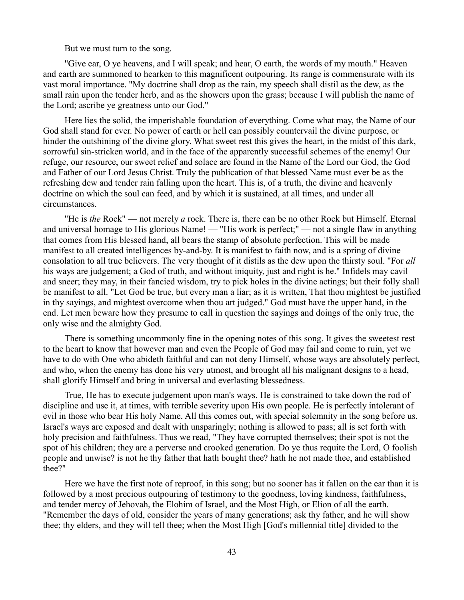But we must turn to the song.

"Give ear, O ye heavens, and I will speak; and hear, O earth, the words of my mouth." Heaven and earth are summoned to hearken to this magnificent outpouring. Its range is commensurate with its vast moral importance. "My doctrine shall drop as the rain, my speech shall distil as the dew, as the small rain upon the tender herb, and as the showers upon the grass; because I will publish the name of the Lord; ascribe ye greatness unto our God."

Here lies the solid, the imperishable foundation of everything. Come what may, the Name of our God shall stand for ever. No power of earth or hell can possibly countervail the divine purpose, or hinder the outshining of the divine glory. What sweet rest this gives the heart, in the midst of this dark, sorrowful sin-stricken world, and in the face of the apparently successful schemes of the enemy! Our refuge, our resource, our sweet relief and solace are found in the Name of the Lord our God, the God and Father of our Lord Jesus Christ. Truly the publication of that blessed Name must ever be as the refreshing dew and tender rain falling upon the heart. This is, of a truth, the divine and heavenly doctrine on which the soul can feed, and by which it is sustained, at all times, and under all circumstances.

"He is *the* Rock" — not merely *a* rock. There is, there can be no other Rock but Himself. Eternal and universal homage to His glorious Name! — "His work is perfect;" — not a single flaw in anything that comes from His blessed hand, all bears the stamp of absolute perfection. This will be made manifest to all created intelligences by-and-by. It is manifest to faith now, and is a spring of divine consolation to all true believers. The very thought of it distils as the dew upon the thirsty soul. "For *all* his ways are judgement; a God of truth, and without iniquity, just and right is he." Infidels may cavil and sneer; they may, in their fancied wisdom, try to pick holes in the divine actings; but their folly shall be manifest to all. "Let God be true, but every man a liar; as it is written, That thou mightest be justified in thy sayings, and mightest overcome when thou art judged." God must have the upper hand, in the end. Let men beware how they presume to call in question the sayings and doings of the only true, the only wise and the almighty God.

There is something uncommonly fine in the opening notes of this song. It gives the sweetest rest to the heart to know that however man and even the People of God may fail and come to ruin, yet we have to do with One who abideth faithful and can not deny Himself, whose ways are absolutely perfect, and who, when the enemy has done his very utmost, and brought all his malignant designs to a head, shall glorify Himself and bring in universal and everlasting blessedness.

True, He has to execute judgement upon man's ways. He is constrained to take down the rod of discipline and use it, at times, with terrible severity upon His own people. He is perfectly intolerant of evil in those who bear His holy Name. All this comes out, with special solemnity in the song before us. Israel's ways are exposed and dealt with unsparingly; nothing is allowed to pass; all is set forth with holy precision and faithfulness. Thus we read, "They have corrupted themselves; their spot is not the spot of his children; they are a perverse and crooked generation. Do ye thus requite the Lord, O foolish people and unwise? is not he thy father that hath bought thee? hath he not made thee, and established thee?"

Here we have the first note of reproof, in this song; but no sooner has it fallen on the ear than it is followed by a most precious outpouring of testimony to the goodness, loving kindness, faithfulness, and tender mercy of Jehovah, the Elohim of Israel, and the Most High, or Elion of all the earth. "Remember the days of old, consider the years of many generations; ask thy father, and he will show thee; thy elders, and they will tell thee; when the Most High [God's millennial title] divided to the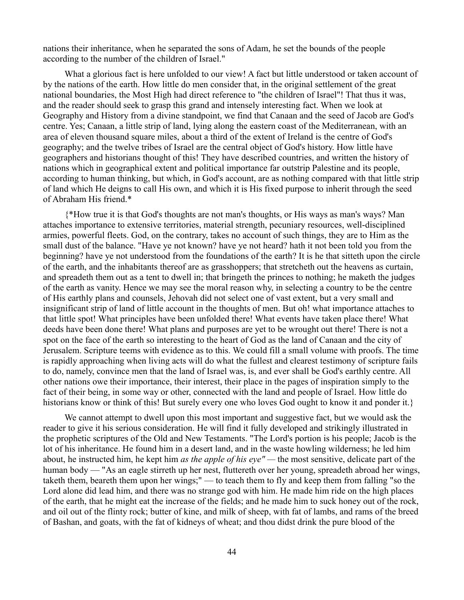nations their inheritance, when he separated the sons of Adam, he set the bounds of the people according to the number of the children of Israel."

What a glorious fact is here unfolded to our view! A fact but little understood or taken account of by the nations of the earth. How little do men consider that, in the original settlement of the great national boundaries, the Most High had direct reference to "the children of Israel"! That thus it was, and the reader should seek to grasp this grand and intensely interesting fact. When we look at Geography and History from a divine standpoint, we find that Canaan and the seed of Jacob are God's centre. Yes; Canaan, a little strip of land, lying along the eastern coast of the Mediterranean, with an area of eleven thousand square miles, about a third of the extent of Ireland is the centre of God's geography; and the twelve tribes of Israel are the central object of God's history. How little have geographers and historians thought of this! They have described countries, and written the history of nations which in geographical extent and political importance far outstrip Palestine and its people, according to human thinking, but which, in God's account, are as nothing compared with that little strip of land which He deigns to call His own, and which it is His fixed purpose to inherit through the seed of Abraham His friend.\*

{\*How true it is that God's thoughts are not man's thoughts, or His ways as man's ways? Man attaches importance to extensive territories, material strength, pecuniary resources, well-disciplined armies, powerful fleets. God, on the contrary, takes no account of such things, they are to Him as the small dust of the balance. "Have ye not known? have ye not heard? hath it not been told you from the beginning? have ye not understood from the foundations of the earth? It is he that sitteth upon the circle of the earth, and the inhabitants thereof are as grasshoppers; that stretcheth out the heavens as curtain, and spreadeth them out as a tent to dwell in; that bringeth the princes to nothing; he maketh the judges of the earth as vanity. Hence we may see the moral reason why, in selecting a country to be the centre of His earthly plans and counsels, Jehovah did not select one of vast extent, but a very small and insignificant strip of land of little account in the thoughts of men. But oh! what importance attaches to that little spot! What principles have been unfolded there! What events have taken place there! What deeds have been done there! What plans and purposes are yet to be wrought out there! There is not a spot on the face of the earth so interesting to the heart of God as the land of Canaan and the city of Jerusalem. Scripture teems with evidence as to this. We could fill a small volume with proofs. The time is rapidly approaching when living acts will do what the fullest and clearest testimony of scripture fails to do, namely, convince men that the land of Israel was, is, and ever shall be God's earthly centre. All other nations owe their importance, their interest, their place in the pages of inspiration simply to the fact of their being, in some way or other, connected with the land and people of Israel. How little do historians know or think of this! But surely every one who loves God ought to know it and ponder it.

We cannot attempt to dwell upon this most important and suggestive fact, but we would ask the reader to give it his serious consideration. He will find it fully developed and strikingly illustrated in the prophetic scriptures of the Old and New Testaments. "The Lord's portion is his people; Jacob is the lot of his inheritance. He found him in a desert land, and in the waste howling wilderness; he led him about, he instructed him, he kept him *as the apple of his eye" —* the most sensitive, delicate part of the human body — "As an eagle stirreth up her nest, fluttereth over her young, spreadeth abroad her wings, taketh them, beareth them upon her wings;" — to teach them to fly and keep them from falling "so the Lord alone did lead him, and there was no strange god with him. He made him ride on the high places of the earth, that he might eat the increase of the fields; and he made him to suck honey out of the rock, and oil out of the flinty rock; butter of kine, and milk of sheep, with fat of lambs, and rams of the breed of Bashan, and goats, with the fat of kidneys of wheat; and thou didst drink the pure blood of the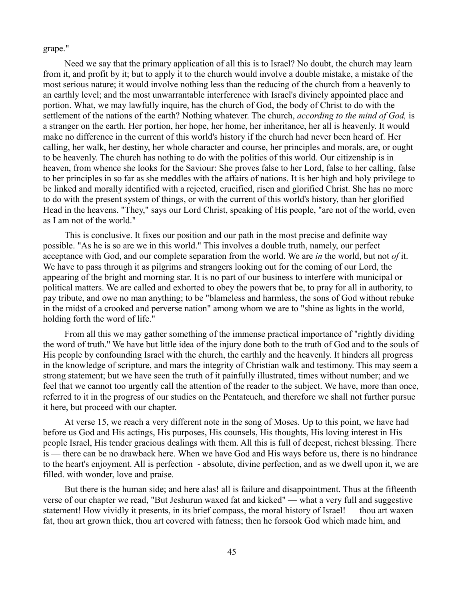grape."

Need we say that the primary application of all this is to Israel? No doubt, the church may learn from it, and profit by it; but to apply it to the church would involve a double mistake, a mistake of the most serious nature; it would involve nothing less than the reducing of the church from a heavenly to an earthly level; and the most unwarrantable interference with Israel's divinely appointed place and portion. What, we may lawfully inquire, has the church of God, the body of Christ to do with the settlement of the nations of the earth? Nothing whatever. The church, *according to the mind of God,* is a stranger on the earth. Her portion, her hope, her home, her inheritance, her all is heavenly. It would make no difference in the current of this world's history if the church had never been heard of. Her calling, her walk, her destiny, her whole character and course, her principles and morals, are, or ought to be heavenly. The church has nothing to do with the politics of this world. Our citizenship is in heaven, from whence she looks for the Saviour: She proves false to her Lord, false to her calling, false to her principles in so far as she meddles with the affairs of nations. It is her high and holy privilege to be linked and morally identified with a rejected, crucified, risen and glorified Christ. She has no more to do with the present system of things, or with the current of this world's history, than her glorified Head in the heavens. "They," says our Lord Christ, speaking of His people, "are not of the world, even as I am not of the world."

This is conclusive. It fixes our position and our path in the most precise and definite way possible. "As he is so are we in this world." This involves a double truth, namely, our perfect acceptance with God, and our complete separation from the world. We are *in* the world, but not *of* it. We have to pass through it as pilgrims and strangers looking out for the coming of our Lord, the appearing of the bright and morning star. It is no part of our business to interfere with municipal or political matters. We are called and exhorted to obey the powers that be, to pray for all in authority, to pay tribute, and owe no man anything; to be "blameless and harmless, the sons of God without rebuke in the midst of a crooked and perverse nation" among whom we are to "shine as lights in the world, holding forth the word of life."

From all this we may gather something of the immense practical importance of "rightly dividing the word of truth." We have but little idea of the injury done both to the truth of God and to the souls of His people by confounding Israel with the church, the earthly and the heavenly. It hinders all progress in the knowledge of scripture, and mars the integrity of Christian walk and testimony. This may seem a strong statement; but we have seen the truth of it painfully illustrated, times without number; and we feel that we cannot too urgently call the attention of the reader to the subject. We have, more than once, referred to it in the progress of our studies on the Pentateuch, and therefore we shall not further pursue it here, but proceed with our chapter.

At verse 15, we reach a very different note in the song of Moses. Up to this point, we have had before us God and His actings, His purposes, His counsels, His thoughts, His loving interest in His people Israel, His tender gracious dealings with them. All this is full of deepest, richest blessing. There is — there can be no drawback here. When we have God and His ways before us, there is no hindrance to the heart's enjoyment. All is perfection - absolute, divine perfection, and as we dwell upon it, we are filled. with wonder, love and praise.

But there is the human side; and here alas! all is failure and disappointment. Thus at the fifteenth verse of our chapter we read, "But Jeshurun waxed fat and kicked" — what a very full and suggestive statement! How vividly it presents, in its brief compass, the moral history of Israel! — thou art waxen fat, thou art grown thick, thou art covered with fatness; then he forsook God which made him, and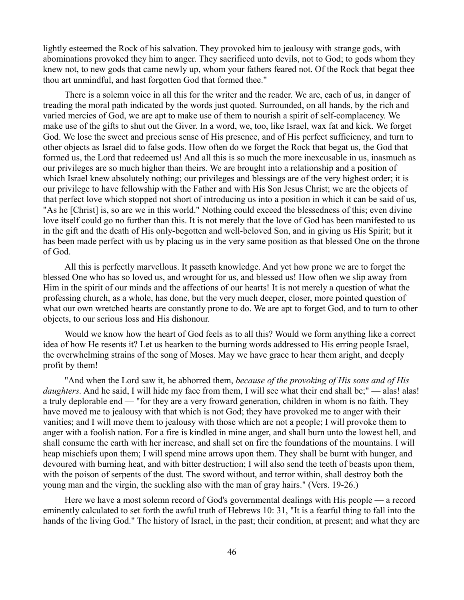lightly esteemed the Rock of his salvation. They provoked him to jealousy with strange gods, with abominations provoked they him to anger. They sacrificed unto devils, not to God; to gods whom they knew not, to new gods that came newly up, whom your fathers feared not. Of the Rock that begat thee thou art unmindful, and hast forgotten God that formed thee."

There is a solemn voice in all this for the writer and the reader. We are, each of us, in danger of treading the moral path indicated by the words just quoted. Surrounded, on all hands, by the rich and varied mercies of God, we are apt to make use of them to nourish a spirit of self-complacency. We make use of the gifts to shut out the Giver. In a word, we, too, like Israel, wax fat and kick. We forget God. We lose the sweet and precious sense of His presence, and of His perfect sufficiency, and turn to other objects as Israel did to false gods. How often do we forget the Rock that begat us, the God that formed us, the Lord that redeemed us! And all this is so much the more inexcusable in us, inasmuch as our privileges are so much higher than theirs. We are brought into a relationship and a position of which Israel knew absolutely nothing; our privileges and blessings are of the very highest order; it is our privilege to have fellowship with the Father and with His Son Jesus Christ; we are the objects of that perfect love which stopped not short of introducing us into a position in which it can be said of us, "As he [Christ] is, so are we in this world." Nothing could exceed the blessedness of this; even divine love itself could go no further than this. It is not merely that the love of God has been manifested to us in the gift and the death of His only-begotten and well-beloved Son, and in giving us His Spirit; but it has been made perfect with us by placing us in the very same position as that blessed One on the throne of God.

All this is perfectly marvellous. It passeth knowledge. And yet how prone we are to forget the blessed One who has so loved us, and wrought for us, and blessed us! How often we slip away from Him in the spirit of our minds and the affections of our hearts! It is not merely a question of what the professing church, as a whole, has done, but the very much deeper, closer, more pointed question of what our own wretched hearts are constantly prone to do. We are apt to forget God, and to turn to other objects, to our serious loss and His dishonour.

Would we know how the heart of God feels as to all this? Would we form anything like a correct idea of how He resents it? Let us hearken to the burning words addressed to His erring people Israel, the overwhelming strains of the song of Moses. May we have grace to hear them aright, and deeply profit by them!

"And when the Lord saw it, he abhorred them, *because of the provoking of His sons and of His daughters.* And he said, I will hide my face from them, I will see what their end shall be;" — alas! alas! a truly deplorable end — "for they are a very froward generation, children in whom is no faith. They have moved me to jealousy with that which is not God; they have provoked me to anger with their vanities; and I will move them to jealousy with those which are not a people; I will provoke them to anger with a foolish nation. For a fire is kindled in mine anger, and shall burn unto the lowest hell, and shall consume the earth with her increase, and shall set on fire the foundations of the mountains. I will heap mischiefs upon them; I will spend mine arrows upon them. They shall be burnt with hunger, and devoured with burning heat, and with bitter destruction; I will also send the teeth of beasts upon them, with the poison of serpents of the dust. The sword without, and terror within, shall destroy both the young man and the virgin, the suckling also with the man of gray hairs." (Vers. 19-26.)

Here we have a most solemn record of God's governmental dealings with His people — a record eminently calculated to set forth the awful truth of Hebrews 10: 31, "It is a fearful thing to fall into the hands of the living God." The history of Israel, in the past; their condition, at present; and what they are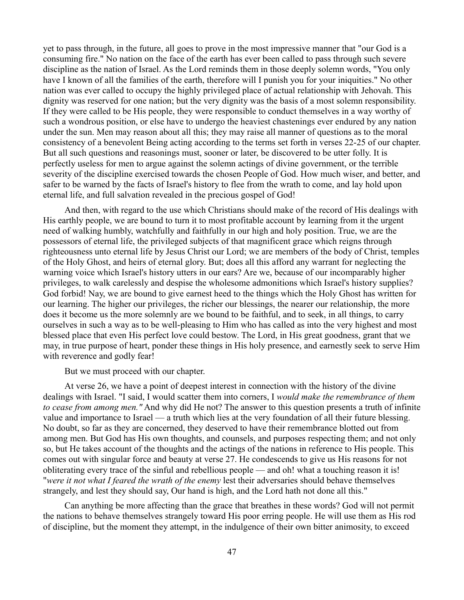yet to pass through, in the future, all goes to prove in the most impressive manner that "our God is a consuming fire." No nation on the face of the earth has ever been called to pass through such severe discipline as the nation of Israel. As the Lord reminds them in those deeply solemn words, "You only have I known of all the families of the earth, therefore will I punish you for your iniquities." No other nation was ever called to occupy the highly privileged place of actual relationship with Jehovah. This dignity was reserved for one nation; but the very dignity was the basis of a most solemn responsibility. If they were called to be His people, they were responsible to conduct themselves in a way worthy of such a wondrous position, or else have to undergo the heaviest chastenings ever endured by any nation under the sun. Men may reason about all this; they may raise all manner of questions as to the moral consistency of a benevolent Being acting according to the terms set forth in verses 22-25 of our chapter. But all such questions and reasonings must, sooner or later, be discovered to be utter folly. It is perfectly useless for men to argue against the solemn actings of divine government, or the terrible severity of the discipline exercised towards the chosen People of God. How much wiser, and better, and safer to be warned by the facts of Israel's history to flee from the wrath to come, and lay hold upon eternal life, and full salvation revealed in the precious gospel of God!

And then, with regard to the use which Christians should make of the record of His dealings with His earthly people, we are bound to turn it to most profitable account by learning from it the urgent need of walking humbly, watchfully and faithfully in our high and holy position. True, we are the possessors of eternal life, the privileged subjects of that magnificent grace which reigns through righteousness unto eternal life by Jesus Christ our Lord; we are members of the body of Christ, temples of the Holy Ghost, and heirs of eternal glory. But; does all this afford any warrant for neglecting the warning voice which Israel's history utters in our ears? Are we, because of our incomparably higher privileges, to walk carelessly and despise the wholesome admonitions which Israel's history supplies? God forbid! Nay, we are bound to give earnest heed to the things which the Holy Ghost has written for our learning. The higher our privileges, the richer our blessings, the nearer our relationship, the more does it become us the more solemnly are we bound to be faithful, and to seek, in all things, to carry ourselves in such a way as to be well-pleasing to Him who has called as into the very highest and most blessed place that even His perfect love could bestow. The Lord, in His great goodness, grant that we may, in true purpose of heart, ponder these things in His holy presence, and earnestly seek to serve Him with reverence and godly fear!

But we must proceed with our chapter.

At verse 26, we have a point of deepest interest in connection with the history of the divine dealings with Israel. "I said, I would scatter them into corners, I *would make the remembrance of them to cease from among men."* And why did He not? The answer to this question presents a truth of infinite value and importance to Israel — a truth which lies at the very foundation of all their future blessing. No doubt, so far as they are concerned, they deserved to have their remembrance blotted out from among men. But God has His own thoughts, and counsels, and purposes respecting them; and not only so, but He takes account of the thoughts and the actings of the nations in reference to His people. This comes out with singular force and beauty at verse 27. He condescends to give us His reasons for not obliterating every trace of the sinful and rebellious people — and oh! what a touching reason it is! "*were it not what I feared the wrath of the enemy* lest their adversaries should behave themselves strangely, and lest they should say, Our hand is high, and the Lord hath not done all this."

Can anything be more affecting than the grace that breathes in these words? God will not permit the nations to behave themselves strangely toward His poor erring people. He will use them as His rod of discipline, but the moment they attempt, in the indulgence of their own bitter animosity, to exceed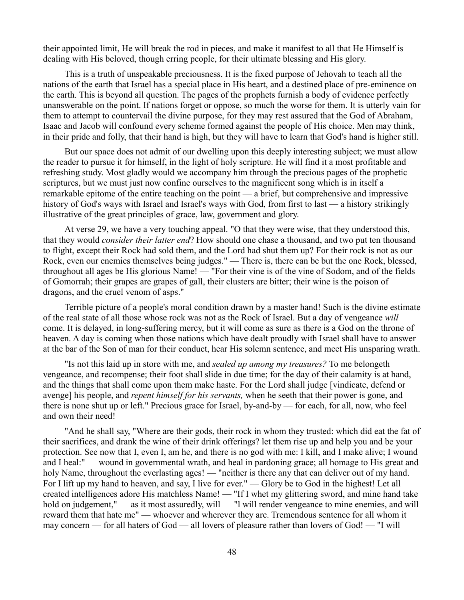their appointed limit, He will break the rod in pieces, and make it manifest to all that He Himself is dealing with His beloved, though erring people, for their ultimate blessing and His glory.

This is a truth of unspeakable preciousness. It is the fixed purpose of Jehovah to teach all the nations of the earth that Israel has a special place in His heart, and a destined place of pre-eminence on the earth. This is beyond all question. The pages of the prophets furnish a body of evidence perfectly unanswerable on the point. If nations forget or oppose, so much the worse for them. It is utterly vain for them to attempt to countervail the divine purpose, for they may rest assured that the God of Abraham, Isaac and Jacob will confound every scheme formed against the people of His choice. Men may think, in their pride and folly, that their hand is high, but they will have to learn that God's hand is higher still.

But our space does not admit of our dwelling upon this deeply interesting subject; we must allow the reader to pursue it for himself, in the light of holy scripture. He will find it a most profitable and refreshing study. Most gladly would we accompany him through the precious pages of the prophetic scriptures, but we must just now confine ourselves to the magnificent song which is in itself a remarkable epitome of the entire teaching on the point — a brief, but comprehensive and impressive history of God's ways with Israel and Israel's ways with God, from first to last — a history strikingly illustrative of the great principles of grace, law, government and glory.

At verse 29, we have a very touching appeal. "O that they were wise, that they understood this, that they would *consider their latter end*? How should one chase a thousand, and two put ten thousand to flight, except their Rock had sold them, and the Lord had shut them up? For their rock is not as our Rock, even our enemies themselves being judges." — There is, there can be but the one Rock, blessed, throughout all ages be His glorious Name! — "For their vine is of the vine of Sodom, and of the fields of Gomorrah; their grapes are grapes of gall, their clusters are bitter; their wine is the poison of dragons, and the cruel venom of asps."

Terrible picture of a people's moral condition drawn by a master hand! Such is the divine estimate of the real state of all those whose rock was not as the Rock of Israel. But a day of vengeance *will* come. It is delayed, in long-suffering mercy, but it will come as sure as there is a God on the throne of heaven. A day is coming when those nations which have dealt proudly with Israel shall have to answer at the bar of the Son of man for their conduct, hear His solemn sentence, and meet His unsparing wrath.

"Is not this laid up in store with me, and *sealed up among my treasures?* To me belongeth vengeance, and recompense; their foot shall slide in due time; for the day of their calamity is at hand, and the things that shall come upon them make haste. For the Lord shall judge [vindicate, defend or avenge] his people, and *repent himself for his servants,* when he seeth that their power is gone, and there is none shut up or left." Precious grace for Israel, by-and-by — for each, for all, now, who feel and own their need!

"And he shall say, "Where are their gods, their rock in whom they trusted: which did eat the fat of their sacrifices, and drank the wine of their drink offerings? let them rise up and help you and be your protection. See now that I, even I, am he, and there is no god with me: I kill, and I make alive; I wound and I heal:" — wound in governmental wrath, and heal in pardoning grace; all homage to His great and holy Name, throughout the everlasting ages! — "neither is there any that can deliver out of my hand. For I lift up my hand to heaven, and say, I live for ever." — Glory be to God in the highest! Let all created intelligences adore His matchless Name! — "If I whet my glittering sword, and mine hand take hold on judgement," — as it most assuredly, will — "l will render vengeance to mine enemies, and will reward them that hate me" — whoever and wherever they are. Tremendous sentence for all whom it may concern — for all haters of God — all lovers of pleasure rather than lovers of God! — "I will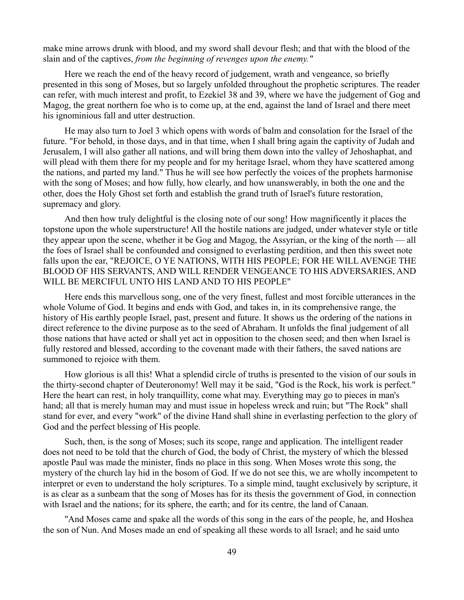make mine arrows drunk with blood, and my sword shall devour flesh; and that with the blood of the slain and of the captives, *from the beginning of revenges upon the enemy."*

Here we reach the end of the heavy record of judgement, wrath and vengeance, so briefly presented in this song of Moses, but so largely unfolded throughout the prophetic scriptures. The reader can refer, with much interest and profit, to Ezekiel 38 and 39, where we have the judgement of Gog and Magog, the great northern foe who is to come up, at the end, against the land of Israel and there meet his ignominious fall and utter destruction.

He may also turn to Joel 3 which opens with words of balm and consolation for the Israel of the future. "For behold, in those days, and in that time, when I shall bring again the captivity of Judah and Jerusalem, I will also gather all nations, and will bring them down into the valley of Jehoshaphat, and will plead with them there for my people and for my heritage Israel, whom they have scattered among the nations, and parted my land." Thus he will see how perfectly the voices of the prophets harmonise with the song of Moses; and how fully, how clearly, and how unanswerably, in both the one and the other, does the Holy Ghost set forth and establish the grand truth of Israel's future restoration, supremacy and glory.

And then how truly delightful is the closing note of our song! How magnificently it places the topstone upon the whole superstructure! All the hostile nations are judged, under whatever style or title they appear upon the scene, whether it be Gog and Magog, the Assyrian, or the king of the north — all the foes of Israel shall be confounded and consigned to everlasting perdition, and then this sweet note falls upon the ear, "REJOICE, O YE NATIONS, WITH HIS PEOPLE; FOR HE WILL AVENGE THE BLOOD OF HIS SERVANTS, AND WILL RENDER VENGEANCE TO HIS ADVERSARIES, AND WILL BE MERCIFUL UNTO HIS LAND AND TO HIS PEOPLE"

Here ends this marvellous song, one of the very finest, fullest and most forcible utterances in the whole Volume of God. It begins and ends with God, and takes in, in its comprehensive range, the history of His earthly people Israel, past, present and future. It shows us the ordering of the nations in direct reference to the divine purpose as to the seed of Abraham. It unfolds the final judgement of all those nations that have acted or shall yet act in opposition to the chosen seed; and then when Israel is fully restored and blessed, according to the covenant made with their fathers, the saved nations are summoned to rejoice with them.

How glorious is all this! What a splendid circle of truths is presented to the vision of our souls in the thirty-second chapter of Deuteronomy! Well may it be said, "God is the Rock, his work is perfect." Here the heart can rest, in holy tranquillity, come what may. Everything may go to pieces in man's hand; all that is merely human may and must issue in hopeless wreck and ruin; but "The Rock" shall stand for ever, and every "work" of the divine Hand shall shine in everlasting perfection to the glory of God and the perfect blessing of His people.

Such, then, is the song of Moses; such its scope, range and application. The intelligent reader does not need to be told that the church of God, the body of Christ, the mystery of which the blessed apostle Paul was made the minister, finds no place in this song. When Moses wrote this song, the mystery of the church lay hid in the bosom of God. If we do not see this, we are wholly incompetent to interpret or even to understand the holy scriptures. To a simple mind, taught exclusively by scripture, it is as clear as a sunbeam that the song of Moses has for its thesis the government of God, in connection with Israel and the nations; for its sphere, the earth; and for its centre, the land of Canaan.

"And Moses came and spake all the words of this song in the ears of the people, he, and Hoshea the son of Nun. And Moses made an end of speaking all these words to all Israel; and he said unto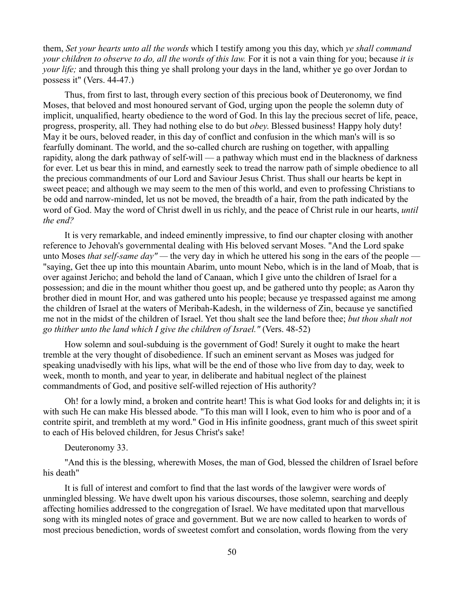them, *Set your hearts unto all the words* which I testify among you this day, which *ye shall command your children to observe to do, all the words of this law.* For it is not a vain thing for you; because *it is your life;* and through this thing ye shall prolong your days in the land, whither ye go over Jordan to possess it" (Vers. 44-47.)

Thus, from first to last, through every section of this precious book of Deuteronomy, we find Moses, that beloved and most honoured servant of God, urging upon the people the solemn duty of implicit, unqualified, hearty obedience to the word of God. In this lay the precious secret of life, peace, progress, prosperity, all. They had nothing else to do but *obey*. Blessed business! Happy holy duty! May it be ours, beloved reader, in this day of conflict and confusion in the which man's will is so fearfully dominant. The world, and the so-called church are rushing on together, with appalling rapidity, along the dark pathway of self-will — a pathway which must end in the blackness of darkness for ever. Let us bear this in mind, and earnestly seek to tread the narrow path of simple obedience to all the precious commandments of our Lord and Saviour Jesus Christ. Thus shall our hearts be kept in sweet peace; and although we may seem to the men of this world, and even to professing Christians to be odd and narrow-minded, let us not be moved, the breadth of a hair, from the path indicated by the word of God. May the word of Christ dwell in us richly, and the peace of Christ rule in our hearts, *until the end?*

It is very remarkable, and indeed eminently impressive, to find our chapter closing with another reference to Jehovah's governmental dealing with His beloved servant Moses. "And the Lord spake unto Moses *that self-same day" —* the very day in which he uttered his song in the ears of the people — "saying, Get thee up into this mountain Abarim, unto mount Nebo, which is in the land of Moab, that is over against Jericho; and behold the land of Canaan, which I give unto the children of Israel for a possession; and die in the mount whither thou goest up, and be gathered unto thy people; as Aaron thy brother died in mount Hor, and was gathered unto his people; because ye trespassed against me among the children of Israel at the waters of Meribah-Kadesh, in the wilderness of Zin, because ye sanctified me not in the midst of the children of Israel. Yet thou shalt see the land before thee; *but thou shalt not go thither unto the land which I give the children of Israel."* (Vers. 48-52)

How solemn and soul-subduing is the government of God! Surely it ought to make the heart tremble at the very thought of disobedience. If such an eminent servant as Moses was judged for speaking unadvisedly with his lips, what will be the end of those who live from day to day, week to week, month to month, and year to year, in deliberate and habitual neglect of the plainest commandments of God, and positive self-willed rejection of His authority?

Oh! for a lowly mind, a broken and contrite heart! This is what God looks for and delights in; it is with such He can make His blessed abode. "To this man will I look, even to him who is poor and of a contrite spirit, and trembleth at my word." God in His infinite goodness, grant much of this sweet spirit to each of His beloved children, for Jesus Christ's sake!

Deuteronomy 33.

"And this is the blessing, wherewith Moses, the man of God, blessed the children of Israel before his death"

It is full of interest and comfort to find that the last words of the lawgiver were words of unmingled blessing. We have dwelt upon his various discourses, those solemn, searching and deeply affecting homilies addressed to the congregation of Israel. We have meditated upon that marvellous song with its mingled notes of grace and government. But we are now called to hearken to words of most precious benediction, words of sweetest comfort and consolation, words flowing from the very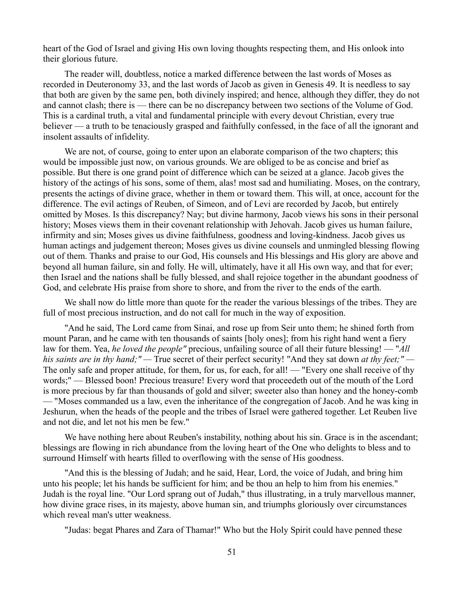heart of the God of Israel and giving His own loving thoughts respecting them, and His onlook into their glorious future.

The reader will, doubtless, notice a marked difference between the last words of Moses as recorded in Deuteronomy 33, and the last words of Jacob as given in Genesis 49. It is needless to say that both are given by the same pen, both divinely inspired; and hence, although they differ, they do not and cannot clash; there is — there can be no discrepancy between two sections of the Volume of God. This is a cardinal truth, a vital and fundamental principle with every devout Christian, every true believer — a truth to be tenaciously grasped and faithfully confessed, in the face of all the ignorant and insolent assaults of infidelity.

We are not, of course, going to enter upon an elaborate comparison of the two chapters; this would be impossible just now, on various grounds. We are obliged to be as concise and brief as possible. But there is one grand point of difference which can be seized at a glance. Jacob gives the history of the actings of his sons, some of them, alas! most sad and humiliating. Moses, on the contrary, presents the actings of divine grace, whether in them or toward them. This will, at once, account for the difference. The evil actings of Reuben, of Simeon, and of Levi are recorded by Jacob, but entirely omitted by Moses. Is this discrepancy? Nay; but divine harmony, Jacob views his sons in their personal history; Moses views them in their covenant relationship with Jehovah. Jacob gives us human failure, infirmity and sin; Moses gives us divine faithfulness, goodness and loving-kindness. Jacob gives us human actings and judgement thereon; Moses gives us divine counsels and unmingled blessing flowing out of them. Thanks and praise to our God, His counsels and His blessings and His glory are above and beyond all human failure, sin and folly. He will, ultimately, have it all His own way, and that for ever; then Israel and the nations shall be fully blessed, and shall rejoice together in the abundant goodness of God, and celebrate His praise from shore to shore, and from the river to the ends of the earth.

We shall now do little more than quote for the reader the various blessings of the tribes. They are full of most precious instruction, and do not call for much in the way of exposition.

"And he said, The Lord came from Sinai, and rose up from Seir unto them; he shined forth from mount Paran, and he came with ten thousands of saints [holy ones]; from his right hand went a fiery law for them. Yea, *he loved the people"* precious, unfailing source of all their future blessing! — "*All his saints are in thy hand;" —* True secret of their perfect security! "And they sat down *at thy feet;" —* The only safe and proper attitude, for them, for us, for each, for all! — "Every one shall receive of thy words;" — Blessed boon! Precious treasure! Every word that proceedeth out of the mouth of the Lord is more precious by far than thousands of gold and silver; sweeter also than honey and the honey-comb — "Moses commanded us a law, even the inheritance of the congregation of Jacob. And he was king in Jeshurun, when the heads of the people and the tribes of Israel were gathered together. Let Reuben live and not die, and let not his men be few."

We have nothing here about Reuben's instability, nothing about his sin. Grace is in the ascendant; blessings are flowing in rich abundance from the loving heart of the One who delights to bless and to surround Himself with hearts filled to overflowing with the sense of His goodness.

"And this is the blessing of Judah; and he said, Hear, Lord, the voice of Judah, and bring him unto his people; let his hands be sufficient for him; and be thou an help to him from his enemies." Judah is the royal line. "Our Lord sprang out of Judah," thus illustrating, in a truly marvellous manner, how divine grace rises, in its majesty, above human sin, and triumphs gloriously over circumstances which reveal man's utter weakness.

"Judas: begat Phares and Zara of Thamar!" Who but the Holy Spirit could have penned these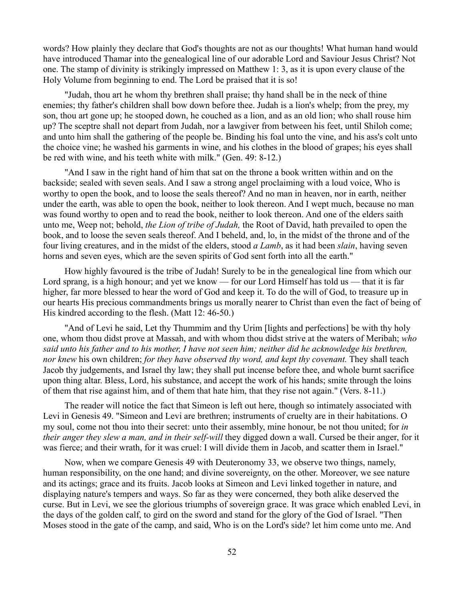words? How plainly they declare that God's thoughts are not as our thoughts! What human hand would have introduced Thamar into the genealogical line of our adorable Lord and Saviour Jesus Christ? Not one. The stamp of divinity is strikingly impressed on Matthew 1: 3, as it is upon every clause of the Holy Volume from beginning to end. The Lord be praised that it is so!

"Judah, thou art he whom thy brethren shall praise; thy hand shall be in the neck of thine enemies; thy father's children shall bow down before thee. Judah is a lion's whelp; from the prey, my son, thou art gone up; he stooped down, he couched as a lion, and as an old lion; who shall rouse him up? The sceptre shall not depart from Judah, nor a lawgiver from between his feet, until Shiloh come; and unto him shall the gathering of the people be. Binding his foal unto the vine, and his ass's colt unto the choice vine; he washed his garments in wine, and his clothes in the blood of grapes; his eyes shall be red with wine, and his teeth white with milk." (Gen. 49: 8-12.)

"And I saw in the right hand of him that sat on the throne a book written within and on the backside; sealed with seven seals. And I saw a strong angel proclaiming with a loud voice, Who is worthy to open the book, and to loose the seals thereof? And no man in heaven, nor in earth, neither under the earth, was able to open the book, neither to look thereon. And I wept much, because no man was found worthy to open and to read the book, neither to look thereon. And one of the elders saith unto me, Weep not; behold, *the Lion of tribe of Judah,* the Root of David, hath prevailed to open the book, and to loose the seven seals thereof. And I beheld, and, lo, in the midst of the throne and of the four living creatures, and in the midst of the elders, stood *a Lamb*, as it had been *slain*, having seven horns and seven eyes, which are the seven spirits of God sent forth into all the earth."

How highly favoured is the tribe of Judah! Surely to be in the genealogical line from which our Lord sprang, is a high honour; and yet we know — for our Lord Himself has told us — that it is far higher, far more blessed to hear the word of God and keep it. To do the will of God, to treasure up in our hearts His precious commandments brings us morally nearer to Christ than even the fact of being of His kindred according to the flesh. (Matt 12: 46-50.)

"And of Levi he said, Let thy Thummim and thy Urim [lights and perfections] be with thy holy one, whom thou didst prove at Massah, and with whom thou didst strive at the waters of Meribah; *who said unto his father and to his mother, I have not seen him; neither did he acknowledge his brethren, nor knew* his own children; *for they have observed thy word, and kept thy covenant.* They shall teach Jacob thy judgements, and Israel thy law; they shall put incense before thee, and whole burnt sacrifice upon thing altar. Bless, Lord, his substance, and accept the work of his hands; smite through the loins of them that rise against him, and of them that hate him, that they rise not again." (Vers. 8-11.)

The reader will notice the fact that Simeon is left out here, though so intimately associated with Levi in Genesis 49. "Simeon and Levi are brethren; instruments of cruelty are in their habitations. O my soul, come not thou into their secret: unto their assembly, mine honour, be not thou united; for *in their anger they slew a man, and in their self-will* they digged down a wall. Cursed be their anger, for it was fierce; and their wrath, for it was cruel: I will divide them in Jacob, and scatter them in Israel."

Now, when we compare Genesis 49 with Deuteronomy 33, we observe two things, namely, human responsibility, on the one hand; and divine sovereignty, on the other. Moreover, we see nature and its actings; grace and its fruits. Jacob looks at Simeon and Levi linked together in nature, and displaying nature's tempers and ways. So far as they were concerned, they both alike deserved the curse. But in Levi, we see the glorious triumphs of sovereign grace. It was grace which enabled Levi, in the days of the golden calf, to gird on the sword and stand for the glory of the God of Israel. "Then Moses stood in the gate of the camp, and said, Who is on the Lord's side? let him come unto me. And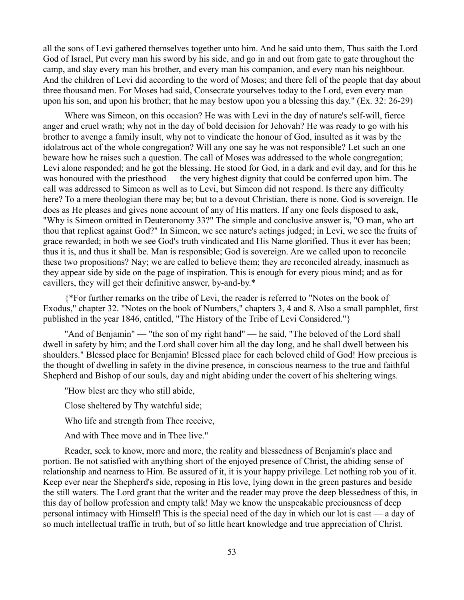all the sons of Levi gathered themselves together unto him. And he said unto them, Thus saith the Lord God of Israel, Put every man his sword by his side, and go in and out from gate to gate throughout the camp, and slay every man his brother, and every man his companion, and every man his neighbour. And the children of Levi did according to the word of Moses; and there fell of the people that day about three thousand men. For Moses had said, Consecrate yourselves today to the Lord, even every man upon his son, and upon his brother; that he may bestow upon you a blessing this day." (Ex. 32: 26-29)

Where was Simeon, on this occasion? He was with Levi in the day of nature's self-will, fierce anger and cruel wrath; why not in the day of bold decision for Jehovah? He was ready to go with his brother to avenge a family insult, why not to vindicate the honour of God, insulted as it was by the idolatrous act of the whole congregation? Will any one say he was not responsible? Let such an one beware how he raises such a question. The call of Moses was addressed to the whole congregation; Levi alone responded; and he got the blessing. He stood for God, in a dark and evil day, and for this he was honoured with the priesthood — the very highest dignity that could be conferred upon him. The call was addressed to Simeon as well as to Levi, but Simeon did not respond. Is there any difficulty here? To a mere theologian there may be; but to a devout Christian, there is none. God is sovereign. He does as He pleases and gives none account of any of His matters. If any one feels disposed to ask, "Why is Simeon omitted in Deuteronomy 33?" The simple and conclusive answer is, "O man, who art thou that repliest against God?" In Simeon, we see nature's actings judged; in Levi, we see the fruits of grace rewarded; in both we see God's truth vindicated and His Name glorified. Thus it ever has been; thus it is, and thus it shall be. Man is responsible; God is sovereign. Are we called upon to reconcile these two propositions? Nay; we are called to believe them; they are reconciled already, inasmuch as they appear side by side on the page of inspiration. This is enough for every pious mind; and as for cavillers, they will get their definitive answer, by-and-by.\*

{\*For further remarks on the tribe of Levi, the reader is referred to "Notes on the book of Exodus," chapter 32. "Notes on the book of Numbers," chapters 3, 4 and 8. Also a small pamphlet, first published in the year 1846, entitled, "The History of the Tribe of Levi Considered."}

"And of Benjamin" — "the son of my right hand" — he said, "The beloved of the Lord shall dwell in safety by him; and the Lord shall cover him all the day long, and he shall dwell between his shoulders." Blessed place for Benjamin! Blessed place for each beloved child of God! How precious is the thought of dwelling in safety in the divine presence, in conscious nearness to the true and faithful Shepherd and Bishop of our souls, day and night abiding under the covert of his sheltering wings.

"How blest are they who still abide,

Close sheltered by Thy watchful side;

Who life and strength from Thee receive,

And with Thee move and in Thee live."

Reader, seek to know, more and more, the reality and blessedness of Benjamin's place and portion. Be not satisfied with anything short of the enjoyed presence of Christ, the abiding sense of relationship and nearness to Him. Be assured of it, it is your happy privilege. Let nothing rob you of it. Keep ever near the Shepherd's side, reposing in His love, lying down in the green pastures and beside the still waters. The Lord grant that the writer and the reader may prove the deep blessedness of this, in this day of hollow profession and empty talk! May we know the unspeakable preciousness of deep personal intimacy with Himself! This is the special need of the day in which our lot is cast — a day of so much intellectual traffic in truth, but of so little heart knowledge and true appreciation of Christ.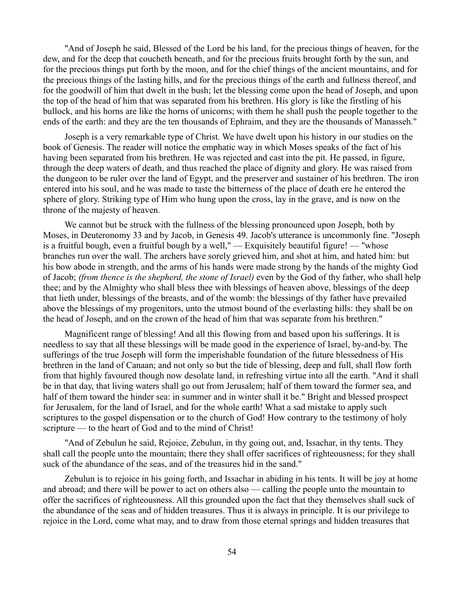"And of Joseph he said, Blessed of the Lord be his land, for the precious things of heaven, for the dew, and for the deep that coucheth beneath, and for the precious fruits brought forth by the sun, and for the precious things put forth by the moon, and for the chief things of the ancient mountains, and for the precious things of the lasting hills, and for the precious things of the earth and fullness thereof, and for the goodwill of him that dwelt in the bush; let the blessing come upon the head of Joseph, and upon the top of the head of him that was separated from his brethren. His glory is like the firstling of his bullock, and his horns are like the horns of unicorns; with them he shall push the people together to the ends of the earth: and they are the ten thousands of Ephraim, and they are the thousands of Manasseh."

Joseph is a very remarkable type of Christ. We have dwelt upon his history in our studies on the book of Genesis. The reader will notice the emphatic way in which Moses speaks of the fact of his having been separated from his brethren. He was rejected and cast into the pit. He passed, in figure, through the deep waters of death, and thus reached the place of dignity and glory. He was raised from the dungeon to be ruler over the land of Egypt, and the preserver and sustainer of his brethren. The iron entered into his soul, and he was made to taste the bitterness of the place of death ere he entered the sphere of glory. Striking type of Him who hung upon the cross, lay in the grave, and is now on the throne of the majesty of heaven.

We cannot but be struck with the fullness of the blessing pronounced upon Joseph, both by Moses, in Deuteronomy 33 and by Jacob, in Genesis 49. Jacob's utterance is uncommonly fine. "Joseph is a fruitful bough, even a fruitful bough by a well," — Exquisitely beautiful figure! — "whose branches run over the wall. The archers have sorely grieved him, and shot at him, and hated him: but his bow abode in strength, and the arms of his hands were made strong by the hands of the mighty God of Jacob; *(from thence is the shepherd, the stone of Israel)* even by the God of thy father, who shall help thee; and by the Almighty who shall bless thee with blessings of heaven above, blessings of the deep that lieth under, blessings of the breasts, and of the womb: the blessings of thy father have prevailed above the blessings of my progenitors, unto the utmost bound of the everlasting hills: they shall be on the head of Joseph, and on the crown of the head of him that was separate from his brethren."

Magnificent range of blessing! And all this flowing from and based upon his sufferings. It is needless to say that all these blessings will be made good in the experience of Israel, by-and-by. The sufferings of the true Joseph will form the imperishable foundation of the future blessedness of His brethren in the land of Canaan; and not only so but the tide of blessing, deep and full, shall flow forth from that highly favoured though now desolate land, in refreshing virtue into all the earth. "And it shall be in that day, that living waters shall go out from Jerusalem; half of them toward the former sea, and half of them toward the hinder sea: in summer and in winter shall it be." Bright and blessed prospect for Jerusalem, for the land of Israel, and for the whole earth! What a sad mistake to apply such scriptures to the gospel dispensation or to the church of God! How contrary to the testimony of holy scripture — to the heart of God and to the mind of Christ!

"And of Zebulun he said, Rejoice, Zebulun, in thy going out, and, Issachar, in thy tents. They shall call the people unto the mountain; there they shall offer sacrifices of righteousness; for they shall suck of the abundance of the seas, and of the treasures hid in the sand."

Zebulun is to rejoice in his going forth, and Issachar in abiding in his tents. It will be joy at home and abroad; and there will be power to act on others also — calling the people unto the mountain to offer the sacrifices of righteousness. All this grounded upon the fact that they themselves shall suck of the abundance of the seas and of hidden treasures. Thus it is always in principle. It is our privilege to rejoice in the Lord, come what may, and to draw from those eternal springs and hidden treasures that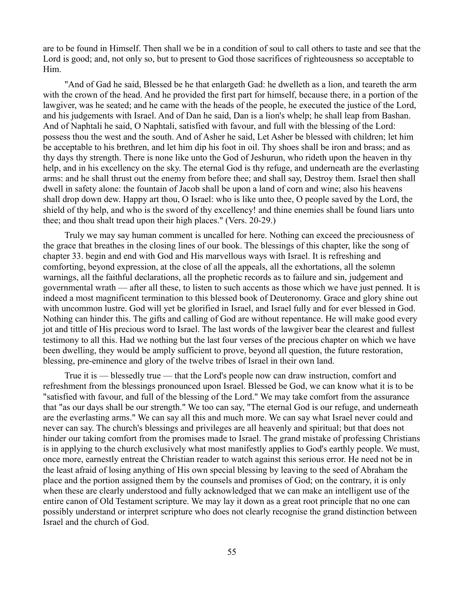are to be found in Himself. Then shall we be in a condition of soul to call others to taste and see that the Lord is good; and, not only so, but to present to God those sacrifices of righteousness so acceptable to Him.

"And of Gad he said, Blessed be he that enlargeth Gad: he dwelleth as a lion, and teareth the arm with the crown of the head. And he provided the first part for himself, because there, in a portion of the lawgiver, was he seated; and he came with the heads of the people, he executed the justice of the Lord, and his judgements with Israel. And of Dan he said, Dan is a lion's whelp; he shall leap from Bashan. And of Naphtali he said, O Naphtali, satisfied with favour, and full with the blessing of the Lord: possess thou the west and the south. And of Asher he said, Let Asher be blessed with children; let him be acceptable to his brethren, and let him dip his foot in oil. Thy shoes shall be iron and brass; and as thy days thy strength. There is none like unto the God of Jeshurun, who rideth upon the heaven in thy help, and in his excellency on the sky. The eternal God is thy refuge, and underneath are the everlasting arms: and he shall thrust out the enemy from before thee; and shall say, Destroy them. Israel then shall dwell in safety alone: the fountain of Jacob shall be upon a land of corn and wine; also his heavens shall drop down dew. Happy art thou, O Israel: who is like unto thee, O people saved by the Lord, the shield of thy help, and who is the sword of thy excellency! and thine enemies shall be found liars unto thee; and thou shalt tread upon their high places." (Vers. 20-29.)

Truly we may say human comment is uncalled for here. Nothing can exceed the preciousness of the grace that breathes in the closing lines of our book. The blessings of this chapter, like the song of chapter 33. begin and end with God and His marvellous ways with Israel. It is refreshing and comforting, beyond expression, at the close of all the appeals, all the exhortations, all the solemn warnings, all the faithful declarations, all the prophetic records as to failure and sin, judgement and governmental wrath — after all these, to listen to such accents as those which we have just penned. It is indeed a most magnificent termination to this blessed book of Deuteronomy. Grace and glory shine out with uncommon lustre. God will yet be glorified in Israel, and Israel fully and for ever blessed in God. Nothing can hinder this. The gifts and calling of God are without repentance. He will make good every jot and tittle of His precious word to Israel. The last words of the lawgiver bear the clearest and fullest testimony to all this. Had we nothing but the last four verses of the precious chapter on which we have been dwelling, they would be amply sufficient to prove, beyond all question, the future restoration, blessing, pre-eminence and glory of the twelve tribes of Israel in their own land.

True it is — blessedly true — that the Lord's people now can draw instruction, comfort and refreshment from the blessings pronounced upon Israel. Blessed be God, we can know what it is to be "satisfied with favour, and full of the blessing of the Lord." We may take comfort from the assurance that "as our days shall be our strength." We too can say, "The eternal God is our refuge, and underneath are the everlasting arms." We can say all this and much more. We can say what Israel never could and never can say. The church's blessings and privileges are all heavenly and spiritual; but that does not hinder our taking comfort from the promises made to Israel. The grand mistake of professing Christians is in applying to the church exclusively what most manifestly applies to God's earthly people. We must, once more, earnestly entreat the Christian reader to watch against this serious error. He need not be in the least afraid of losing anything of His own special blessing by leaving to the seed of Abraham the place and the portion assigned them by the counsels and promises of God; on the contrary, it is only when these are clearly understood and fully acknowledged that we can make an intelligent use of the entire canon of Old Testament scripture. We may lay it down as a great root principle that no one can possibly understand or interpret scripture who does not clearly recognise the grand distinction between Israel and the church of God.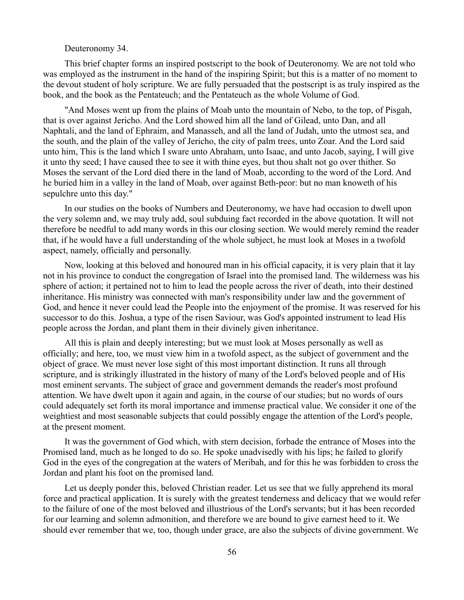## Deuteronomy 34.

This brief chapter forms an inspired postscript to the book of Deuteronomy. We are not told who was employed as the instrument in the hand of the inspiring Spirit; but this is a matter of no moment to the devout student of holy scripture. We are fully persuaded that the postscript is as truly inspired as the book, and the book as the Pentateuch; and the Pentateuch as the whole Volume of God.

"And Moses went up from the plains of Moab unto the mountain of Nebo, to the top, of Pisgah, that is over against Jericho. And the Lord showed him all the land of Gilead, unto Dan, and all Naphtali, and the land of Ephraim, and Manasseh, and all the land of Judah, unto the utmost sea, and the south, and the plain of the valley of Jericho, the city of palm trees, unto Zoar. And the Lord said unto him, This is the land which I sware unto Abraham, unto Isaac, and unto Jacob, saying, I will give it unto thy seed; I have caused thee to see it with thine eyes, but thou shalt not go over thither. So Moses the servant of the Lord died there in the land of Moab, according to the word of the Lord. And he buried him in a valley in the land of Moab, over against Beth-peor: but no man knoweth of his sepulchre unto this day."

In our studies on the books of Numbers and Deuteronomy, we have had occasion to dwell upon the very solemn and, we may truly add, soul subduing fact recorded in the above quotation. It will not therefore be needful to add many words in this our closing section. We would merely remind the reader that, if he would have a full understanding of the whole subject, he must look at Moses in a twofold aspect, namely, officially and personally.

Now, looking at this beloved and honoured man in his official capacity, it is very plain that it lay not in his province to conduct the congregation of Israel into the promised land. The wilderness was his sphere of action; it pertained not to him to lead the people across the river of death, into their destined inheritance. His ministry was connected with man's responsibility under law and the government of God, and hence it never could lead the People into the enjoyment of the promise. It was reserved for his successor to do this. Joshua, a type of the risen Saviour, was God's appointed instrument to lead His people across the Jordan, and plant them in their divinely given inheritance.

All this is plain and deeply interesting; but we must look at Moses personally as well as officially; and here, too, we must view him in a twofold aspect, as the subject of government and the object of grace. We must never lose sight of this most important distinction. It runs all through scripture, and is strikingly illustrated in the history of many of the Lord's beloved people and of His most eminent servants. The subject of grace and government demands the reader's most profound attention. We have dwelt upon it again and again, in the course of our studies; but no words of ours could adequately set forth its moral importance and immense practical value. We consider it one of the weightiest and most seasonable subjects that could possibly engage the attention of the Lord's people, at the present moment.

It was the government of God which, with stern decision, forbade the entrance of Moses into the Promised land, much as he longed to do so. He spoke unadvisedly with his lips; he failed to glorify God in the eyes of the congregation at the waters of Meribah, and for this he was forbidden to cross the Jordan and plant his foot on the promised land.

Let us deeply ponder this, beloved Christian reader. Let us see that we fully apprehend its moral force and practical application. It is surely with the greatest tenderness and delicacy that we would refer to the failure of one of the most beloved and illustrious of the Lord's servants; but it has been recorded for our learning and solemn admonition, and therefore we are bound to give earnest heed to it. We should ever remember that we, too, though under grace, are also the subjects of divine government. We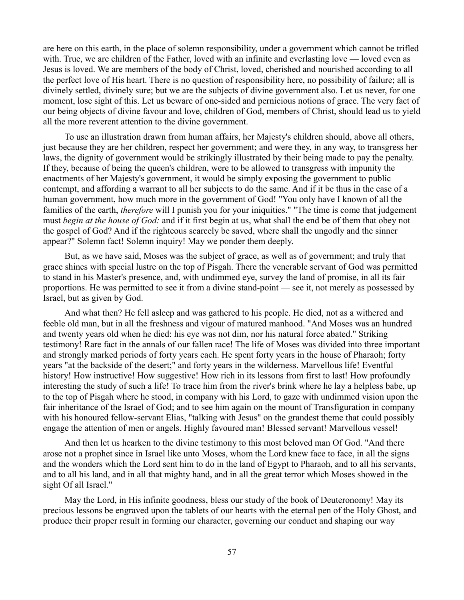are here on this earth, in the place of solemn responsibility, under a government which cannot be trifled with. True, we are children of the Father, loved with an infinite and everlasting love — loved even as Jesus is loved. We are members of the body of Christ, loved, cherished and nourished according to all the perfect love of His heart. There is no question of responsibility here, no possibility of failure; all is divinely settled, divinely sure; but we are the subjects of divine government also. Let us never, for one moment, lose sight of this. Let us beware of one-sided and pernicious notions of grace. The very fact of our being objects of divine favour and love, children of God, members of Christ, should lead us to yield all the more reverent attention to the divine government.

To use an illustration drawn from human affairs, her Majesty's children should, above all others, just because they are her children, respect her government; and were they, in any way, to transgress her laws, the dignity of government would be strikingly illustrated by their being made to pay the penalty. If they, because of being the queen's children, were to be allowed to transgress with impunity the enactments of her Majesty's government, it would be simply exposing the government to public contempt, and affording a warrant to all her subjects to do the same. And if it be thus in the case of a human government, how much more in the government of God! "You only have I known of all the families of the earth, *therefore* will I punish you for your iniquities." "The time is come that judgement must *begin at the house of God:* and if it first begin at us, what shall the end be of them that obey not the gospel of God? And if the righteous scarcely be saved, where shall the ungodly and the sinner appear?" Solemn fact! Solemn inquiry! May we ponder them deeply.

But, as we have said, Moses was the subject of grace, as well as of government; and truly that grace shines with special lustre on the top of Pisgah. There the venerable servant of God was permitted to stand in his Master's presence, and, with undimmed eye, survey the land of promise, in all its fair proportions. He was permitted to see it from a divine stand-point — see it, not merely as possessed by Israel, but as given by God.

And what then? He fell asleep and was gathered to his people. He died, not as a withered and feeble old man, but in all the freshness and vigour of matured manhood. "And Moses was an hundred and twenty years old when he died: his eye was not dim, nor his natural force abated." Striking testimony! Rare fact in the annals of our fallen race! The life of Moses was divided into three important and strongly marked periods of forty years each. He spent forty years in the house of Pharaoh; forty years "at the backside of the desert;" and forty years in the wilderness. Marvellous life! Eventful history! How instructive! How suggestive! How rich in its lessons from first to last! How profoundly interesting the study of such a life! To trace him from the river's brink where he lay a helpless babe, up to the top of Pisgah where he stood, in company with his Lord, to gaze with undimmed vision upon the fair inheritance of the Israel of God; and to see him again on the mount of Transfiguration in company with his honoured fellow-servant Elias, "talking with Jesus" on the grandest theme that could possibly engage the attention of men or angels. Highly favoured man! Blessed servant! Marvellous vessel!

And then let us hearken to the divine testimony to this most beloved man Of God. "And there arose not a prophet since in Israel like unto Moses, whom the Lord knew face to face, in all the signs and the wonders which the Lord sent him to do in the land of Egypt to Pharaoh, and to all his servants, and to all his land, and in all that mighty hand, and in all the great terror which Moses showed in the sight Of all Israel."

May the Lord, in His infinite goodness, bless our study of the book of Deuteronomy! May its precious lessons be engraved upon the tablets of our hearts with the eternal pen of the Holy Ghost, and produce their proper result in forming our character, governing our conduct and shaping our way